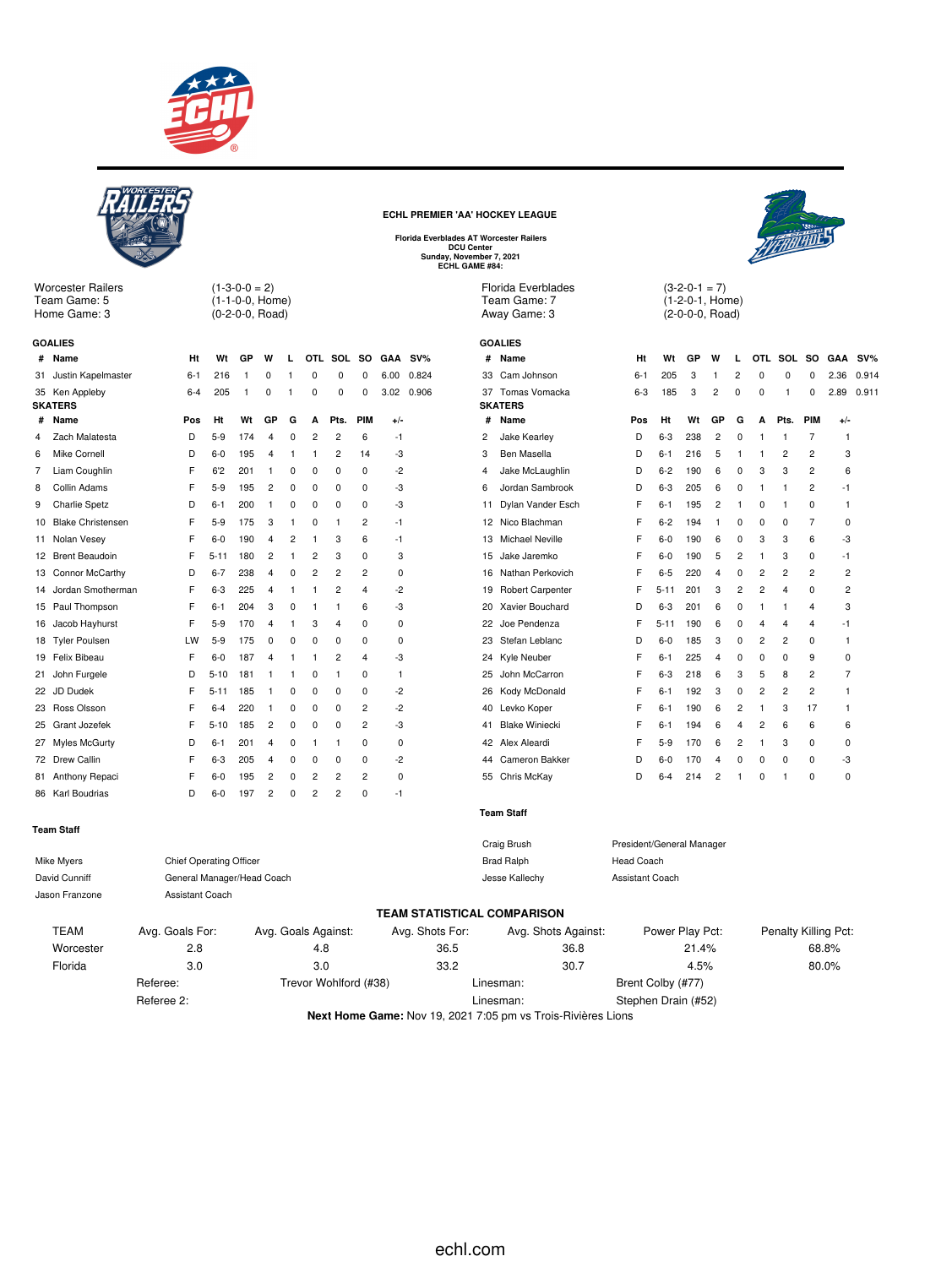



**Next Home Game:** Nov 19, 2021 7:05 pm vs Trois-Rivières Lions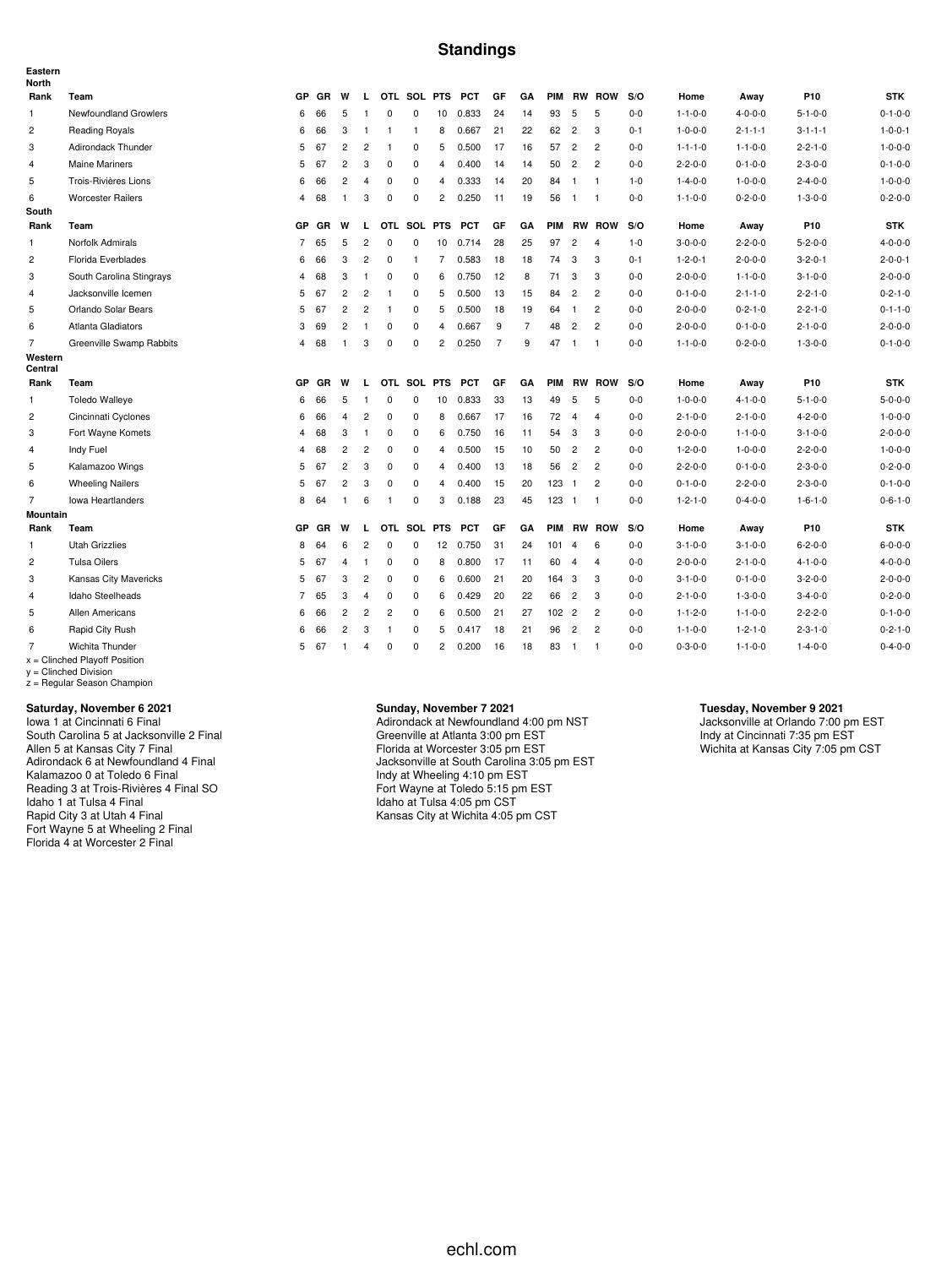### **Standings**

| Eastern<br>North   |                                                                                                              |                |           |                |                |                |              |                |            |                |                |            |                |                |         |                 |                 |                 |                 |
|--------------------|--------------------------------------------------------------------------------------------------------------|----------------|-----------|----------------|----------------|----------------|--------------|----------------|------------|----------------|----------------|------------|----------------|----------------|---------|-----------------|-----------------|-----------------|-----------------|
| Rank               | Team                                                                                                         | GP             | <b>GR</b> | W              | L.             |                | OTL SOL PTS  |                | <b>PCT</b> | GF             | GA             | <b>PIM</b> |                | <b>RW ROW</b>  | S/O     | Home            | Away            | P <sub>10</sub> | <b>STK</b>      |
| $\mathbf{1}$       | Newfoundland Growlers                                                                                        | 6              | 66        | 5              | $\overline{1}$ | $^{\circ}$     | 0            | 10             | 0.833      | 24             | 14             | 93         | 5              | 5              | $0 - 0$ | $1 - 1 - 0 - 0$ | $4 - 0 - 0 - 0$ | $5 - 1 - 0 - 0$ | $0 - 1 - 0 - 0$ |
| $\overline{c}$     | <b>Reading Royals</b>                                                                                        | 6              | 66        | 3              | $\overline{1}$ | $\overline{1}$ | $\mathbf{1}$ | 8              | 0.667      | 21             | 22             | 62         | $\overline{c}$ | 3              | $0 - 1$ | $1 - 0 - 0 - 0$ | $2 - 1 - 1 - 1$ | $3 - 1 - 1 - 1$ | $1 - 0 - 0 - 1$ |
| 3                  | Adirondack Thunder                                                                                           | 5              | 67        | $\overline{c}$ | $\overline{c}$ | $\overline{1}$ | 0            | 5              | 0.500      | 17             | 16             | 57         | $\overline{c}$ | $\overline{c}$ | $0 - 0$ | $1 - 1 - 1 - 0$ | $1 - 1 - 0 - 0$ | $2 - 2 - 1 - 0$ | $1 - 0 - 0 - 0$ |
| $\overline{4}$     | <b>Maine Mariners</b>                                                                                        | 5              | 67        | $\overline{c}$ | 3              | $^{\circ}$     | $\mathbf 0$  | $\overline{4}$ | 0.400      | 14             | 14             | 50         | $\overline{c}$ | $\overline{c}$ | $0 - 0$ | $2 - 2 - 0 - 0$ | $0 - 1 - 0 - 0$ | $2 - 3 - 0 - 0$ | $0 - 1 - 0 - 0$ |
| 5                  | Trois-Rivières Lions                                                                                         | 6              | 66        | $\overline{c}$ | $\overline{4}$ | 0              | 0            | $\overline{4}$ | 0.333      | 14             | 20             | 84         | $\overline{1}$ | $\overline{1}$ | $1 - 0$ | $1 - 4 - 0 - 0$ | $1 - 0 - 0 - 0$ | $2 - 4 - 0 - 0$ | $1 - 0 - 0 - 0$ |
| 6                  | <b>Worcester Railers</b>                                                                                     | $\overline{4}$ | 68        | $\mathbf{1}$   | 3              | $\mathbf 0$    | $\mathbf 0$  | $\overline{c}$ | 0.250      | 11             | 19             | 56         | $\overline{1}$ | $\overline{1}$ | $0 - 0$ | $1 - 1 - 0 - 0$ | $0 - 2 - 0 - 0$ | $1 - 3 - 0 - 0$ | $0 - 2 - 0 - 0$ |
| South              |                                                                                                              |                |           |                |                |                |              |                |            |                |                |            |                |                |         |                 |                 |                 |                 |
| Rank               | Team                                                                                                         | GP             | GR        | W              | $\mathbf{L}$   |                | OTL SOL PTS  |                | <b>PCT</b> | GF             | GA             |            |                | PIM RW ROW     | S/O     | Home            | Away            | P <sub>10</sub> | <b>STK</b>      |
| 1                  | Norfolk Admirals                                                                                             | $\overline{7}$ | 65        | 5              | $\overline{c}$ | 0              | 0            | 10             | 0.714      | 28             | 25             | 97         | $\overline{2}$ | $\overline{4}$ | $1 - 0$ | $3 - 0 - 0 - 0$ | $2 - 2 - 0 - 0$ | $5 - 2 - 0 - 0$ | $4 - 0 - 0 - 0$ |
| $\overline{c}$     | Florida Everblades                                                                                           | 6              | 66        | 3              | 2              | 0              | 1            | $\overline{7}$ | 0.583      | 18             | 18             | 74         | 3              | 3              | $0 - 1$ | $1 - 2 - 0 - 1$ | $2 - 0 - 0 - 0$ | $3 - 2 - 0 - 1$ | $2 - 0 - 0 - 1$ |
| 3                  | South Carolina Stingrays                                                                                     | $\overline{4}$ | 68        | 3              | $\overline{1}$ | $\mathbf 0$    | 0            | 6              | 0.750      | 12             | 8              | 71         | 3              | 3              | $0 - 0$ | $2 - 0 - 0 - 0$ | $1 - 1 - 0 - 0$ | $3 - 1 - 0 - 0$ | $2 - 0 - 0 - 0$ |
| 4                  | Jacksonville Icemen                                                                                          | 5              | 67        | $\overline{c}$ | $\overline{c}$ | $\mathbf{1}$   | 0            | 5              | 0.500      | 13             | 15             | 84         | $\overline{2}$ | $\overline{2}$ | $0-0$   | $0 - 1 - 0 - 0$ | $2 - 1 - 1 - 0$ | $2 - 2 - 1 - 0$ | $0 - 2 - 1 - 0$ |
| 5                  | Orlando Solar Bears                                                                                          | 5              | 67        | $\overline{c}$ | $\overline{c}$ | $\overline{1}$ | 0            | 5              | 0.500      | 18             | 19             | 64         | $\mathbf{1}$   | $\overline{2}$ | $0-0$   | $2 - 0 - 0 - 0$ | $0 - 2 - 1 - 0$ | $2 - 2 - 1 - 0$ | $0 - 1 - 1 - 0$ |
| 6                  | Atlanta Gladiators                                                                                           | 3              | 69        | $\overline{c}$ | $\overline{1}$ | 0              | 0            | $\overline{4}$ | 0.667      | 9              | $\overline{7}$ | 48         | $\overline{c}$ | $\overline{2}$ | $0-0$   | $2 - 0 - 0 - 0$ | $0 - 1 - 0 - 0$ | $2 - 1 - 0 - 0$ | $2 - 0 - 0 - 0$ |
| $\overline{7}$     | Greenville Swamp Rabbits                                                                                     | $\overline{4}$ | 68        | $\mathbf{1}$   | 3              | $\mathbf 0$    | $\mathbf 0$  | $\overline{2}$ | 0.250      | $\overline{7}$ | 9              | 47         | $\overline{1}$ | $\overline{1}$ | $0 - 0$ | $1 - 1 - 0 - 0$ | $0 - 2 - 0 - 0$ | $1 - 3 - 0 - 0$ | $0 - 1 - 0 - 0$ |
| Western<br>Central |                                                                                                              |                |           |                |                |                |              |                |            |                |                |            |                |                |         |                 |                 |                 |                 |
| Rank               | Team                                                                                                         | GP             | GR        | W              | I.             |                | OTL SOL PTS  |                | <b>PCT</b> | GF             | GA             | <b>PIM</b> | <b>RW</b>      | <b>ROW</b>     | S/O     | Home            | Away            | P <sub>10</sub> | <b>STK</b>      |
| $\mathbf{1}$       | <b>Toledo Walleye</b>                                                                                        | 6              | 66        | 5              | $\overline{1}$ | $\mathbf 0$    | $\Omega$     | 10             | 0.833      | 33             | 13             | 49         | 5              | 5              | $0-0$   | $1 - 0 - 0 - 0$ | $4 - 1 - 0 - 0$ | $5 - 1 - 0 - 0$ | $5 - 0 - 0 - 0$ |
| $\overline{c}$     | Cincinnati Cyclones                                                                                          | 6              | 66        | $\overline{4}$ | $\overline{c}$ | 0              | 0            | 8              | 0.667      | 17             | 16             | 72         | $\overline{4}$ | $\overline{4}$ | $0-0$   | $2 - 1 - 0 - 0$ | $2 - 1 - 0 - 0$ | $4 - 2 - 0 - 0$ | $1 - 0 - 0 - 0$ |
| 3                  | Fort Wayne Komets                                                                                            | $\overline{4}$ | 68        | 3              | $\overline{1}$ | $\mathbf 0$    | 0            | 6              | 0.750      | 16             | 11             | 54         | 3              | 3              | $0 - 0$ | $2 - 0 - 0 - 0$ | $1 - 1 - 0 - 0$ | $3 - 1 - 0 - 0$ | $2 - 0 - 0 - 0$ |
| $\overline{4}$     | Indy Fuel                                                                                                    | 4              | 68        | $\overline{c}$ | $\overline{c}$ | $\mathbf 0$    | 0            | $\overline{4}$ | 0.500      | 15             | 10             | 50         | $\overline{2}$ | $\overline{c}$ | $0 - 0$ | $1 - 2 - 0 - 0$ | $1 - 0 - 0 - 0$ | $2 - 2 - 0 - 0$ | $1 - 0 - 0 - 0$ |
| 5                  | Kalamazoo Wings                                                                                              | 5              | 67        | $\overline{c}$ | 3              | 0              | 0            | $\overline{4}$ | 0.400      | 13             | 18             | 56         | $\overline{c}$ | $\overline{c}$ | $0 - 0$ | $2 - 2 - 0 - 0$ | $0 - 1 - 0 - 0$ | $2 - 3 - 0 - 0$ | $0 - 2 - 0 - 0$ |
| 6                  | <b>Wheeling Nailers</b>                                                                                      | 5              | 67        | $\overline{c}$ | 3              | 0              | 0            | $\overline{4}$ | 0.400      | 15             | 20             | $123 - 1$  |                | $\overline{2}$ | $0 - 0$ | $0 - 1 - 0 - 0$ | $2 - 2 - 0 - 0$ | $2 - 3 - 0 - 0$ | $0 - 1 - 0 - 0$ |
| $\overline{7}$     | <b>Iowa Heartlanders</b>                                                                                     | 8              | 64        | $\mathbf{1}$   | 6              | $\mathbf{1}$   | 0            | 3              | 0.188      | 23             | 45             | $123 - 1$  |                | $\overline{1}$ | $0 - 0$ | $1 - 2 - 1 - 0$ | $0 - 4 - 0 - 0$ | $1 - 6 - 1 - 0$ | $0 - 6 - 1 - 0$ |
| Mountain           |                                                                                                              |                |           |                |                |                |              |                |            |                |                |            |                |                |         |                 |                 |                 |                 |
| Rank               | Team                                                                                                         | GP             | GR        | W              | L              |                | OTL SOL      | <b>PTS</b>     | <b>PCT</b> | GF             | GA             | <b>PIM</b> |                | <b>RW ROW</b>  | S/O     | Home            | Away            | P10             | <b>STK</b>      |
| $\mathbf{1}$       | <b>Utah Grizzlies</b>                                                                                        | 8              | 64        | 6              | $\overline{c}$ | 0              | 0            | 12             | 0.750      | 31             | 24             | 101        | $\overline{4}$ | 6              | $0-0$   | $3 - 1 - 0 - 0$ | $3 - 1 - 0 - 0$ | $6 - 2 - 0 - 0$ | $6 - 0 - 0 - 0$ |
| $\overline{c}$     | <b>Tulsa Oilers</b>                                                                                          | 5              | 67        | $\overline{4}$ | $\overline{1}$ | $\mathsf 0$    | 0            | 8              | 0.800      | 17             | 11             | 60         | $\overline{4}$ | $\overline{4}$ | $0-0$   | $2 - 0 - 0 - 0$ | $2 - 1 - 0 - 0$ | $4 - 1 - 0 - 0$ | $4 - 0 - 0 - 0$ |
| 3                  | Kansas City Mavericks                                                                                        | 5              | 67        | 3              | $\overline{c}$ | $\mathbf 0$    | $\mathbf 0$  | 6              | 0.600      | 21             | 20             | 164        | -3             | 3              | $0 - 0$ | $3 - 1 - 0 - 0$ | $0 - 1 - 0 - 0$ | $3 - 2 - 0 - 0$ | $2 - 0 - 0 - 0$ |
| $\overline{4}$     | Idaho Steelheads                                                                                             | $\overline{7}$ | 65        | 3              | $\overline{4}$ | $\mathsf 0$    | $\mathbf 0$  | 6              | 0.429      | 20             | 22             | 66         | $\overline{c}$ | 3              | $0 - 0$ | $2 - 1 - 0 - 0$ | $1 - 3 - 0 - 0$ | $3 - 4 - 0 - 0$ | $0 - 2 - 0 - 0$ |
| 5                  | Allen Americans                                                                                              | 6              | 66        | $\overline{2}$ | $\overline{c}$ | $\overline{c}$ | 0            | 6              | 0.500      | 21             | 27             | 102 2      |                | $\overline{2}$ | $0-0$   | $1 - 1 - 2 - 0$ | $1 - 1 - 0 - 0$ | $2 - 2 - 2 - 0$ | $0 - 1 - 0 - 0$ |
| 6                  | Rapid City Rush                                                                                              | 6              | 66        | $\overline{c}$ | 3              | $\overline{1}$ | $\mathbf 0$  | 5              | 0.417      | 18             | 21             | 96         | $\overline{c}$ | $\overline{c}$ | $0 - 0$ | $1 - 1 - 0 - 0$ | $1 - 2 - 1 - 0$ | $2 - 3 - 1 - 0$ | $0 - 2 - 1 - 0$ |
| $\overline{7}$     | Wichita Thunder<br>$x =$ Clinched Playoff Position<br>$y =$ Clinched Division<br>z = Regular Season Champion | 5              | 67        | $\mathbf{1}$   | 4              | $\mathbf 0$    | $\mathbf 0$  | $\overline{c}$ | 0.200      | 16             | 18             | 83         | $\mathbf{1}$   | $\overline{1}$ | $0 - 0$ | $0 - 3 - 0 - 0$ | $1 - 1 - 0 - 0$ | $1 - 4 - 0 - 0$ | $0 - 4 - 0 - 0$ |

#### **Saturday, November 6 2021**

Iowa 1 at Cincinnati 6 Final South Carolina 5 at Jacksonville 2 Final Allen 5 at Kansas City 7 Final Adirondack 6 at Newfoundland 4 Final Kalamazoo 0 at Toledo 6 Final Reading 3 at Trois-Rivières 4 Final SO Idaho 1 at Tulsa 4 Final Rapid City 3 at Utah 4 Final Fort Wayne 5 at Wheeling 2 Final Florida 4 at Worcester 2 Final

#### **Sunday, November 7 2021**

Adirondack at Newfoundland 4:00 pm NST Greenville at Atlanta 3:00 pm EST Florida at Worcester 3:05 pm EST Jacksonville at South Carolina 3:05 pm EST Indy at Wheeling 4:10 pm EST Fort Wayne at Toledo 5:15 pm EST Idaho at Tulsa 4:05 pm CST Kansas City at Wichita 4:05 pm CST

#### **Tuesday, November 9 2021**

Jacksonville at Orlando 7:00 pm EST Indy at Cincinnati 7:35 pm EST Wichita at Kansas City 7:05 pm CST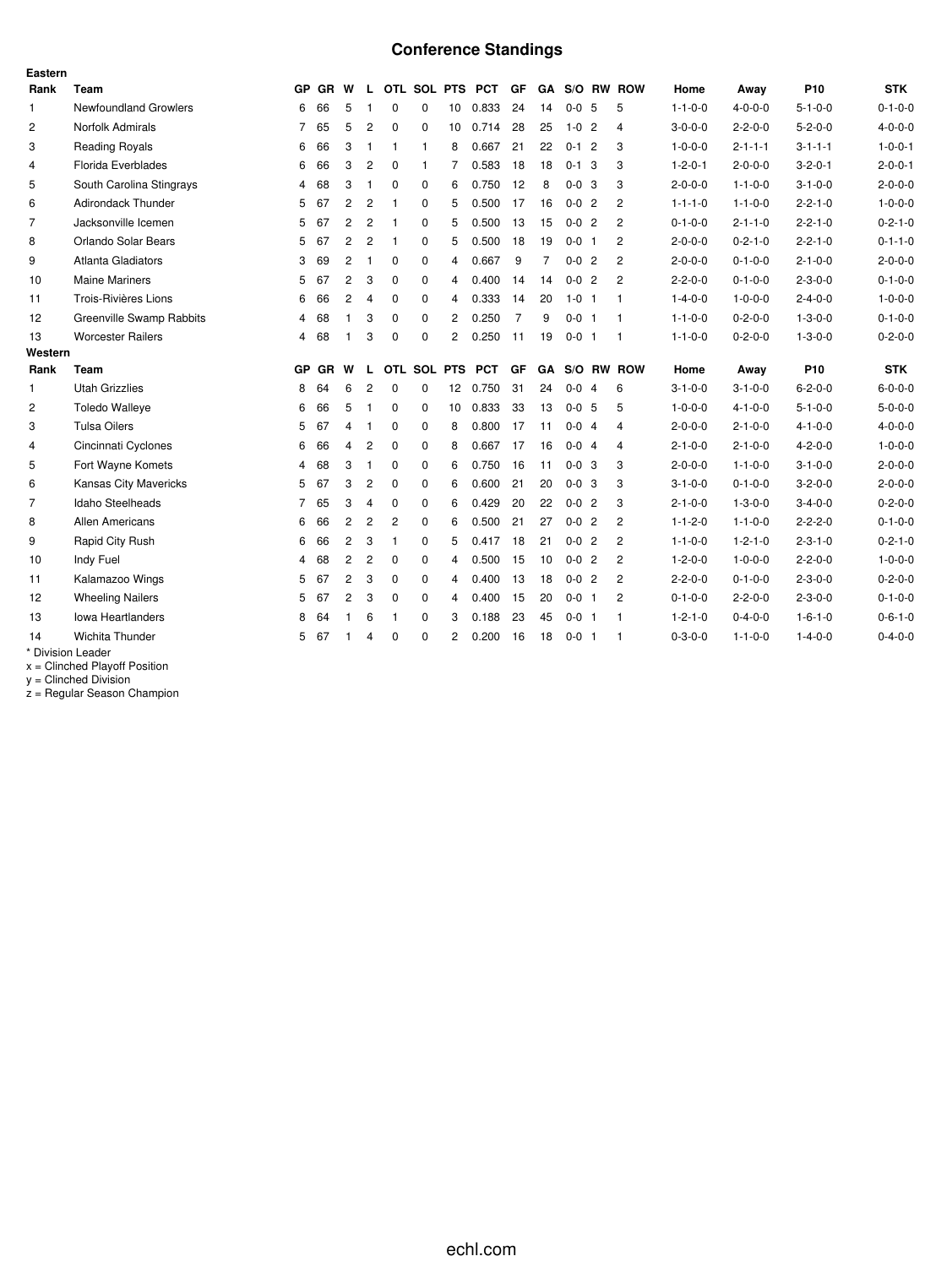## **Conference Standings**

| Eastern        |                              |                |           |                |                |                |              |                 |                 |                |           |             |                |                 |                 |                 |                 |
|----------------|------------------------------|----------------|-----------|----------------|----------------|----------------|--------------|-----------------|-----------------|----------------|-----------|-------------|----------------|-----------------|-----------------|-----------------|-----------------|
| Rank           | Team                         | GP             | GR W      |                | L.             |                |              |                 | OTL SOL PTS PCT | <b>GF</b>      | <b>GA</b> |             | S/O RW ROW     | Home            | Away            | P <sub>10</sub> | <b>STK</b>      |
| 1              | <b>Newfoundland Growlers</b> | 6              | 66        | 5              | -1             | $\mathbf 0$    | $\mathbf 0$  | 10              | 0.833           | 24             | 14        | $0 - 0$ 5   | 5              | $1 - 1 - 0 - 0$ | $4 - 0 - 0 - 0$ | $5 - 1 - 0 - 0$ | $0 - 1 - 0 - 0$ |
| $\overline{c}$ | Norfolk Admirals             | 7              | 65        | 5              | $\overline{c}$ | $\mathbf 0$    | 0            | 10              | 0.714           | 28             | 25        | $1 - 0$ 2   | $\overline{4}$ | $3 - 0 - 0 - 0$ | $2 - 2 - 0 - 0$ | $5 - 2 - 0 - 0$ | $4 - 0 - 0 - 0$ |
| 3              | <b>Reading Royals</b>        | 6              | 66        | 3              | $\mathbf{1}$   | $\mathbf{1}$   | $\mathbf{1}$ | 8               | 0.667           | 21             | 22        | $0-1$ 2     | 3              | $1 - 0 - 0 - 0$ | $2 - 1 - 1 - 1$ | $3 - 1 - 1 - 1$ | $1 - 0 - 0 - 1$ |
| 4              | Florida Everblades           | 6              | 66        | 3              | $\overline{c}$ | $\mathbf 0$    | $\mathbf{1}$ | 7               | 0.583           | 18             | 18        | $0 - 1$ 3   | 3              | $1 - 2 - 0 - 1$ | $2 - 0 - 0 - 0$ | $3 - 2 - 0 - 1$ | $2 - 0 - 0 - 1$ |
| 5              | South Carolina Stingrays     | 4              | 68        | 3              | $\mathbf{1}$   | $\Omega$       | $\mathbf 0$  | 6               | 0.750           | 12             | 8         | $0 - 0$ 3   | 3              | $2 - 0 - 0 - 0$ | $1 - 1 - 0 - 0$ | $3 - 1 - 0 - 0$ | $2 - 0 - 0 - 0$ |
| 6              | <b>Adirondack Thunder</b>    | 5              | 67        | 2              | $\overline{c}$ | -1             | $\mathbf 0$  | 5               | 0.500           | 17             | 16        | $0 - 0$ 2   | 2              | $1 - 1 - 1 - 0$ | $1 - 1 - 0 - 0$ | $2 - 2 - 1 - 0$ | $1 - 0 - 0 - 0$ |
| $\overline{7}$ | Jacksonville Icemen          | 5              | 67        | $\overline{c}$ | $\overline{c}$ | $\mathbf{1}$   | $\mathbf 0$  | 5               | 0.500           | 13             | 15        | $0 - 0$ 2   | $\overline{2}$ | $0 - 1 - 0 - 0$ | $2 - 1 - 1 - 0$ | $2 - 2 - 1 - 0$ | $0 - 2 - 1 - 0$ |
| 8              | Orlando Solar Bears          | 5              | 67        | $\overline{2}$ | $\overline{2}$ | $\mathbf{1}$   | $\mathbf 0$  | 5               | 0.500           | 18             | 19        | $0 - 0$ 1   | $\overline{2}$ | $2 - 0 - 0 - 0$ | $0 - 2 - 1 - 0$ | $2 - 2 - 1 - 0$ | $0 - 1 - 1 - 0$ |
| 9              | Atlanta Gladiators           | 3              | 69        | 2              | -1             | 0              | 0            | 4               | 0.667           | 9              | 7         | $0 - 0$ 2   | $\overline{2}$ | $2 - 0 - 0 - 0$ | $0 - 1 - 0 - 0$ | $2 - 1 - 0 - 0$ | $2 - 0 - 0 - 0$ |
| 10             | <b>Maine Mariners</b>        | 5              | 67        | $\overline{2}$ | 3              | $\Omega$       | $\mathbf 0$  | 4               | 0.400           | 14             | 14        | $0 - 0$ 2   | $\overline{2}$ | $2 - 2 - 0 - 0$ | $0 - 1 - 0 - 0$ | $2 - 3 - 0 - 0$ | $0 - 1 - 0 - 0$ |
| 11             | Trois-Rivières Lions         | 6              | 66        | 2              | $\overline{4}$ | 0              | $\mathbf 0$  | 4               | 0.333           | 14             | 20        | $1 - 0$ 1   | $\mathbf 1$    | $1 - 4 - 0 - 0$ | $1 - 0 - 0 - 0$ | $2 - 4 - 0 - 0$ | $1 - 0 - 0 - 0$ |
| 12             | Greenville Swamp Rabbits     | 4              | 68        | $\mathbf{1}$   | 3              | $\mathbf 0$    | $\mathbf 0$  | 2               | 0.250           | $\overline{7}$ | 9         | $0 - 0$ 1   | $\mathbf{1}$   | $1 - 1 - 0 - 0$ | $0 - 2 - 0 - 0$ | $1 - 3 - 0 - 0$ | $0 - 1 - 0 - 0$ |
| 13             | <b>Worcester Railers</b>     | 4              | 68        | 1              | 3              | 0              | $\Omega$     | 2               | 0.250           | 11             | 19        | $0 - 0$ 1   | -1             | $1 - 1 - 0 - 0$ | $0 - 2 - 0 - 0$ | $1 - 3 - 0 - 0$ | $0 - 2 - 0 - 0$ |
| Western        |                              |                |           |                |                |                |              |                 |                 |                |           |             |                |                 |                 |                 |                 |
| Rank           | Team                         | GP             | <b>GR</b> | W              | L              |                | OTL SOL PTS  |                 | <b>PCT</b>      | GF             | <b>GA</b> |             | S/O RW ROW     | Home            | Away            | P <sub>10</sub> | <b>STK</b>      |
| 1              | <b>Utah Grizzlies</b>        | 8              | 64        | 6              | $\overline{2}$ | $\Omega$       | $\Omega$     | 12 <sup>°</sup> | 0.750           | 31             | 24        | $0 - 0$ 4   | 6              | $3 - 1 - 0 - 0$ | $3 - 1 - 0 - 0$ | $6 - 2 - 0 - 0$ | $6 - 0 - 0 - 0$ |
| $\overline{2}$ | <b>Toledo Walleye</b>        | 6              | 66        | 5              | $\mathbf{1}$   | $\mathbf 0$    | $\mathbf 0$  | 10              | 0.833           | 33             | 13        | $0 - 0 = 5$ | 5              | $1 - 0 - 0 - 0$ | $4 - 1 - 0 - 0$ | $5 - 1 - 0 - 0$ | $5 - 0 - 0 - 0$ |
| 3              | <b>Tulsa Oilers</b>          | 5              | 67        | 4              | $\mathbf{1}$   | 0              | 0            | 8               | 0.800           | 17             | 11        | $0 - 0$ 4   | 4              | $2 - 0 - 0 - 0$ | $2 - 1 - 0 - 0$ | $4 - 1 - 0 - 0$ | $4 - 0 - 0 - 0$ |
| 4              | Cincinnati Cyclones          |                |           |                |                |                |              |                 |                 |                |           |             |                |                 |                 |                 |                 |
|                |                              | 6              | 66        | $\overline{4}$ | $\overline{c}$ | $\mathbf 0$    | 0            | 8               | 0.667           | 17             | 16        | $0 - 0$ 4   | 4              | $2 - 1 - 0 - 0$ | $2 - 1 - 0 - 0$ | $4 - 2 - 0 - 0$ | $1 - 0 - 0 - 0$ |
| 5              | Fort Wayne Komets            | 4              | 68        | 3              | $\overline{1}$ | $\mathbf 0$    | $\mathbf 0$  | 6               | 0.750           | 16             | 11        | $0 - 0$ 3   | 3              | $2 - 0 - 0 - 0$ | $1 - 1 - 0 - 0$ | $3 - 1 - 0 - 0$ | $2 - 0 - 0 - 0$ |
| 6              | Kansas City Mavericks        | 5              | 67        | 3              | $\overline{c}$ | 0              | $\mathbf 0$  | 6               | 0.600           | 21             | 20        | $0 - 0$ 3   | 3              | $3 - 1 - 0 - 0$ | $0 - 1 - 0 - 0$ | $3 - 2 - 0 - 0$ | $2 - 0 - 0 - 0$ |
| $\overline{7}$ | Idaho Steelheads             | $\overline{7}$ | 65        | 3              | $\overline{4}$ | $\mathbf 0$    | $\mathbf 0$  | 6               | 0.429           | 20             | 22        | $0 - 0$ 2   | 3              | $2 - 1 - 0 - 0$ | $1 - 3 - 0 - 0$ | $3 - 4 - 0 - 0$ | $0 - 2 - 0 - 0$ |
| 8              | <b>Allen Americans</b>       | 6              | 66        | $\overline{c}$ | $\overline{c}$ | $\overline{2}$ | $\mathbf 0$  | 6               | 0.500           | 21             | 27        | $0 - 0$ 2   | $\overline{2}$ | $1 - 1 - 2 - 0$ | $1 - 1 - 0 - 0$ | $2 - 2 - 2 - 0$ | $0 - 1 - 0 - 0$ |
| 9              | Rapid City Rush              | 6              | 66        | 2              | 3              | $\mathbf{1}$   | 0            | 5               | 0.417           | 18             | 21        | $0 - 0$ 2   | $\overline{c}$ | $1 - 1 - 0 - 0$ | $1 - 2 - 1 - 0$ | $2 - 3 - 1 - 0$ | $0 - 2 - 1 - 0$ |
| 10             | Indy Fuel                    | 4              | 68        | $\overline{c}$ | $\overline{2}$ | $\mathbf 0$    | $\mathbf 0$  | 4               | 0.500           | 15             | 10        | $0 - 0$ 2   | $\overline{2}$ | $1 - 2 - 0 - 0$ | $1 - 0 - 0 - 0$ | $2 - 2 - 0 - 0$ | $1 - 0 - 0 - 0$ |
| 11             | Kalamazoo Wings              | 5              | 67        | $\overline{c}$ | 3              | $\Omega$       | $\Omega$     | 4               | 0.400           | 13             | 18        | $0 - 0$ 2   | $\overline{c}$ | $2 - 2 - 0 - 0$ | $0 - 1 - 0 - 0$ | $2 - 3 - 0 - 0$ | $0 - 2 - 0 - 0$ |
| 12             | <b>Wheeling Nailers</b>      | 5              | 67        | $\overline{c}$ | 3              | $\mathbf 0$    | $\mathbf 0$  | 4               | 0.400           | 15             | 20        | $0 - 0$ 1   | $\overline{2}$ | $0 - 1 - 0 - 0$ | $2 - 2 - 0 - 0$ | $2 - 3 - 0 - 0$ | $0 - 1 - 0 - 0$ |
| 13             | <b>Iowa Heartlanders</b>     | 8              | 64        | 1              | 6              | -1             | $\mathbf 0$  | 3               | 0.188           | 23             | 45        | $0 - 0$ 1   | 1              | $1 - 2 - 1 - 0$ | $0 - 4 - 0 - 0$ | $1 - 6 - 1 - 0$ | $0 - 6 - 1 - 0$ |
| 14             | <b>Wichita Thunder</b>       | 5              | 67        | 1              | 4              | 0              | $\Omega$     | 2               | 0.200           | 16             | 18        | $0 - 0$ 1   | -1             | $0 - 3 - 0 - 0$ | $1 - 1 - 0 - 0$ | $1 - 4 - 0 - 0$ | $0 - 4 - 0 - 0$ |

x = Clinched Playoff Position

y = Clinched Division

z = Regular Season Champion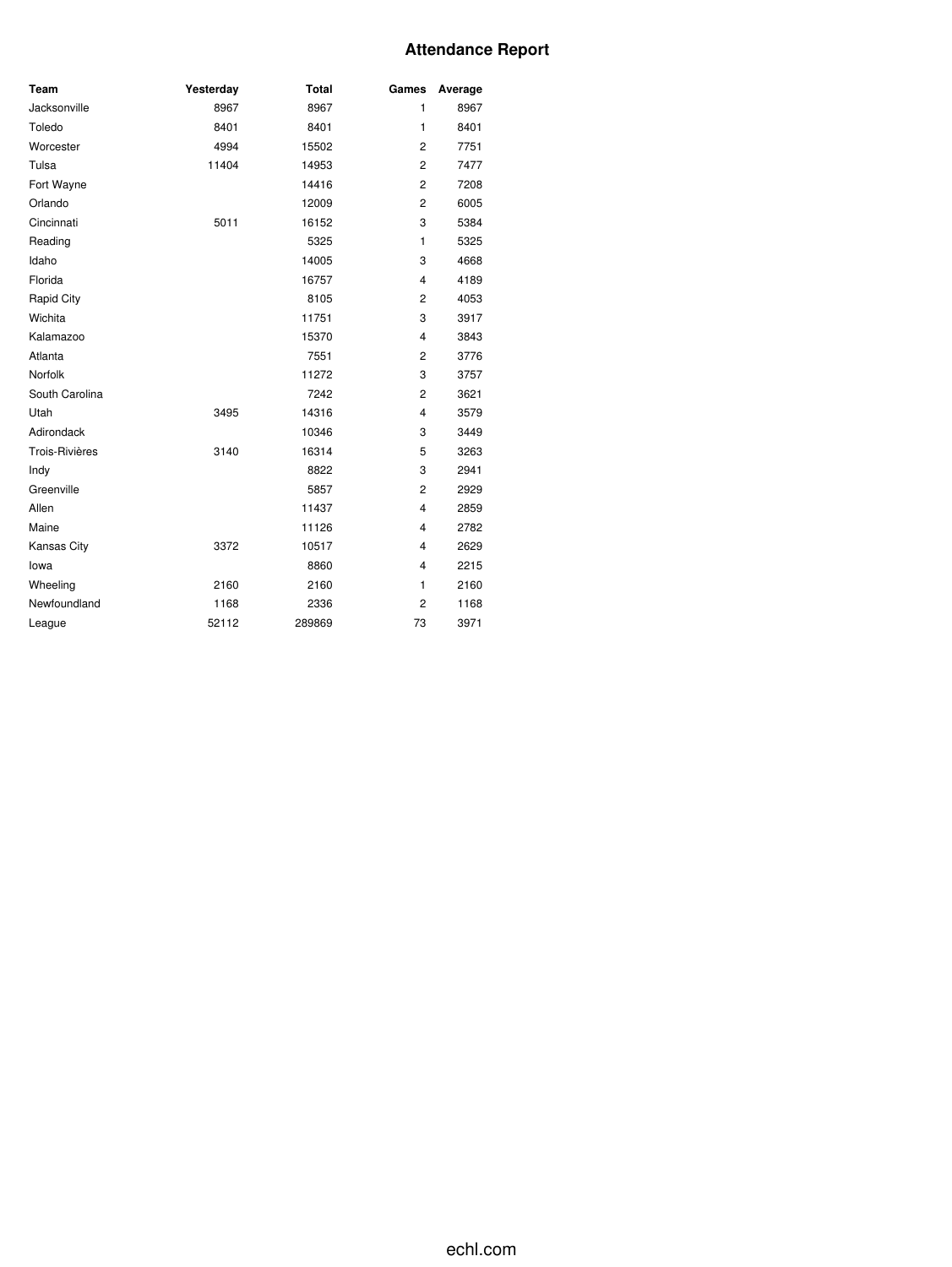## **Attendance Report**

| Team           | Yesterday | <b>Total</b> | Games          | Average |
|----------------|-----------|--------------|----------------|---------|
| Jacksonville   | 8967      | 8967         | 1              | 8967    |
| Toledo         | 8401      | 8401         | $\mathbf{1}$   | 8401    |
| Worcester      | 4994      | 15502        | $\overline{c}$ | 7751    |
| Tulsa          | 11404     | 14953        | $\overline{2}$ | 7477    |
| Fort Wayne     |           | 14416        | 2              | 7208    |
| Orlando        |           | 12009        | 2              | 6005    |
| Cincinnati     | 5011      | 16152        | 3              | 5384    |
| Reading        |           | 5325         | 1              | 5325    |
| Idaho          |           | 14005        | 3              | 4668    |
| Florida        |           | 16757        | $\overline{4}$ | 4189    |
| Rapid City     |           | 8105         | 2              | 4053    |
| Wichita        |           | 11751        | 3              | 3917    |
| Kalamazoo      |           | 15370        | $\overline{4}$ | 3843    |
| Atlanta        |           | 7551         | $\overline{c}$ | 3776    |
| Norfolk        |           | 11272        | 3              | 3757    |
| South Carolina |           | 7242         | 2              | 3621    |
| Utah           | 3495      | 14316        | $\overline{4}$ | 3579    |
| Adirondack     |           | 10346        | 3              | 3449    |
| Trois-Rivières | 3140      | 16314        | 5              | 3263    |
| Indy           |           | 8822         | 3              | 2941    |
| Greenville     |           | 5857         | $\overline{c}$ | 2929    |
| Allen          |           | 11437        | $\overline{4}$ | 2859    |
| Maine          |           | 11126        | $\overline{4}$ | 2782    |
| Kansas City    | 3372      | 10517        | $\overline{4}$ | 2629    |
| lowa           |           | 8860         | $\overline{4}$ | 2215    |
| Wheeling       | 2160      | 2160         | 1              | 2160    |
| Newfoundland   | 1168      | 2336         | $\overline{c}$ | 1168    |
| League         | 52112     | 289869       | 73             | 3971    |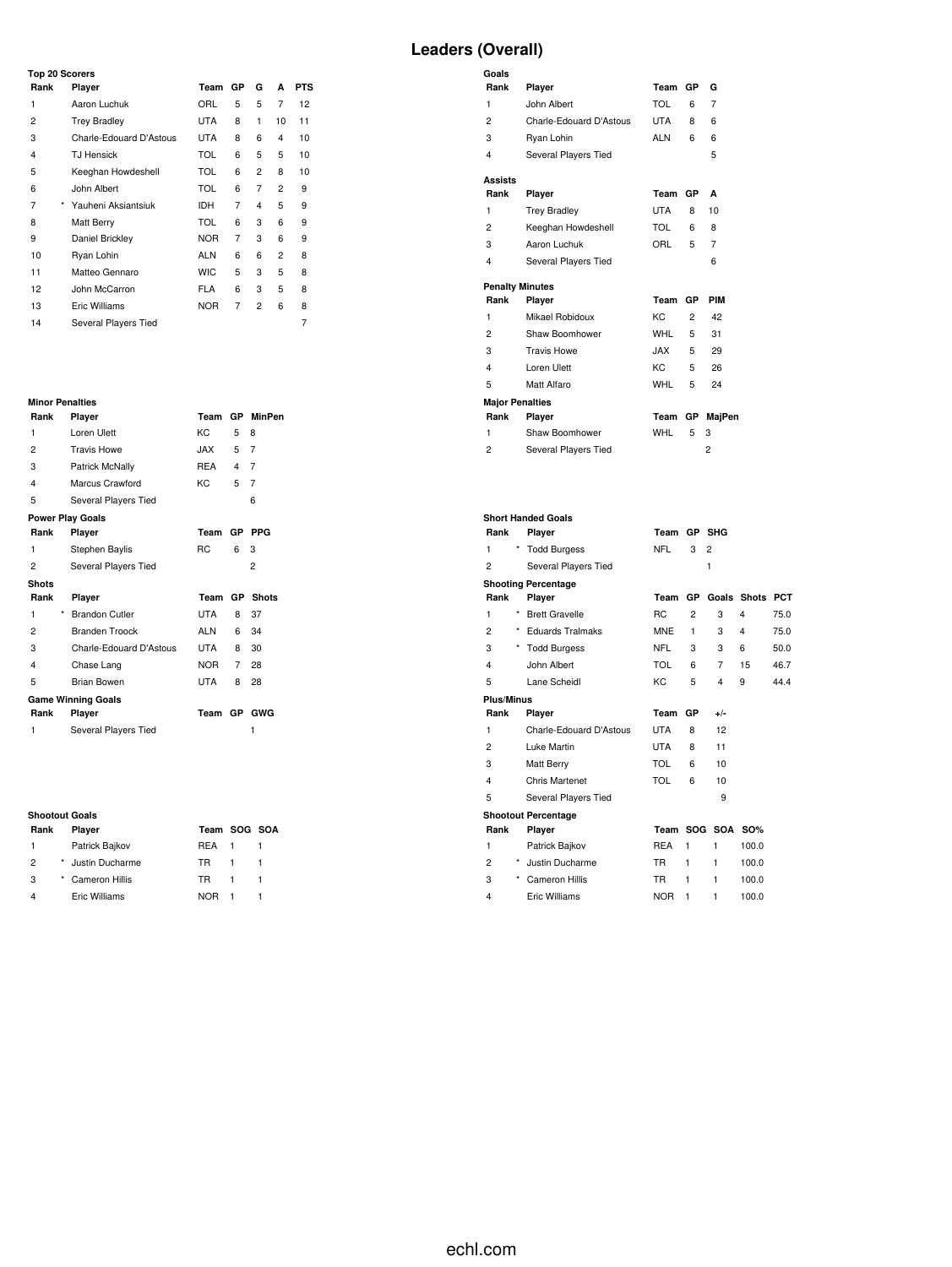### **Top 20 Scorers**

| Rank         | Player                  | Team       | GР | G              | A              | <b>PTS</b> |
|--------------|-------------------------|------------|----|----------------|----------------|------------|
| 1            | Aaron Luchuk            | ORL        | 5  | 5              | 7              | 12         |
| 2            | <b>Trey Bradley</b>     | <b>UTA</b> | 8  | 1              | 10             | 11         |
| 3            | Charle-Edouard D'Astous | <b>UTA</b> | 8  | 6              | 4              | 10         |
| 4            | <b>TJ Hensick</b>       | <b>TOL</b> | 6  | 5              | 5              | 10         |
| 5            | Keeghan Howdeshell      | <b>TOL</b> | 6  | $\overline{2}$ | 8              | 10         |
| 6            | John Albert             | <b>TOL</b> | 6  | 7              | 2              | 9          |
| 7<br>$\star$ | Yauheni Aksiantsiuk     | <b>IDH</b> | 7  | 4              | 5              | 9          |
| 8            | Matt Berry              | <b>TOL</b> | 6  | 3              | 6              | 9          |
| 9            | Daniel Brickley         | <b>NOR</b> | 7  | 3              | 6              | 9          |
| 10           | Ryan Lohin              | <b>ALN</b> | 6  | 6              | $\overline{2}$ | 8          |
| 11           | Matteo Gennaro          | <b>WIC</b> | 5  | 3              | 5              | 8          |
| 12           | John McCarron           | <b>FLA</b> | 6  | 3              | 5              | 8          |
| 13           | Eric Williams           | <b>NOR</b> | 7  | $\overline{c}$ | 6              | 8          |
| 14           | Several Players Tied    |            |    |                |                | 7          |

# **Minor Penalties**

| Rank                    | Player                    | Team       |           | GP MinPen      |  |  |  |  |  |  |  |  |
|-------------------------|---------------------------|------------|-----------|----------------|--|--|--|--|--|--|--|--|
| 1                       | Loren Ulett               | KC.        | 5         | 8              |  |  |  |  |  |  |  |  |
| $\overline{c}$          | <b>Travis Howe</b>        | JAX        | 5.        | 7              |  |  |  |  |  |  |  |  |
| 3                       | Patrick McNally           | REA        | 4         | 7              |  |  |  |  |  |  |  |  |
| 4                       | Marcus Crawford           | KC.        | 5         | 7              |  |  |  |  |  |  |  |  |
| 5                       | Several Players Tied      |            |           | 6              |  |  |  |  |  |  |  |  |
| <b>Power Play Goals</b> |                           |            |           |                |  |  |  |  |  |  |  |  |
| Rank                    | Player                    | Team       | <b>GP</b> | <b>PPG</b>     |  |  |  |  |  |  |  |  |
| 1                       | Stephen Baylis            | RC         | 6         | 3              |  |  |  |  |  |  |  |  |
| 2                       | Several Players Tied      |            |           | $\overline{2}$ |  |  |  |  |  |  |  |  |
| <b>Shots</b>            |                           |            |           |                |  |  |  |  |  |  |  |  |
|                         |                           |            |           |                |  |  |  |  |  |  |  |  |
| Rank                    | Player                    | Team       | <b>GP</b> | <b>Shots</b>   |  |  |  |  |  |  |  |  |
| *<br>1                  | <b>Brandon Cutler</b>     | <b>UTA</b> | 8         | 37             |  |  |  |  |  |  |  |  |
| $\overline{2}$          | Branden Troock            | ALN        | 6         | 34             |  |  |  |  |  |  |  |  |
| 3                       | Charle-Edouard D'Astous   | UTA        | 8         | 30             |  |  |  |  |  |  |  |  |
| 4                       | Chase Lang                | <b>NOR</b> | 7         | 28             |  |  |  |  |  |  |  |  |
| 5                       | Brian Bowen               | <b>UTA</b> | 8         | 28             |  |  |  |  |  |  |  |  |
|                         | <b>Game Winning Goals</b> |            |           |                |  |  |  |  |  |  |  |  |
| Rank                    | Player                    | Team GP    |           | <b>GWG</b>     |  |  |  |  |  |  |  |  |
| 1                       | Several Players Tied      |            |           | 1              |  |  |  |  |  |  |  |  |

#### **Shootout Goals**

| Rank          | Player            | Team SOG SOA |  |
|---------------|-------------------|--------------|--|
| $\mathbf{1}$  | Patrick Bajkov    | <b>RFA</b>   |  |
| $\mathcal{P}$ | * Justin Ducharme | TR.          |  |
| 3             | * Cameron Hillis  | TR.          |  |
|               | Eric Williams     | <b>NOR</b>   |  |

## **Leaders (Overall)**

| Goals                  |                         |            |           |                |
|------------------------|-------------------------|------------|-----------|----------------|
| Rank                   | Player                  | Team       | <b>GP</b> | G              |
| 1                      | John Albert             | TOL        | 6         | 7              |
| $\overline{c}$         | Charle-Edouard D'Astous | <b>UTA</b> | 8         | 6              |
| 3                      | Ryan Lohin              | <b>ALN</b> | 6         | 6              |
| 4                      | Several Players Tied    |            |           | 5              |
| <b>Assists</b>         |                         |            |           |                |
| Rank                   | Player                  | Team       | <b>GP</b> | A              |
| 1                      | <b>Trey Bradley</b>     | <b>UTA</b> | 8         | 10             |
| $\overline{c}$         | Keeghan Howdeshell      | TOL        | 6         | 8              |
| 3                      | Aaron Luchuk            | ORL        | 5         | $\overline{7}$ |
| 4                      | Several Players Tied    |            |           | 6              |
| <b>Penalty Minutes</b> |                         |            |           |                |
| Rank                   | Player                  | Team       | GP        | PIM            |
| 1                      | Mikael Robidoux         | KC.        | $^{2}$    | 42             |
| $\overline{2}$         | Shaw Boomhower          | WHL        | 5         | 31             |
| 3                      | <b>Travis Howe</b>      | JAX.       | 5         | 29             |
| 4                      | Loren Ulett             | KC.        | 5         | 26             |
| 5                      | Matt Alfaro             | <b>WHL</b> | 5         | 24             |
| <b>Major Penalties</b> |                         |            |           |                |
| Rank                   | Player                  | Team       | GP        | MajPen         |
| 1                      | Shaw Boomhower          | WHL        | 5         | 3              |
| $\overline{c}$         | Several Players Tied    |            |           | $\overline{c}$ |

|                           | <b>Short Handed Goals</b>  |                |           |                  |             |            |
|---------------------------|----------------------------|----------------|-----------|------------------|-------------|------------|
| Rank                      | Player                     | Team           |           | GP SHG           |             |            |
| 1                         | <b>Todd Burgess</b>        | <b>NFL</b>     | 3         | $\overline{2}$   |             |            |
| $\overline{2}$            | Several Players Tied       |                |           | 1                |             |            |
|                           | <b>Shooting Percentage</b> |                |           |                  |             |            |
| Rank                      | Player                     | Team           | <b>GP</b> |                  | Goals Shots | <b>PCT</b> |
| 1                         | <b>Brett Gravelle</b>      | R <sub>C</sub> | 2         | 3                | 4           | 75.0       |
| $\overline{2}$            | * Eduards Tralmaks         | <b>MNE</b>     | 1         | 3                | 4           | 75.0       |
| 3                         | * Todd Burgess             | <b>NFL</b>     | 3         | 3                | 6           | 50.0       |
| 4                         | John Albert                | TOL            | 6         | 7                | 15          | 46.7       |
| 5                         | Lane Scheidl               | KC.            | 5         | 4                | 9           | 44.4       |
| <b>Plus/Minus</b>         |                            |                |           |                  |             |            |
| Rank                      | Player                     | Team           | <b>GP</b> | +/-              |             |            |
| 1                         | Charle-Edouard D'Astous    | <b>UTA</b>     | 8         | 12               |             |            |
| $\overline{2}$            | Luke Martin                | <b>UTA</b>     | 8         | 11               |             |            |
| 3                         | Matt Berry                 | TOL            | 6         | 10               |             |            |
| 4                         | Chris Martenet             | <b>TOL</b>     | 6         | 10               |             |            |
| 5                         | Several Players Tied       |                |           | 9                |             |            |
|                           | <b>Shootout Percentage</b> |                |           |                  |             |            |
| Rank                      | Player                     |                |           | Team SOG SOA SO% |             |            |
| 1                         | Patrick Bajkov             | <b>REA</b>     | 1         | 1                | 100.0       |            |
| $\star$<br>$\overline{2}$ | Justin Ducharme            | <b>TR</b>      | 1         | 1                | 100.0       |            |
| $\star$<br>3              | Cameron Hillis             | <b>TR</b>      | 1         | 1                | 100.0       |            |
| $\overline{\mathbf{4}}$   | Eric Williams              | <b>NOR</b>     | 1         | 1                | 100.0       |            |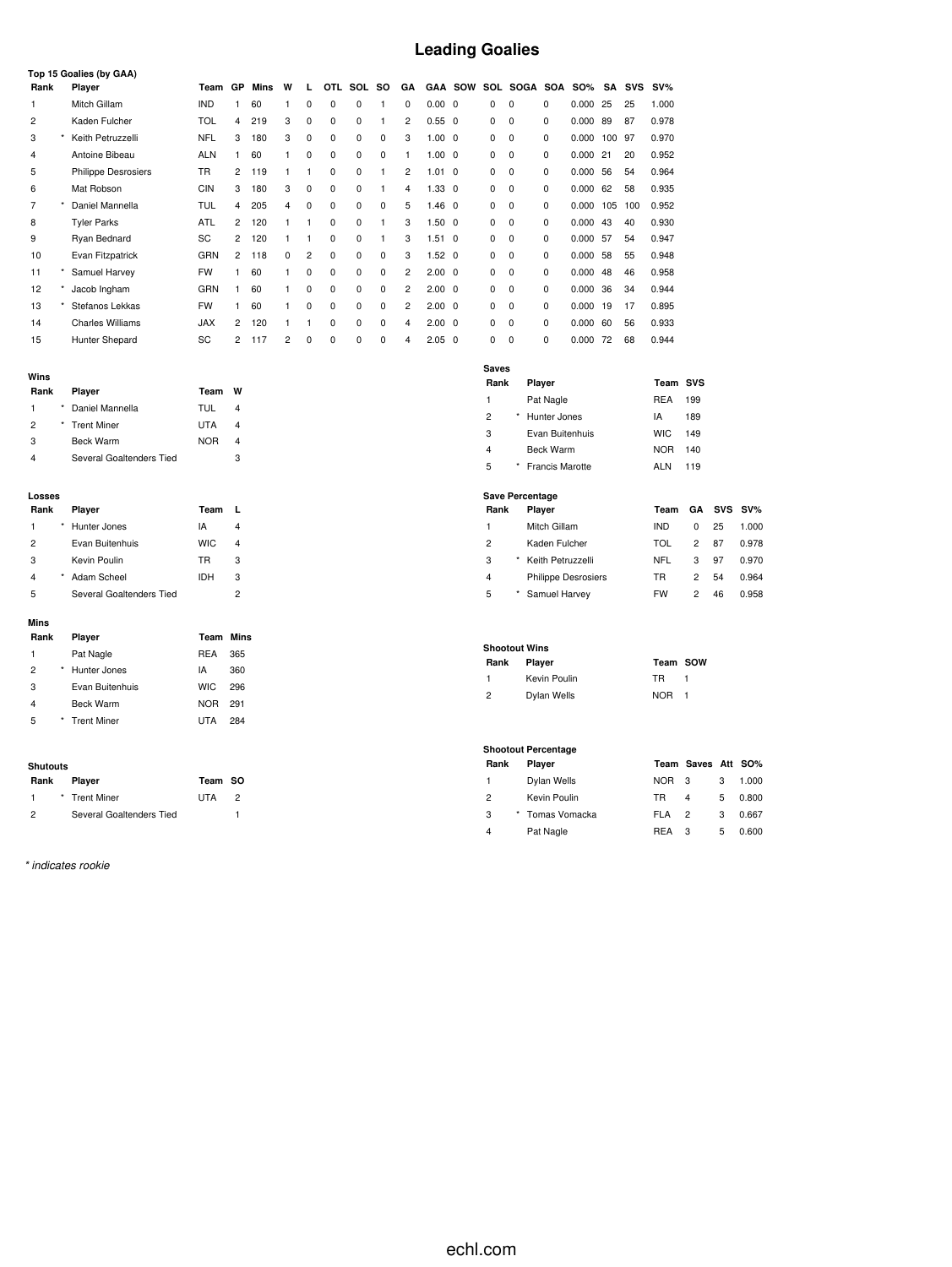### **Leading Goalies**

|      | Top 15 Goalies (by GAA)    |            |                |      |          |                |            |          |          |                |                |                |   |          |          |            |     |            |        |
|------|----------------------------|------------|----------------|------|----------|----------------|------------|----------|----------|----------------|----------------|----------------|---|----------|----------|------------|-----|------------|--------|
| Rank | Player                     | Team       | GP             | Mins | W        | $\mathbf{L}$   | <b>OTL</b> | SOL      | so       | GA             |                | <b>GAA SOW</b> |   | SOL SOGA | SOA      | <b>SO%</b> | SA  | <b>SVS</b> | $SV\%$ |
|      | Mitch Gillam               | <b>IND</b> |                | 60   |          | $\Omega$       | 0          | 0        |          | 0              | $0.00 \quad 0$ |                | 0 | 0        | 0        | 0.000      | 25  | 25         | 1.000  |
| 2    | Kaden Fulcher              | <b>TOL</b> | 4              | 219  | 3        | 0              | $\Omega$   | 0        |          | $\overline{c}$ | $0.55 \quad 0$ |                | 0 | 0        | 0        | 0.000      | 89  | 87         | 0.978  |
| 3    | Keith Petruzzelli          | <b>NFL</b> | 3              | 180  | 3        | 0              | 0          | 0        | 0        | 3              | $1.00 \quad 0$ |                | 0 | 0        | 0        | 0.000      | 100 | -97        | 0.970  |
| 4    | Antoine Bibeau             | <b>ALN</b> |                | 60   | 1        | 0              | 0          | 0        | 0        | 1.             | $1.00 \quad 0$ |                | 0 | 0        | 0        | 0.000      | 21  | 20         | 0.952  |
| 5    | <b>Philippe Desrosiers</b> | <b>TR</b>  | 2              | 119  | 1        |                | 0          | 0        |          | 2              | $1.01 \ 0$     |                | 0 | 0        | 0        | 0.000      | 56  | 54         | 0.964  |
| 6    | Mat Robson                 | <b>CIN</b> | 3              | 180  | 3        | $\Omega$       | 0          | $\Omega$ |          | 4              | $1.33 \quad 0$ |                | 0 | 0        | 0        | 0.000      | 62  | 58         | 0.935  |
| 7    | Daniel Mannella            | TUL        | $\overline{4}$ | 205  | 4        | $\Omega$       | 0          | 0        | $\Omega$ | 5              | $1.46 \quad 0$ |                | 0 | 0        | 0        | 0.000      | 105 | 100        | 0.952  |
| 8    | <b>Tyler Parks</b>         | <b>ATL</b> | 2              | 120  |          |                | 0          | 0        |          | 3              | $1.50 \quad 0$ |                | 0 | 0        | 0        | 0.000      | 43  | 40         | 0.930  |
| 9    | Ryan Bednard               | SC         | 2              | 120  |          |                | 0          | $\Omega$ |          | 3              | $1.51 \ 0$     |                | 0 | 0        | $\Omega$ | 0.000      | 57  | 54         | 0.947  |
| 10   | Evan Fitzpatrick           | GRN        | $\overline{2}$ | 118  | $\Omega$ | $\overline{2}$ | 0          | 0        | $\Omega$ | 3              | $1.52 \quad 0$ |                | 0 | 0        | 0        | 0.000      | 58  | 55         | 0.948  |
| 11   | Samuel Harvey              | <b>FW</b>  |                | 60   | 1.       | 0              | 0          | 0        | $\Omega$ | 2              | $2.00 \quad 0$ |                | 0 | 0        | 0        | 0.000      | 48  | 46         | 0.958  |
| 12   | Jacob Ingham               | GRN        |                | 60   |          | 0              | 0          | 0        | 0        | 2              | $2.00 \quad 0$ |                | 0 | 0        | 0        | 0.000      | 36  | 34         | 0.944  |
| 13   | Stefanos Lekkas            | <b>FW</b>  |                | 60   | 1        | $\Omega$       | $\Omega$   | 0        | $\Omega$ | 2              | $2.00 \quad 0$ |                | 0 | 0        | 0        | 0.000      | 19  | 17         | 0.895  |
| 14   | <b>Charles Williams</b>    | <b>JAX</b> | 2              | 120  |          |                | 0          | 0        | $\Omega$ | 4              | $2.00 \quad 0$ |                | 0 | 0        | 0        | 0.000      | 60  | 56         | 0.933  |
| 15   | Hunter Shepard             | SC         | $\overline{2}$ | 117  | 2        | 0              | 0          | 0        | 0        | 4              | $2.05 \quad 0$ |                | 0 | 0        | 0        | 0.000      | 72  | 68         | 0.944  |

| __ |
|----|
|----|

| Rank | Player                   | Team       | w |
|------|--------------------------|------------|---|
| 1    | Daniel Mannella          | TUL        | 4 |
| 2    | * Trent Miner            | UTA        | 4 |
| 3    | <b>Beck Warm</b>         | <b>NOR</b> |   |
|      | Several Goaltenders Tied |            | з |

#### **Losses**

| Rank | Player                   | Team       |   |
|------|--------------------------|------------|---|
| 1    | Hunter Jones             | IA         | 4 |
| 2    | Evan Buitenhuis          | <b>WIC</b> | 4 |
| 3    | Kevin Poulin             | TR         | 3 |
| 4    | Adam Scheel              | IDH        | 3 |
| 5    | Several Goaltenders Tied |            | 2 |

#### **Mins**

| Rank           | Player           | Team       | Mins |
|----------------|------------------|------------|------|
| 1              | Pat Nagle        | <b>REA</b> | 365  |
| $\overline{2}$ | Hunter Jones     | IA         | 360  |
| 3              | Evan Buitenhuis  | <b>WIC</b> | 296  |
| 4              | <b>Beck Warm</b> | <b>NOR</b> | 291  |
| 5              | * Trent Miner    | UTA        | 284  |
|                |                  |            |      |

#### **Shutouts**

| Rank          | Player                   | Team SO    |               |
|---------------|--------------------------|------------|---------------|
|               | * Trent Miner            | <b>UTA</b> | $\mathcal{P}$ |
| $\mathcal{P}$ | Several Goaltenders Tied |            |               |

*\* indicates rookie*

| Saves          |          |                 |            |     |
|----------------|----------|-----------------|------------|-----|
| Rank           |          | Player          | Team SVS   |     |
| 1              |          | Pat Nagle       | REA        | 199 |
| $\overline{2}$ | $^\star$ | Hunter Jones    | IA         | 189 |
| 3              |          | Evan Buitenhuis | <b>WIC</b> | 149 |
| $\overline{4}$ |          | Beck Warm       | <b>NOR</b> | 140 |
| 5              | *        | Francis Marotte | ALN        | 119 |

### **Save Percentage**

| Rank |   | Player                     | Team       |              |    | GA SVS SV% |
|------|---|----------------------------|------------|--------------|----|------------|
| 1    |   | Mitch Gillam               | <b>IND</b> | <sup>0</sup> | 25 | 1.000      |
| 2    |   | Kaden Fulcher              | TOL        | 2            | 87 | 0.978      |
| 3    | * | Keith Petruzzelli          | NFL        | 3            | 97 | 0.970      |
| 4    |   | <b>Philippe Desrosiers</b> | TR         | 2            | 54 | 0.964      |
| 5    |   | Samuel Harvey              | <b>FW</b>  | 2            | 46 | 0.958      |

#### **Shootout Wins**

| --------------------- |                |              |                  |  |  |  |  |  |
|-----------------------|----------------|--------------|------------------|--|--|--|--|--|
|                       | Rank           | Player       | Team SOW         |  |  |  |  |  |
|                       |                | Kevin Poulin | TR.              |  |  |  |  |  |
|                       | $\overline{2}$ | Dylan Wells  | NOR <sub>1</sub> |  |  |  |  |  |

| l eam | sow |
|-------|-----|
| ΓR    |     |
|       |     |

### **Shootout Percentage Rank Player Team Saves Att SO%** Dylan Wells NOR 3 3 1.000 Kevin Poulin TR 4 5 0.800

|     |                 | .         | . .          | <b>v.vvv</b> |
|-----|-----------------|-----------|--------------|--------------|
| - 3 | * Tomas Vomacka | FI A      | $\mathbf{3}$ | 0.667        |
| 4   | Pat Nagle       | REA<br>-3 | 5            | 0.600        |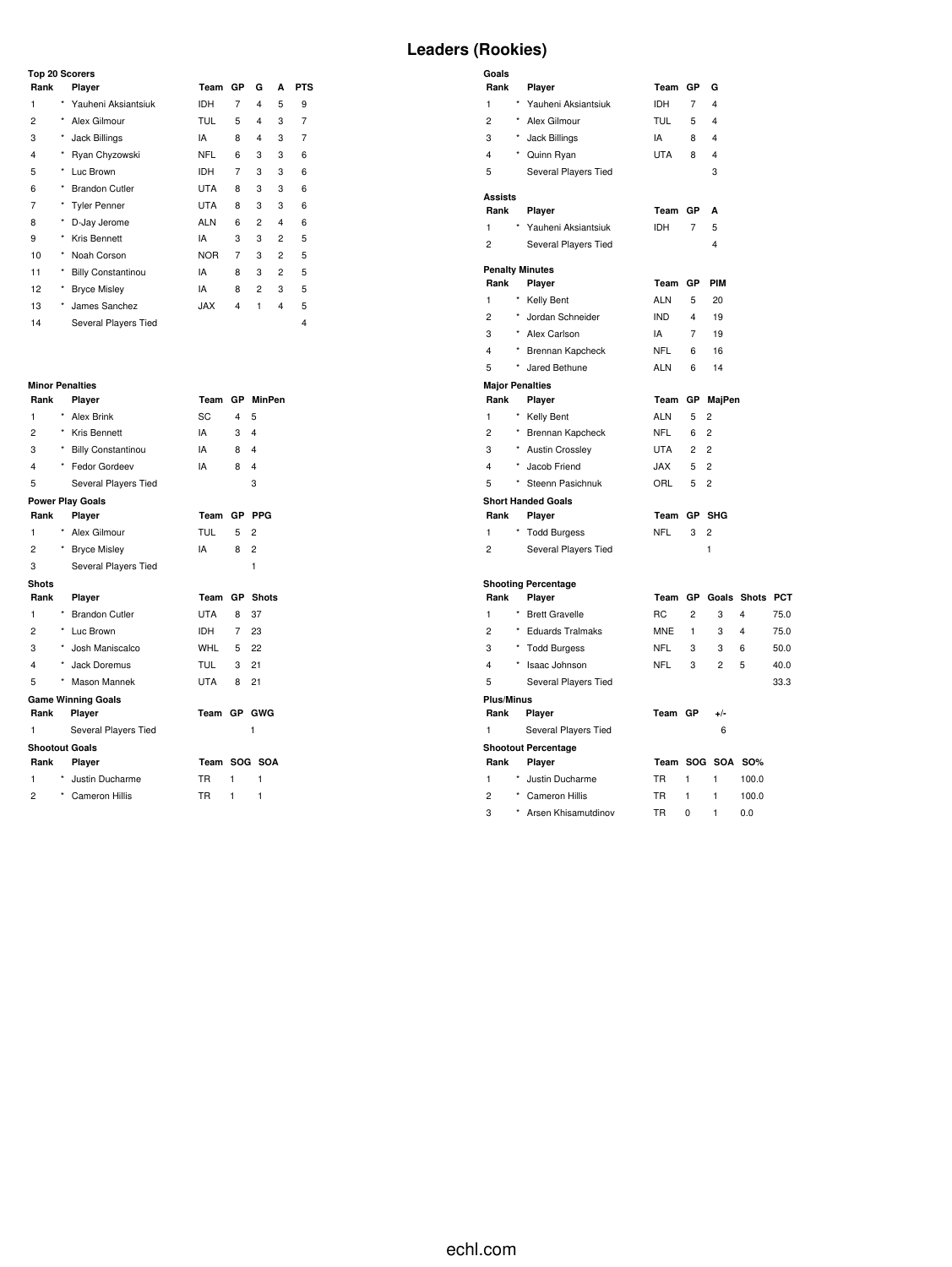### **Top 20 Scorers**

| Rank |            | Player                    | Team       | GP | G | A              | <b>PTS</b> |
|------|------------|---------------------------|------------|----|---|----------------|------------|
| 1    | *          | Yauheni Aksiantsiuk       | <b>IDH</b> | 7  | 4 | 5              | 9          |
| 2    | $\star$    | Alex Gilmour              | <b>TUL</b> | 5  | 4 | 3              | 7          |
| 3    | $^{\star}$ | Jack Billings             | IA         | 8  | 4 | 3              | 7          |
| 4    | *          | Ryan Chyzowski            | <b>NFL</b> | 6  | 3 | 3              | 6          |
| 5    | *          | Luc Brown                 | <b>IDH</b> | 7  | 3 | 3              | 6          |
| 6    | $\star$    | <b>Brandon Cutler</b>     | <b>UTA</b> | 8  | 3 | 3              | 6          |
| 7    | *          | <b>Tyler Penner</b>       | <b>UTA</b> | 8  | 3 | 3              | 6          |
| 8    | *          | D-Jay Jerome              | <b>ALN</b> | 6  | 2 | 4              | 6          |
| 9    | *          | Kris Bennett              | IA         | 3  | 3 | $\overline{c}$ | 5          |
| 10   | $\star$    | Noah Corson               | <b>NOR</b> | 7  | 3 | $\overline{c}$ | 5          |
| 11   | $^{\star}$ | <b>Billy Constantinou</b> | IA         | 8  | 3 | $\overline{c}$ | 5          |
| 12   | ×          | <b>Bryce Misley</b>       | IA         | 8  | 2 | 3              | 5          |
| 13   | $\star$    | James Sanchez             | <b>JAX</b> | 4  | 1 | 4              | 5          |
| 14   |            | Several Players Tied      |            |    |   |                | 4          |

# **Minor Penalties**

| Rank                    |            | Player                    | Team        | <b>GP</b>      | <b>MinPen</b>           |
|-------------------------|------------|---------------------------|-------------|----------------|-------------------------|
| 1                       | $^{\star}$ | <b>Alex Brink</b>         | SC          | 4              | 5                       |
| $\overline{c}$          |            | * Kris Bennett            | IA          | 3              | 4                       |
| 3                       | *          | <b>Billy Constantinou</b> | IA          | 8              | 4                       |
| 4                       | *          | Fedor Gordeev             | IA          | 8              | $\overline{\mathbf{A}}$ |
| 5                       |            | Several Players Tied      |             |                | 3                       |
|                         |            | <b>Power Play Goals</b>   |             |                |                         |
| Rank                    |            | Player                    | Team        | <b>GP</b>      | <b>PPG</b>              |
| 1                       | $^{\star}$ | Alex Gilmour              | <b>TUL</b>  | 5              | 2                       |
| $\overline{c}$          |            | <b>Bryce Misley</b>       | IA          | 8              | $\overline{2}$          |
| 3                       |            | Several Players Tied      |             |                | 1                       |
| <b>Shots</b>            |            |                           |             |                |                         |
| Rank                    |            | Player                    | Team        | <b>GP</b>      | <b>Shots</b>            |
| 1                       | *          | <b>Brandon Cutler</b>     | <b>UTA</b>  | 8              | 37                      |
| $\overline{c}$          |            | * Luc Brown               | IDH.        | $\overline{7}$ | 23                      |
| 3                       | $\star$    | Josh Maniscalco           | WHL         | 5              | 22                      |
| $\overline{\mathbf{4}}$ | $\star$    | Jack Doremus              | <b>TUL</b>  | 3              | 21                      |
| 5                       | *          | Mason Mannek              | UTA         | 8              | 21                      |
|                         |            | <b>Game Winning Goals</b> |             |                |                         |
| Rank                    |            | Player                    | Team GP GWG |                |                         |
| 1                       |            | Several Players Tied      |             |                | 1                       |
|                         |            | <b>Shootout Goals</b>     |             |                |                         |
| Rank                    |            | Player                    | Team SOG    |                | <b>SOA</b>              |
| 1                       | ×          | Justin Ducharme           | <b>TR</b>   | 1              | 1                       |
| 2                       |            | Cameron Hillis            | <b>TR</b>   | 1              | 1                       |

## **Leaders (Rookies)**

| Goals             |          |                            |            |                |                         |                         |      |
|-------------------|----------|----------------------------|------------|----------------|-------------------------|-------------------------|------|
| Rank              |          | Player                     | Team       | GP             | G                       |                         |      |
| 1                 |          | Yauheni Aksiantsiuk        | IDH        | $\overline{7}$ | $\overline{\mathbf{4}}$ |                         |      |
| $\overline{2}$    | $^\star$ | Alex Gilmour               | TUL        | 5              | $\overline{4}$          |                         |      |
| 3                 | $^\star$ | Jack Billings              | IA         | 8              | $\overline{4}$          |                         |      |
| 4                 |          | Quinn Ryan                 | <b>UTA</b> | 8              | $\overline{4}$          |                         |      |
| 5                 |          | Several Players Tied       |            |                | 3                       |                         |      |
| <b>Assists</b>    |          |                            |            |                |                         |                         |      |
| Rank              |          | Player                     | Team       | GP             | A                       |                         |      |
| 1                 |          | Yauheni Aksiantsiuk        | <b>IDH</b> | 7              | 5                       |                         |      |
| $\overline{c}$    |          | Several Players Tied       |            |                | $\overline{4}$          |                         |      |
|                   |          | <b>Penalty Minutes</b>     |            |                |                         |                         |      |
| Rank              |          | Player                     | Team       | GP             | <b>PIM</b>              |                         |      |
| 1                 |          | Kelly Bent                 | <b>ALN</b> | 5              | 20                      |                         |      |
| $\overline{c}$    | $^\star$ | Jordan Schneider           | <b>IND</b> | 4              | 19                      |                         |      |
| 3                 | $\star$  | Alex Carlson               | IA         | $\overline{7}$ | 19                      |                         |      |
| 4                 | $^\star$ | Brennan Kapcheck           | <b>NFL</b> | 6              | 16                      |                         |      |
| 5                 | $^\star$ | Jared Bethune              | <b>ALN</b> | 6              | 14                      |                         |      |
|                   |          | <b>Major Penalties</b>     |            |                |                         |                         |      |
| Rank              |          | Player                     | Team       |                | GP MajPen               |                         |      |
| $\mathbf{1}$      | $\star$  | <b>Kelly Bent</b>          | <b>ALN</b> | 5              | $\overline{c}$          |                         |      |
| $\overline{c}$    |          | * Brennan Kapcheck         | <b>NFL</b> | 6              | $\overline{2}$          |                         |      |
| 3                 | *        | <b>Austin Crossley</b>     | <b>UTA</b> | $\overline{2}$ | $\overline{2}$          |                         |      |
| 4                 | $^\star$ | Jacob Friend               | <b>JAX</b> | 5              | $\overline{2}$          |                         |      |
| 5                 | $^\star$ | Steenn Pasichnuk           | ORL        | 5              | $\overline{2}$          |                         |      |
|                   |          | <b>Short Handed Goals</b>  |            |                |                         |                         |      |
| Rank              | $^\star$ | Player                     | Team       | GР             | SHG                     |                         |      |
| 1                 |          | <b>Todd Burgess</b>        | <b>NFL</b> | 3              | $\overline{c}$          |                         |      |
| $\overline{c}$    |          | Several Players Tied       |            |                | $\mathbf{1}$            |                         |      |
|                   |          | <b>Shooting Percentage</b> |            |                |                         |                         |      |
| Rank              |          | Player                     |            |                |                         | Team GP Goals Shots PCT |      |
| 1                 | $^\star$ | <b>Brett Gravelle</b>      | <b>RC</b>  | $\overline{c}$ | 3                       | 4                       | 75.0 |
| $\overline{c}$    | $\star$  | <b>Eduards Tralmaks</b>    | <b>MNE</b> | 1              | 3                       | 4                       | 75.0 |
| 3                 | $^\star$ | <b>Todd Burgess</b>        | <b>NFL</b> | 3              | 3                       | 6                       | 50.0 |
| 4                 | $\star$  | Isaac Johnson              | <b>NFL</b> | 3              | 2                       | 5                       | 40.0 |
| 5                 |          | Several Players Tied       |            |                |                         |                         | 33.3 |
| <b>Plus/Minus</b> |          |                            |            |                |                         |                         |      |
| Rank              |          | Player                     | Team GP    |                | $+/-$                   |                         |      |
| 1                 |          | Several Players Tied       |            |                | 6                       |                         |      |
|                   |          | <b>Shootout Percentage</b> |            |                |                         |                         |      |
| Rank              |          | Player                     |            |                | Team SOG SOA SO%        |                         |      |
| 1                 |          | Justin Ducharme            | <b>TR</b>  | 1              | 1                       | 100.0                   |      |
| $\overline{c}$    |          | * Cameron Hillis           | <b>TR</b>  | 1              | 1                       | 100.0                   |      |
| 3                 | $\star$  | Arsen Khisamutdinov        | <b>TR</b>  | 0              | $\mathbf{1}$            | 0.0                     |      |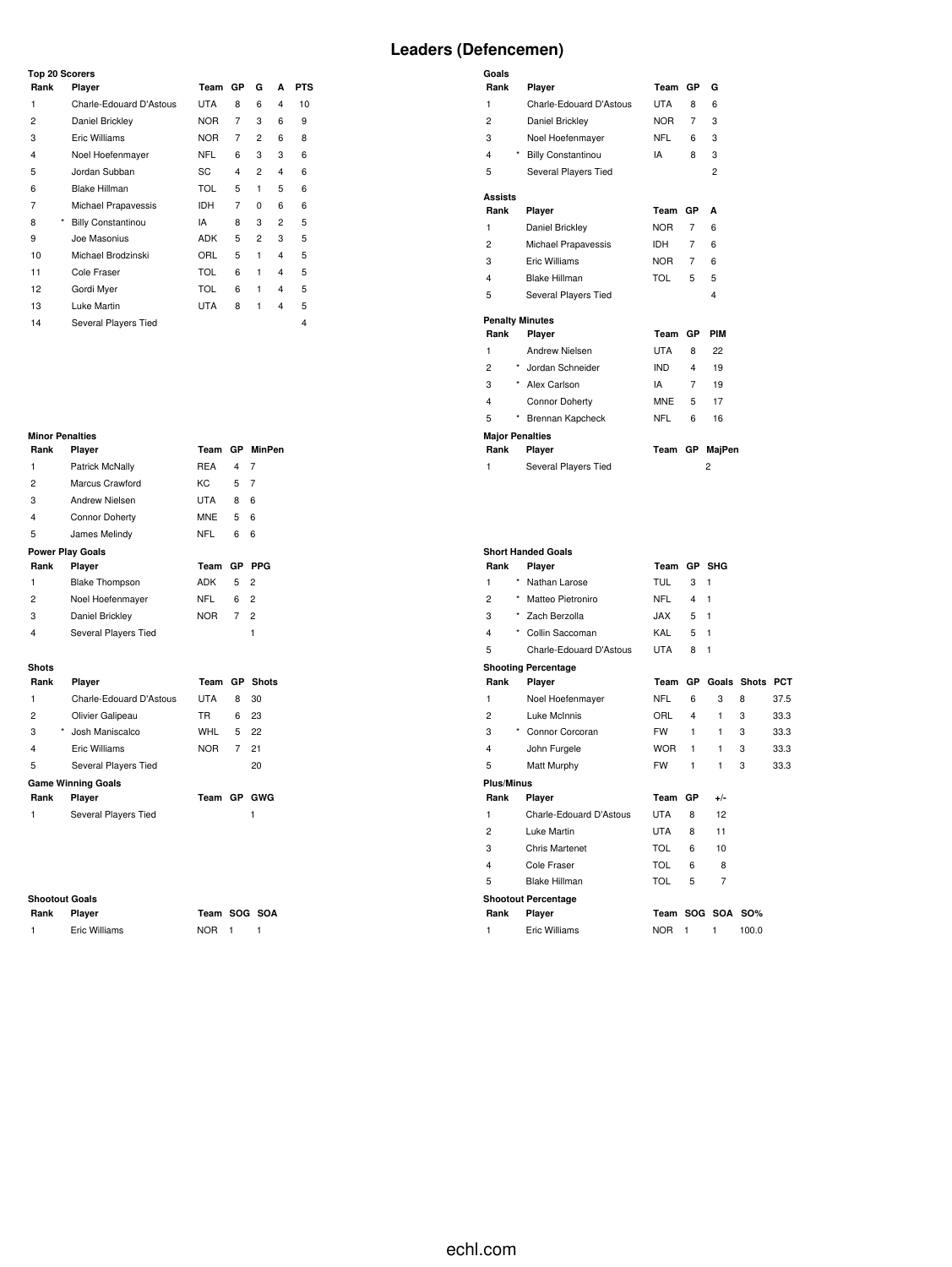### **Leaders (Defencemen)**

**Goals**

| <b>Top 20 Scorers</b> |                           |            |    |          |   |            |  |
|-----------------------|---------------------------|------------|----|----------|---|------------|--|
| Rank                  | Player                    | Team       | GP | G        | A | <b>PTS</b> |  |
| 1                     | Charle-Edouard D'Astous   | <b>UTA</b> | 8  | 6        | 4 | 10         |  |
| 2                     | Daniel Brickley           | <b>NOR</b> | 7  | 3        | 6 | 9          |  |
| 3                     | Eric Williams             | <b>NOR</b> | 7  | 2        | 6 | 8          |  |
| 4                     | Noel Hoefenmayer          | <b>NFL</b> | 6  | 3        | 3 | 6          |  |
| 5                     | Jordan Subban             | SC         | 4  | 2        | 4 | 6          |  |
| 6                     | <b>Blake Hillman</b>      | <b>TOL</b> | 5  | 1        | 5 | 6          |  |
| 7                     | Michael Prapavessis       | <b>IDH</b> | 7  | $\Omega$ | 6 | 6          |  |
| *<br>8                | <b>Billy Constantinou</b> | IA         | 8  | 3        | 2 | 5          |  |
| 9                     | Joe Masonius              | <b>ADK</b> | 5  | 2        | 3 | 5          |  |
| 10                    | Michael Brodzinski        | ORL        | 5  | 1        | 4 | 5          |  |
| 11                    | Cole Fraser               | <b>TOL</b> | 6  | 1        | 4 | 5          |  |
| 12                    | Gordi Myer                | <b>TOL</b> | 6  | 1        | 4 | 5          |  |
| 13                    | Luke Martin               | <b>UTA</b> | 8  | 1        | 4 | 5          |  |
| 14                    | Several Players Tied      |            |    |          |   | 4          |  |

## **Minor Penalties**

|                | <b>Minor Penalties</b>        |            |                |                |
|----------------|-------------------------------|------------|----------------|----------------|
| Rank           | Player                        | Team       |                | GP MinPen      |
| 1              | Patrick McNally               | <b>REA</b> | $\overline{4}$ | 7              |
| $\overline{c}$ | Marcus Crawford               | KC.        | 5              | 7              |
| 3              | Andrew Nielsen                | UTA        | 8              | 6              |
| 4              | <b>Connor Doherty</b>         | <b>MNE</b> | 5              | 6              |
| 5              | James Melindy                 | <b>NFL</b> | 6              | 6              |
|                | <b>Power Play Goals</b>       |            |                |                |
| Rank           | Player                        | Team       | GP             | <b>PPG</b>     |
| 1              | <b>Blake Thompson</b>         | <b>ADK</b> | 5              | $\overline{2}$ |
| $\overline{c}$ | Noel Hoefenmayer              | <b>NFL</b> | 6              | $\overline{2}$ |
| 3              | Daniel Brickley               | <b>NOR</b> | 7              | $\mathfrak{p}$ |
| 4              | Several Players Tied          |            |                | 1              |
|                |                               |            |                |                |
| <b>Shots</b>   |                               |            |                |                |
| Rank           | Player                        | Team       | GP             | <b>Shots</b>   |
| 1              | Charle-Edouard D'Astous       | <b>UTA</b> | 8              | 30             |
| $\overline{c}$ | Olivier Galipeau              | <b>TR</b>  | 6              | 23             |
| 3              | $^{\star}$<br>Josh Maniscalco | WHL        | 5              | 22             |
| 4              | Eric Williams                 | <b>NOR</b> | 7              | 21             |

#### 5 Several Players Tied<br>
Game Winning Goals **Game Winning Goals Rank Player Team GP GWG**

Several Players Tied 1

#### **Shootout Goals**

**Rank Player Team SOG SOA** 1 Eric Williams NOR 1 1

| Rank           | Player                                | Team             | GP        | G              |  |
|----------------|---------------------------------------|------------------|-----------|----------------|--|
| 1              | Charle-Edouard D'Astous               | UTA              | 8         | 6              |  |
| $\overline{c}$ | Daniel Brickley                       | <b>NOR</b>       | 7         | 3              |  |
| 3              | Noel Hoefenmayer                      | <b>NFL</b>       | 6         | 3              |  |
| 4              | $^\star$<br><b>Billy Constantinou</b> | IA               | 8         | 3              |  |
| 5              | Several Players Tied                  |                  |           | $\overline{c}$ |  |
| Assists        |                                       |                  |           |                |  |
| Rank           | Player                                | Team             | GP        | Δ              |  |
| 1              | Daniel Brickley                       | <b>NOR</b>       | 7         | 6              |  |
| $\overline{c}$ | Michael Prapavessis                   | IDH              | 7         | 6              |  |
| 3              | Eric Williams                         | NOR <sub>D</sub> | 7         | 6              |  |
| 4              | <b>Blake Hillman</b>                  | TOL              | 5         | 5              |  |
| 5              | Several Players Tied                  |                  |           | 4              |  |
|                | <b>Penalty Minutes</b>                |                  |           |                |  |
| Rank           | Player                                | Team             | GP        | PIM            |  |
| 1              | <b>Andrew Nielsen</b>                 | <b>UTA</b>       | 8         | 22             |  |
| $\overline{c}$ | Jordan Schneider                      | <b>IND</b>       | 4         | 19             |  |
| 3              | $\star$<br>Alex Carlson               | IA               | 7         | 19             |  |
| 4              | <b>Connor Doherty</b>                 | <b>MNE</b>       | 5         | 17             |  |
| 5              | ×<br>Brennan Kapcheck                 | <b>NFL</b>       | 6         | 16             |  |
|                | <b>Major Penalties</b>                |                  |           |                |  |
| Rank           | Player                                | Team             | <b>GP</b> | MajPen         |  |
| 1              | Several Players Tied                  |                  |           | 2              |  |

|                   |          | <b>Short Handed Goals</b>  |            |              |              |              |            |
|-------------------|----------|----------------------------|------------|--------------|--------------|--------------|------------|
| Rank              |          | Player                     | Team       |              | GP SHG       |              |            |
| 1                 | *        | Nathan Larose              | TUL        | 3            | 1            |              |            |
| $\overline{2}$    | $\star$  | Matteo Pietroniro          | <b>NFL</b> | 4            | $\mathbf{1}$ |              |            |
| 3                 | $^\star$ | Zach Berzolla              | <b>XAL</b> | 5            | $\mathbf{1}$ |              |            |
| 4                 | *        | Collin Saccoman            | KAL        | 5            | 1            |              |            |
| 5                 |          | Charle-Edouard D'Astous    | <b>UTA</b> | 8            | $\mathbf{1}$ |              |            |
|                   |          | <b>Shooting Percentage</b> |            |              |              |              |            |
| Rank              |          | Player                     | Team       | GР           | Goals        | <b>Shots</b> | <b>PCT</b> |
| 1                 |          | Noel Hoefenmayer           | NFL        | 6            | 3            | 8            | 37.5       |
| $\overline{2}$    |          | Luke McInnis               | ORL        | 4            | 1            | 3            | 33.3       |
| 3                 |          | * Connor Corcoran          | <b>FW</b>  | 1            | 1            | 3            | 33.3       |
| 4                 |          | John Furgele               | <b>WOR</b> | 1            | 1            | 3            | 33.3       |
| 5                 |          | Matt Murphy                | <b>FW</b>  | $\mathbf{1}$ | 1            | 3            | 33.3       |
| <b>Plus/Minus</b> |          |                            |            |              |              |              |            |
| Rank              |          | Player                     | Team       | <b>GP</b>    | $+/-$        |              |            |
| 1                 |          | Charle-Edouard D'Astous    | <b>UTA</b> | 8            | 12           |              |            |
| $\overline{2}$    |          | Luke Martin                | <b>UTA</b> | 8            | 11           |              |            |
| 3                 |          | <b>Chris Martenet</b>      | <b>TOL</b> | 6            | 10           |              |            |
| 4                 |          | Cole Fraser                | TOL        | 6            | 8            |              |            |
| 5                 |          | Blake Hillman              | <b>TOL</b> | 5            | 7            |              |            |
|                   |          | <b>Shootout Percentage</b> |            |              |              |              |            |
| Rank              |          | Player                     |            |              | Team SOG SOA | SO%          |            |
| 1                 |          | Eric Williams              | <b>NOR</b> | 1            | 1            | 100.0        |            |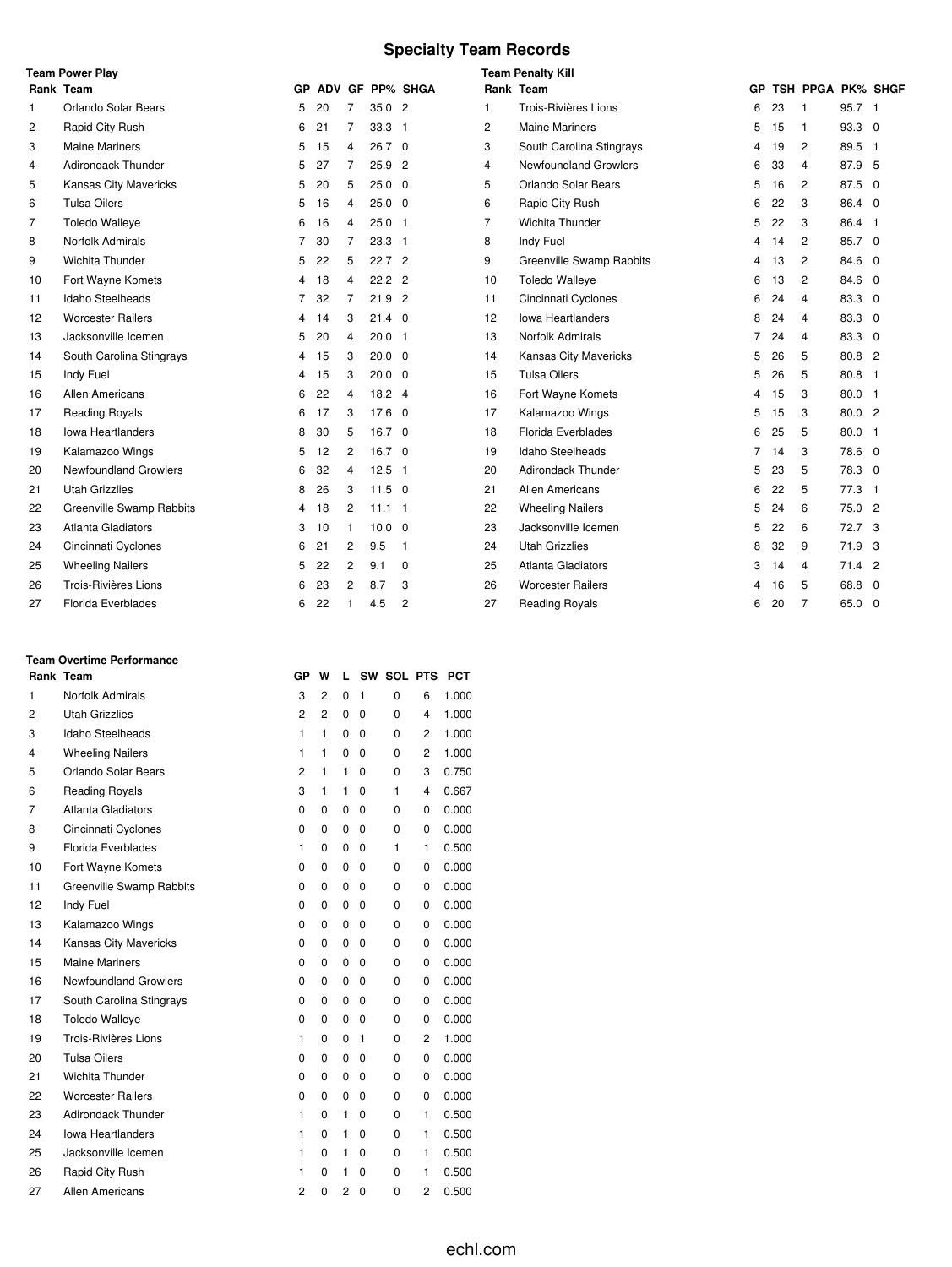### **Specialty Team Records**

|                | <b>Team Power Play</b>       |           |    |                |                   |                 |                | <b>Team Penalty Kill</b>     |           |    |                   |          |                |
|----------------|------------------------------|-----------|----|----------------|-------------------|-----------------|----------------|------------------------------|-----------|----|-------------------|----------|----------------|
|                | Rank Team                    | <b>GP</b> |    |                |                   | ADV GF PP% SHGA |                | Rank Team                    | <b>GP</b> |    | TSH PPGA PK% SHGF |          |                |
| $\mathbf{1}$   | Orlando Solar Bears          | 5         | 20 | 7              | 35.02             |                 | 1              | Trois-Rivières Lions         | 6         | 23 | -1                | 95.7 1   |                |
| $\overline{c}$ | Rapid City Rush              | 6         | 21 | 7              | 33.3              | -1              | $\overline{2}$ | <b>Maine Mariners</b>        | 5         | 15 | 1                 | 93.3 0   |                |
| 3              | <b>Maine Mariners</b>        | 5         | 15 | 4              | 26.7 <sup>0</sup> |                 | 3              | South Carolina Stingrays     | 4         | 19 | $\overline{2}$    | 89.5 1   |                |
| 4              | <b>Adirondack Thunder</b>    | 5         | 27 | 7              | 25.9              | $\overline{2}$  | 4              | <b>Newfoundland Growlers</b> | 6         | 33 | $\overline{4}$    | 87.9     | 5              |
| 5              | Kansas City Mavericks        | 5         | 20 | 5              | $25.0$ 0          |                 | 5              | Orlando Solar Bears          | 5         | 16 | $\overline{c}$    | 87.5 0   |                |
| 6              | <b>Tulsa Oilers</b>          | 5         | 16 | 4              | $25.0\quad0$      |                 | 6              | Rapid City Rush              | 6         | 22 | 3                 | 86.4 0   |                |
| $\overline{7}$ | <b>Toledo Walleye</b>        | 6         | 16 | 4              | 25.0              | $\mathbf{1}$    | $\overline{7}$ | Wichita Thunder              | 5         | 22 | 3                 | 86.4 1   |                |
| 8              | Norfolk Admirals             | 7         | 30 | 7              | 23.3 <sub>1</sub> |                 | 8              | Indy Fuel                    | 4         | 14 | $\overline{c}$    | 85.7 0   |                |
| 9              | <b>Wichita Thunder</b>       | 5         | 22 | 5              | 22.7 <sup>2</sup> |                 | 9              | Greenville Swamp Rabbits     | 4         | 13 | $\overline{c}$    | 84.6 0   |                |
| 10             | Fort Wayne Komets            | 4         | 18 | 4              | $22.2$ 2          |                 | 10             | <b>Toledo Walleye</b>        | 6         | 13 | $\overline{c}$    | 84.6 0   |                |
| 11             | Idaho Steelheads             | 7         | 32 | $\overline{7}$ | 21.9              | $\overline{2}$  | 11             | Cincinnati Cyclones          | 6         | 24 | $\overline{4}$    | 83.3 0   |                |
| 12             | <b>Worcester Railers</b>     | 4         | 14 | 3              | $21.4 \quad 0$    |                 | 12             | <b>Iowa Heartlanders</b>     | 8         | 24 | $\overline{4}$    | 83.3 0   |                |
| 13             | Jacksonville Icemen          | 5         | 20 | 4              | $20.0$ 1          |                 | 13             | Norfolk Admirals             |           | 24 | $\overline{4}$    | 83.3 0   |                |
| 14             | South Carolina Stingrays     | 4         | 15 | 3              | $20.0 \quad 0$    |                 | 14             | Kansas City Mavericks        | 5         | 26 | 5                 | 80.8 2   |                |
| 15             | Indy Fuel                    | 4         | 15 | 3              | $20.0 \quad 0$    |                 | 15             | <b>Tulsa Oilers</b>          | 5         | 26 | 5                 | 80.8     | $\overline{1}$ |
| 16             | <b>Allen Americans</b>       | 6         | 22 | 4              | $18.2$ 4          |                 | 16             | Fort Wayne Komets            | 4         | 15 | 3                 | 80.0 1   |                |
| 17             | <b>Reading Royals</b>        | 6         | 17 | 3              | $17.6 \quad 0$    |                 | 17             | Kalamazoo Wings              | 5         | 15 | 3                 | 80.0 2   |                |
| 18             | <b>Iowa Heartlanders</b>     | 8         | 30 | 5              | 16.7 <sup>0</sup> |                 | 18             | Florida Everblades           | 6         | 25 | 5                 | 80.0 1   |                |
| 19             | Kalamazoo Wings              | 5         | 12 | 2              | $16.7 \quad 0$    |                 | 19             | Idaho Steelheads             | 7         | 14 | 3                 | 78.6 0   |                |
| 20             | <b>Newfoundland Growlers</b> | 6         | 32 | 4              | 12.5              | $\mathbf{1}$    | 20             | <b>Adirondack Thunder</b>    | 5         | 23 | 5                 | 78.3 0   |                |
| 21             | <b>Utah Grizzlies</b>        | 8         | 26 | 3              | $11.5 \quad 0$    |                 | 21             | <b>Allen Americans</b>       | 6         | 22 | 5                 | 77.3 1   |                |
| 22             | Greenville Swamp Rabbits     | 4         | 18 | 2              | $11.1$ 1          |                 | 22             | <b>Wheeling Nailers</b>      | 5         | 24 | 6                 | 75.0 2   |                |
| 23             | Atlanta Gladiators           | 3         | 10 |                | $10.0 \ 0$        |                 | 23             | Jacksonville Icemen          | 5         | 22 | 6                 | 72.7 3   |                |
| 24             | Cincinnati Cyclones          | 6         | 21 | 2              | 9.5               | $\mathbf{1}$    | 24             | <b>Utah Grizzlies</b>        | 8         | 32 | 9                 | 71.9 3   |                |
| 25             | <b>Wheeling Nailers</b>      | 5         | 22 | 2              | 9.1               | $\Omega$        | 25             | <b>Atlanta Gladiators</b>    | 3         | 14 | $\overline{4}$    | $71.4$ 2 |                |
| 26             | Trois-Rivières Lions         | 6         | 23 | 2              | 8.7               | 3               | 26             | <b>Worcester Railers</b>     |           | 16 | 5                 | 68.8 0   |                |
| 27             | <b>Florida Everblades</b>    | 6         | 22 | 1              | 4.5               | 2               | 27             | <b>Reading Royals</b>        | 6         | 20 | $\overline{7}$    | 65.0 0   |                |

### Norfolk Admirals 3 2 0 1 0 6 1.000 Utah Grizzlies 2 2 0 0 0 4 1.000 Idaho Steelheads 1 1 0 0 0 2 1.000 Wheeling Nailers 1 1 0 0 0 2 1.000 Orlando Solar Bears 2 1 1 0 0 3 0.750 Reading Royals 3 1 1 0 1 4 0.667 Atlanta Gladiators 0 0 0 0 0 0 0.000 Cincinnati Cyclones 0 0 0 0 0 0 0.000 Florida Everblades 1 0 0 0 1 1 0.500 10 Fort Wayne Komets **0 0 0 0 0 0 0 0 0 0.000**  Greenville Swamp Rabbits 0 0 0 0 0 0 0.000 12 Indy Fuel 0 0 0 0 0 0 0 0 0.000 13 Kalamazoo Wings 0 0 0 0 0 0 0 0 0.000 Kansas City Mavericks 0 0 0 0 0 0 0.000 15 Maine Mariners 0 0 0 0 0 0 0 0.000 Newfoundland Growlers 0 0 0 0 0 0 0.000 South Carolina Stingrays 0 0 0 0 0 0 0.000 Toledo Walleye 0 0 0 0 0 0 0.000 19 Trois-Rivières Lions 1 0 0 1 0 2 1.000 Tulsa Oilers 0 0 0 0 0 0 0.000 Wichita Thunder 0 0 0 0 0 0 0.000 Worcester Railers 0 0 0 0 0 0 0.000 23 Adirondack Thunder 1 0 1 0 0 1 0.500 Iowa Heartlanders 1 0 1 0 0 1 0.500 Jacksonville Icemen 1 0 1 0 0 1 0.500 26 Rapid City Rush 1 0 1 0 0 1 0.500

Allen Americans 2 0 2 0 0 2 0.500

**Rank Team GP W L SW SOL PTS PCT**

**Team Overtime Performance**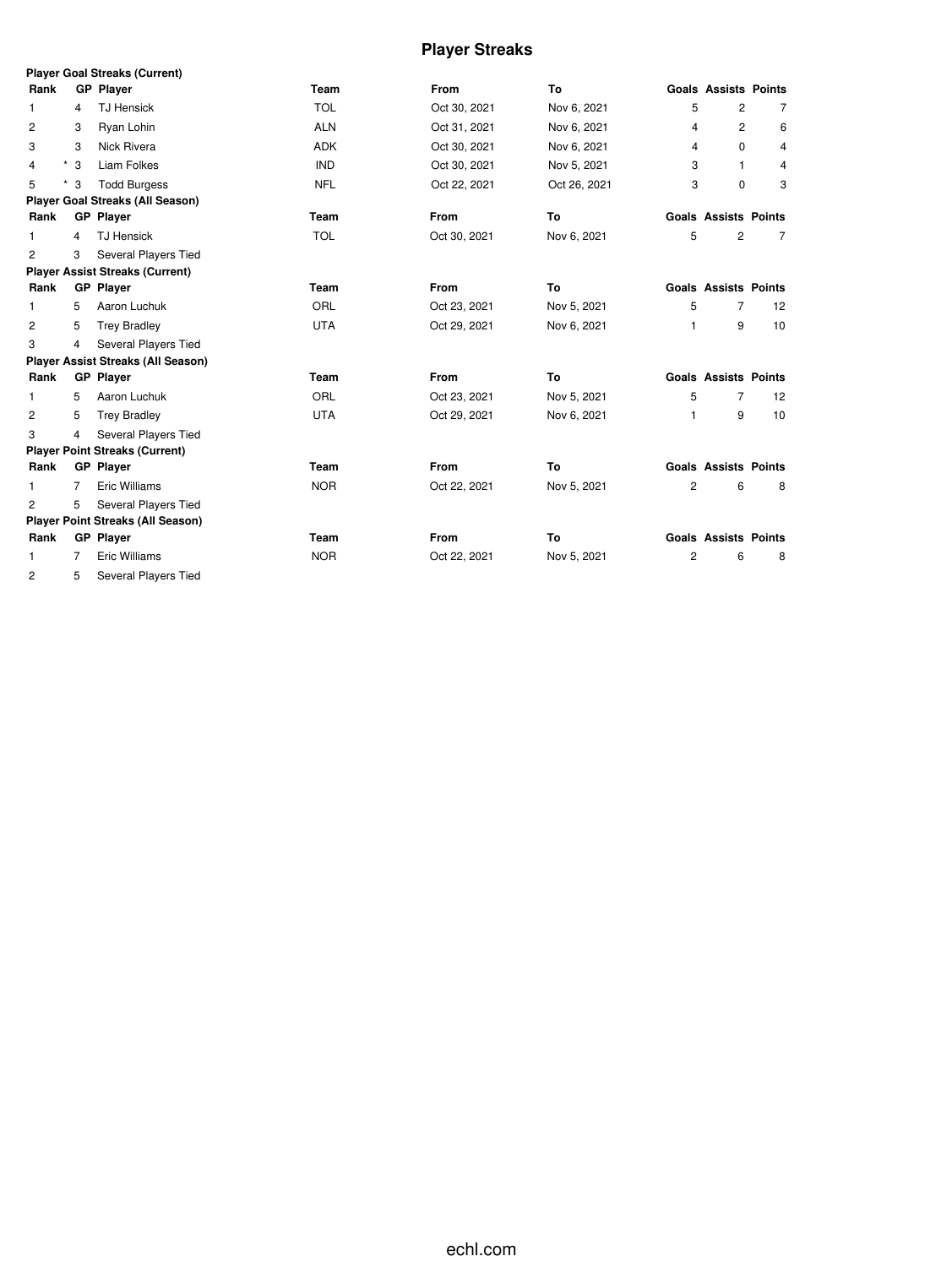## **Player Streaks**

|                |      | <b>Player Goal Streaks (Current)</b>      |             |              |              |                |                             |                   |
|----------------|------|-------------------------------------------|-------------|--------------|--------------|----------------|-----------------------------|-------------------|
| Rank           |      | <b>GP Player</b>                          | Team        | <b>From</b>  | To           |                | <b>Goals Assists Points</b> |                   |
| $\mathbf{1}$   | 4    | <b>TJ Hensick</b>                         | <b>TOL</b>  | Oct 30, 2021 | Nov 6, 2021  | 5              | $\overline{2}$              | 7                 |
| 2              | 3    | Ryan Lohin                                | <b>ALN</b>  | Oct 31, 2021 | Nov 6, 2021  | 4              | $\overline{c}$              | 6                 |
| 3              | 3    | Nick Rivera                               | <b>ADK</b>  | Oct 30, 2021 | Nov 6, 2021  | 4              | $\Omega$                    | 4                 |
| 4              | $*3$ | Liam Folkes                               | <b>IND</b>  | Oct 30, 2021 | Nov 5, 2021  | 3              | $\mathbf{1}$                | 4                 |
| 5              | $*3$ | <b>Todd Burgess</b>                       | <b>NFL</b>  | Oct 22, 2021 | Oct 26, 2021 | 3              | 0                           | 3                 |
|                |      | <b>Player Goal Streaks (All Season)</b>   |             |              |              |                |                             |                   |
| Rank           |      | <b>GP</b> Player                          | Team        | <b>From</b>  | To           |                | <b>Goals Assists Points</b> |                   |
| 1              | 4    | <b>TJ Hensick</b>                         | <b>TOL</b>  | Oct 30, 2021 | Nov 6, 2021  | 5              | $\overline{c}$              | 7                 |
| 2              | 3    | Several Players Tied                      |             |              |              |                |                             |                   |
|                |      | <b>Player Assist Streaks (Current)</b>    |             |              |              |                |                             |                   |
| Rank           |      | <b>GP Player</b>                          | <b>Team</b> | From         | To           |                | <b>Goals Assists Points</b> |                   |
| 1              | 5    | Aaron Luchuk                              | ORL         | Oct 23, 2021 | Nov 5, 2021  | 5              | $\overline{7}$              | $12 \overline{ }$ |
| $\overline{c}$ | 5    | <b>Trey Bradley</b>                       | <b>UTA</b>  | Oct 29, 2021 | Nov 6, 2021  | 1              | 9                           | 10                |
| 3              | 4    | Several Players Tied                      |             |              |              |                |                             |                   |
|                |      | <b>Player Assist Streaks (All Season)</b> |             |              |              |                |                             |                   |
| Rank           |      | <b>GP</b> Player                          | <b>Team</b> | From         | To           |                | <b>Goals Assists Points</b> |                   |
| 1              | 5    | Aaron Luchuk                              | ORL         | Oct 23, 2021 | Nov 5, 2021  | 5              | $\overline{7}$              | $12 \overline{ }$ |
| 2              | 5    | <b>Trey Bradley</b>                       | <b>UTA</b>  | Oct 29, 2021 | Nov 6, 2021  | 1              | 9                           | 10                |
| 3              | 4    | Several Players Tied                      |             |              |              |                |                             |                   |
|                |      | <b>Player Point Streaks (Current)</b>     |             |              |              |                |                             |                   |
| Rank           |      | <b>GP Player</b>                          | Team        | From         | To           |                | <b>Goals Assists Points</b> |                   |
| $\mathbf{1}$   | 7    | Eric Williams                             | <b>NOR</b>  | Oct 22, 2021 | Nov 5, 2021  | $\overline{c}$ | 6                           | 8                 |
| 2              | 5    | Several Players Tied                      |             |              |              |                |                             |                   |
|                |      | <b>Player Point Streaks (All Season)</b>  |             |              |              |                |                             |                   |
| Rank           |      | <b>GP</b> Player                          | <b>Team</b> | <b>From</b>  | To           |                | <b>Goals Assists Points</b> |                   |
| $\mathbf{1}$   | 7    | <b>Eric Williams</b>                      | <b>NOR</b>  | Oct 22, 2021 | Nov 5, 2021  | $\overline{c}$ | 6                           | 8                 |
| $\overline{2}$ | 5    | Several Players Tied                      |             |              |              |                |                             |                   |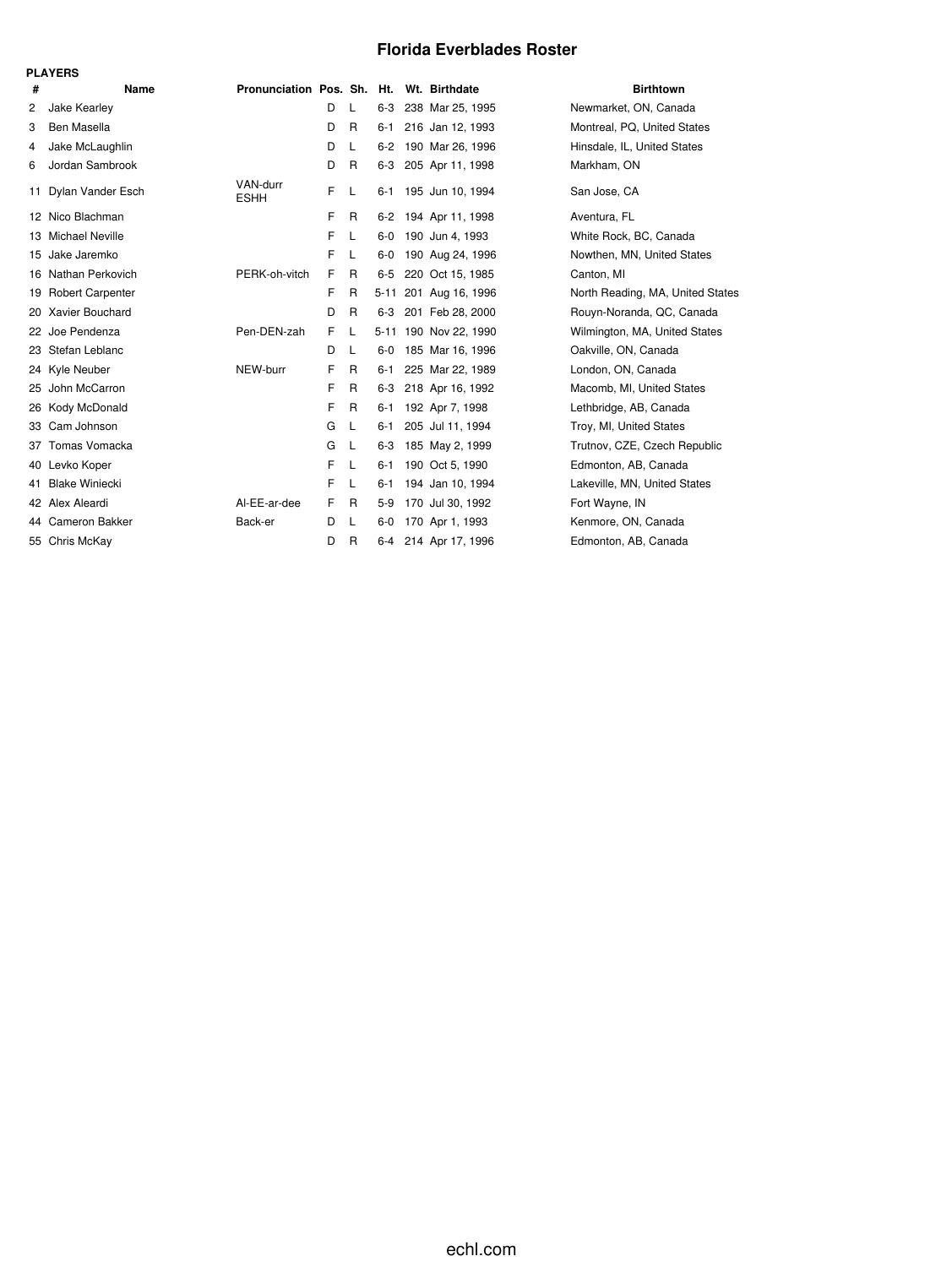### **Florida Everblades Roster**

|    | <b>PLAYERS</b>          |                                          |    |              |         |                       |                                  |
|----|-------------------------|------------------------------------------|----|--------------|---------|-----------------------|----------------------------------|
| #  | Name                    | Pronunciation Pos. Sh. Ht. Wt. Birthdate |    |              |         |                       | <b>Birthtown</b>                 |
| 2  | Jake Kearley            |                                          | D  | L            | $6-3$   | 238 Mar 25, 1995      | Newmarket, ON, Canada            |
| 3  | Ben Masella             |                                          | D  | R            | $6 - 1$ | 216 Jan 12, 1993      | Montreal, PQ, United States      |
| 4  | Jake McLaughlin         |                                          | D  | L            | $6 - 2$ | 190 Mar 26, 1996      | Hinsdale, IL, United States      |
| 6  | Jordan Sambrook         |                                          | D  | $\mathsf{R}$ |         | 6-3 205 Apr 11, 1998  | Markham, ON                      |
| 11 | Dylan Vander Esch       | VAN-durr<br><b>ESHH</b>                  | F  | L            |         | 6-1 195 Jun 10, 1994  | San Jose, CA                     |
| 12 | Nico Blachman           |                                          | F  | R            | 6-2     | 194 Apr 11, 1998      | Aventura, FL                     |
| 13 | <b>Michael Neville</b>  |                                          | F  | L            | $6-0$   | 190 Jun 4, 1993       | White Rock, BC, Canada           |
| 15 | Jake Jaremko            |                                          | F  | L            | $6-0$   | 190 Aug 24, 1996      | Nowthen, MN, United States       |
| 16 | Nathan Perkovich        | PERK-oh-vitch                            | F  | $\mathsf{R}$ | $6 - 5$ | 220 Oct 15, 1985      | Canton, MI                       |
| 19 | <b>Robert Carpenter</b> |                                          | F  | R            |         | 5-11 201 Aug 16, 1996 | North Reading, MA, United States |
| 20 | Xavier Bouchard         |                                          | D  | $\mathsf{R}$ | $6 - 3$ | 201 Feb 28, 2000      | Rouyn-Noranda, QC, Canada        |
| 22 | Joe Pendenza            | Pen-DEN-zah                              | F. | L            |         | 5-11 190 Nov 22, 1990 | Wilmington, MA, United States    |
| 23 | Stefan Leblanc          |                                          | D  | L            | $6-0$   | 185 Mar 16, 1996      | Oakville, ON, Canada             |
|    | 24 Kyle Neuber          | NEW-burr                                 | F  | $\mathsf{R}$ | 6-1     | 225 Mar 22, 1989      | London, ON, Canada               |
| 25 | John McCarron           |                                          | F  | R            | 6-3     | 218 Apr 16, 1992      | Macomb, MI, United States        |
| 26 | Kody McDonald           |                                          | F  | R            | $6 - 1$ | 192 Apr 7, 1998       | Lethbridge, AB, Canada           |
| 33 | Cam Johnson             |                                          | G  | L            | $6 - 1$ | 205 Jul 11, 1994      | Troy, MI, United States          |
| 37 | Tomas Vomacka           |                                          | G  | L            | 6-3     | 185 May 2, 1999       | Trutnov, CZE, Czech Republic     |
| 40 | Levko Koper             |                                          | F  | L            | $6 - 1$ | 190 Oct 5, 1990       | Edmonton, AB, Canada             |
| 41 | <b>Blake Winiecki</b>   |                                          | F  | L            | $6 - 1$ | 194 Jan 10, 1994      | Lakeville, MN, United States     |
|    | 42 Alex Aleardi         | Al-EE-ar-dee                             | F  | R            | $5-9$   | 170 Jul 30, 1992      | Fort Wayne, IN                   |
| 44 | <b>Cameron Bakker</b>   | Back-er                                  | D  | L            | $6-0$   | 170 Apr 1, 1993       | Kenmore, ON, Canada              |
| 55 | Chris McKay             |                                          | D  | $\mathsf{R}$ | 6-4     | 214 Apr 17, 1996      | Edmonton, AB, Canada             |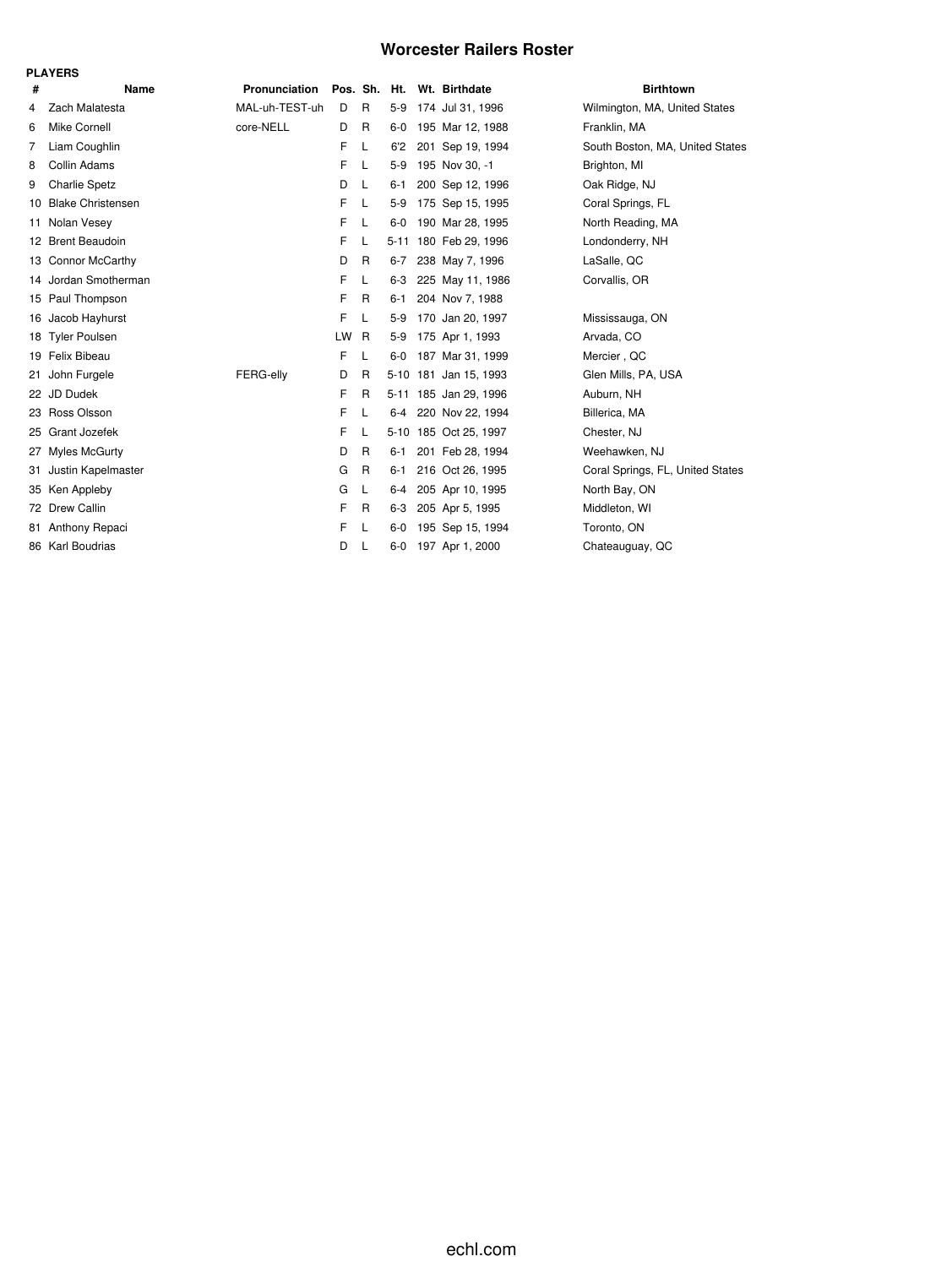### **Worcester Railers Roster**

|    | <b>PLAYERS</b>       |                |    |              |         |  |                       |                                  |  |  |  |  |  |
|----|----------------------|----------------|----|--------------|---------|--|-----------------------|----------------------------------|--|--|--|--|--|
| #  | <b>Name</b>          | Pronunciation  |    | Pos. Sh. Ht. |         |  | Wt. Birthdate         | <b>Birthtown</b>                 |  |  |  |  |  |
| 4  | Zach Malatesta       | MAL-uh-TEST-uh | D  | R            | $5-9$   |  | 174 Jul 31, 1996      | Wilmington, MA, United States    |  |  |  |  |  |
| 6  | Mike Cornell         | core-NELL      | D  | $\mathsf{R}$ | $6-0$   |  | 195 Mar 12, 1988      | Franklin, MA                     |  |  |  |  |  |
| 7  | Liam Coughlin        |                | F  | L            | 6'2     |  | 201 Sep 19, 1994      | South Boston, MA, United States  |  |  |  |  |  |
| 8  | Collin Adams         |                | F  | L            | $5-9$   |  | 195 Nov 30, -1        | Brighton, MI                     |  |  |  |  |  |
| 9  | <b>Charlie Spetz</b> |                | D  | L            | $6 - 1$ |  | 200 Sep 12, 1996      | Oak Ridge, NJ                    |  |  |  |  |  |
|    | 10 Blake Christensen |                | F  | L            | $5-9$   |  | 175 Sep 15, 1995      | Coral Springs, FL                |  |  |  |  |  |
| 11 | Nolan Vesey          |                | F  | L            | $6 - 0$ |  | 190 Mar 28, 1995      | North Reading, MA                |  |  |  |  |  |
|    | 12 Brent Beaudoin    |                | F  | L            |         |  | 5-11 180 Feb 29, 1996 | Londonderry, NH                  |  |  |  |  |  |
|    | 13 Connor McCarthy   |                | D  | R            | $6 - 7$ |  | 238 May 7, 1996       | LaSalle, QC                      |  |  |  |  |  |
|    | 14 Jordan Smotherman |                | F  | L            | $6-3$   |  | 225 May 11, 1986      | Corvallis, OR                    |  |  |  |  |  |
|    | 15 Paul Thompson     |                | F  | R            | $6 - 1$ |  | 204 Nov 7, 1988       |                                  |  |  |  |  |  |
|    | 16 Jacob Hayhurst    |                | F  | L            | $5-9$   |  | 170 Jan 20, 1997      | Mississauga, ON                  |  |  |  |  |  |
| 18 | <b>Tyler Poulsen</b> |                | LW | R            | $5-9$   |  | 175 Apr 1, 1993       | Arvada, CO                       |  |  |  |  |  |
|    | 19 Felix Bibeau      |                | F  | L            | 6-0     |  | 187 Mar 31, 1999      | Mercier, QC                      |  |  |  |  |  |
| 21 | John Furgele         | FERG-elly      | D  | R            |         |  | 5-10 181 Jan 15, 1993 | Glen Mills, PA, USA              |  |  |  |  |  |
|    | 22 JD Dudek          |                | F  | R            |         |  | 5-11 185 Jan 29, 1996 | Auburn, NH                       |  |  |  |  |  |
|    | 23 Ross Olsson       |                | F  | L            |         |  | 6-4 220 Nov 22, 1994  | Billerica, MA                    |  |  |  |  |  |
| 25 | Grant Jozefek        |                | F  | L            |         |  | 5-10 185 Oct 25, 1997 | Chester, NJ                      |  |  |  |  |  |
| 27 | Myles McGurty        |                | D  | R            | $6 - 1$ |  | 201 Feb 28, 1994      | Weehawken, NJ                    |  |  |  |  |  |
| 31 | Justin Kapelmaster   |                | G  | $\mathsf{R}$ | $6 - 1$ |  | 216 Oct 26, 1995      | Coral Springs, FL, United States |  |  |  |  |  |
|    | 35 Ken Appleby       |                | G  | L            | $6-4$   |  | 205 Apr 10, 1995      | North Bay, ON                    |  |  |  |  |  |
|    | 72 Drew Callin       |                | F  | R            | $6 - 3$ |  | 205 Apr 5, 1995       | Middleton, WI                    |  |  |  |  |  |
| 81 | Anthony Repaci       |                | F  | L            | $6-0$   |  | 195 Sep 15, 1994      | Toronto, ON                      |  |  |  |  |  |
|    | 86 Karl Boudrias     |                | D  | L            | $6-0$   |  | 197 Apr 1, 2000       | Chateauguay, QC                  |  |  |  |  |  |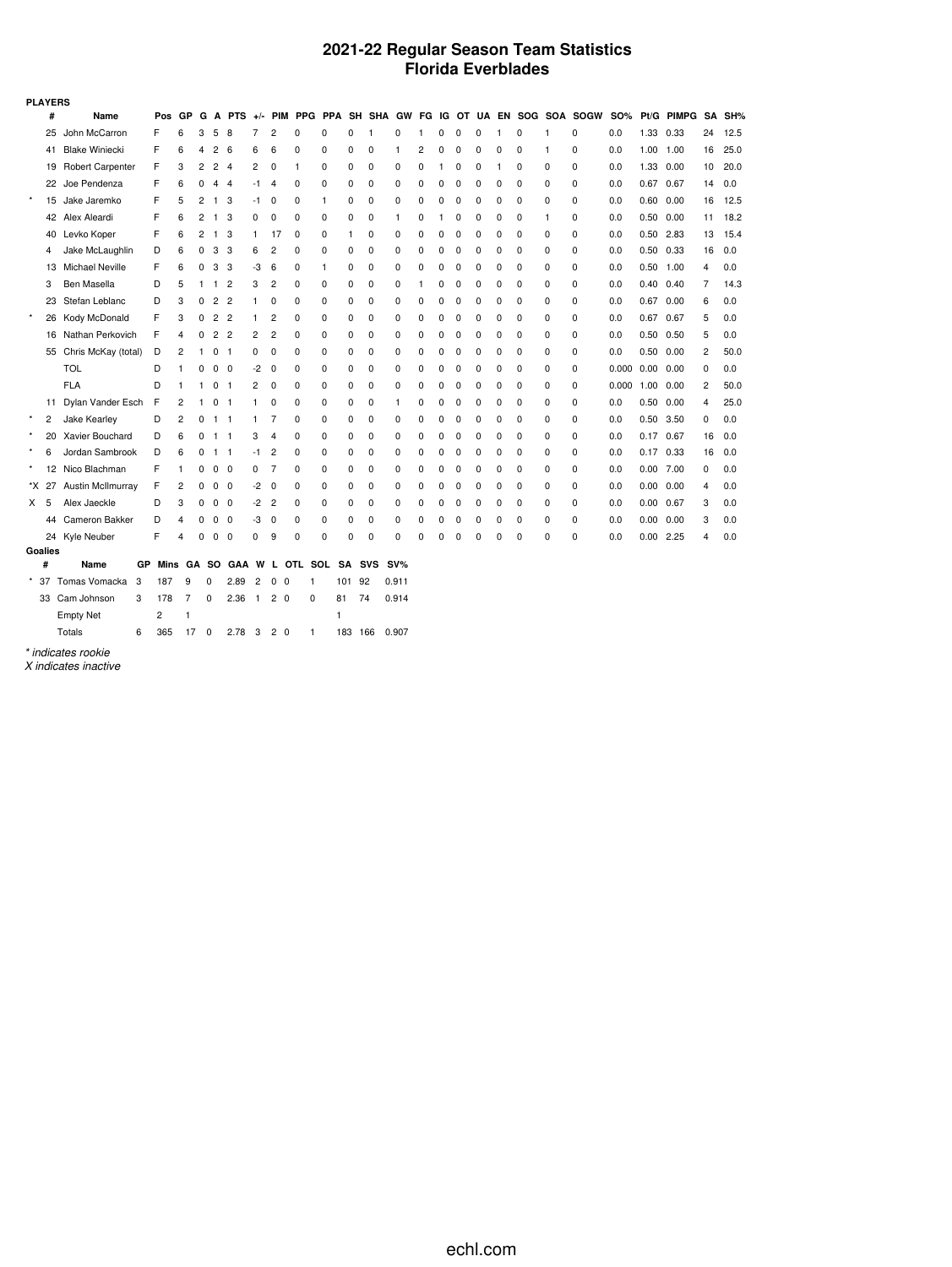## **2021-22 Regular Season Team Statistics Florida Everblades**

|          | <b>PLAYERS</b><br>PPA SH SHA GW FG IG OT UA EN SOG SOA SOGW |                          |        |      |                |        |             |                |    |                |                |   |             |            |        |   |   |          |   |   |          |   |   |            |                   |            |    |        |
|----------|-------------------------------------------------------------|--------------------------|--------|------|----------------|--------|-------------|----------------|----|----------------|----------------|---|-------------|------------|--------|---|---|----------|---|---|----------|---|---|------------|-------------------|------------|----|--------|
|          | #                                                           | Name                     |        | Pos  | GP             | G      |             | A PTS $+/-$    |    |                | <b>PIM PPG</b> |   |             |            |        |   |   |          |   |   |          |   |   | <b>SO%</b> |                   | Pt/G PIMPG |    | SA SH% |
|          | 25                                                          | John McCarron            |        | F    | 6              | 3      | 5           | 8              | 7  | 2              | 0              | 0 | $\Omega$    | 1          | 0      | 1 | 0 | $\Omega$ | 0 |   | 0        | 1 | 0 | 0.0        | 1.33              | 0.33       | 24 | 12.5   |
|          | 41                                                          | <b>Blake Winiecki</b>    |        | F    | 6              | 4      | 2           | 6              | 6  | 6              | 0              | 0 | 0           | 0          | 1      | 2 | 0 | 0        | 0 | 0 | 0        | 1 | 0 | 0.0        | 1.00              | 1.00       | 16 | 25.0   |
|          | 19                                                          | <b>Robert Carpenter</b>  |        | F    | 3              | 2      | 2           | 4              | 2  | 0              | 1              | 0 | 0           | 0          | 0      | 0 | 1 | 0        | 0 | 1 | 0        | 0 | 0 | 0.0        | 1.33              | 0.00       | 10 | 20.0   |
|          | 22                                                          | Joe Pendenza             |        | F    | 6              | 0      | 4           | 4              | -1 | 4              | 0              | 0 | 0           | 0          | 0      | 0 | 0 | 0        | 0 | 0 | $\Omega$ | 0 | 0 | 0.0        | 0.67              | 0.67       | 14 | 0.0    |
| $^\star$ | 15                                                          | Jake Jaremko             |        | F    | 5              | 2      | 1           | 3              | -1 | 0              | 0              | 1 | 0           | 0          | 0      | 0 | 0 | 0        | 0 | 0 | 0        | 0 | 0 | 0.0        | 0.60              | 0.00       | 16 | 12.5   |
|          | 42                                                          | Alex Aleardi             |        | F    | 6              | 2      | 1           | 3              | 0  | 0              | 0              | 0 | 0           | 0          | 1      | 0 | 1 | 0        | 0 | 0 | 0        | 1 | 0 | 0.0        | 0.50              | 0.00       | 11 | 18.2   |
|          | 40                                                          | Levko Koper              |        | F    | 6              | 2      | 1.          | 3              | 1  | 17             | 0              | 0 | 1           | 0          | 0      | 0 | 0 | 0        | 0 | 0 | 0        | 0 | 0 | 0.0        | 0.50              | 2.83       | 13 | 15.4   |
|          | 4                                                           | Jake McLaughlin          |        | D    | 6              | 0      | 3           | 3              | 6  | 2              | 0              | 0 | 0           | 0          | 0      | 0 | 0 | 0        | 0 | 0 | 0        | 0 | 0 | 0.0        |                   | 0.50 0.33  | 16 | 0.0    |
|          | 13                                                          | <b>Michael Neville</b>   |        | F    | 6              | 0      | 3           | 3              | -3 | 6              | 0              | 1 | 0           | 0          | 0      | 0 | 0 | 0        | 0 | 0 | 0        | 0 | 0 | 0.0        | $0.50$ 1.00       |            | 4  | 0.0    |
|          | 3                                                           | Ben Masella              |        | D    | 5              | 1      | 1           | $\overline{2}$ | 3  | 2              | 0              | 0 | 0           | 0          | 0      | 1 | 0 | 0        | 0 | 0 | 0        | 0 | 0 | 0.0        | 0.40              | 0.40       | 7  | 14.3   |
|          | 23                                                          | Stefan Leblanc           |        | D    | 3              | 0      | 2           | $\overline{c}$ | 1  | 0              | 0              | 0 | 0           | 0          | 0      | 0 | 0 | 0        | 0 | 0 | 0        | 0 | 0 | 0.0        |                   | 0.67 0.00  | 6  | 0.0    |
| $\star$  | 26                                                          | Kody McDonald            |        | F    | 3              | 0      | 2           | $\overline{2}$ | 1  | 2              | 0              | 0 | 0           | 0          | 0      | 0 | 0 | 0        | 0 | 0 | 0        | 0 | 0 | 0.0        | 0.67              | 0.67       | 5  | 0.0    |
|          | 16                                                          | Nathan Perkovich         |        | F    | 4              | 0      | 2           | $\overline{2}$ | 2  | 2              | 0              | 0 | 0           | 0          | 0      | 0 | 0 | 0        | 0 | 0 | 0        | 0 | 0 | 0.0        |                   | 0.50 0.50  | 5  | 0.0    |
|          | 55                                                          | Chris McKay (total)      |        | D    | 2              | 1      | 0           | -1             | 0  | 0              | 0              | 0 | 0           | 0          | 0      | 0 | 0 | 0        | 0 | 0 | 0        | 0 | 0 | 0.0        | 0.50              | 0.00       | 2  | 50.0   |
|          |                                                             | <b>TOL</b>               |        | D    | 1              | 0      | 0           | $\mathbf 0$    | -2 | 0              | 0              | 0 | 0           | 0          | 0      | 0 | 0 | 0        | 0 | 0 | 0        | 0 | 0 | 0.000      | $0.00 \quad 0.00$ |            | 0  | 0.0    |
|          |                                                             | <b>FLA</b>               |        | D    |                | 1      | 0           | 1              | 2  | 0              | 0              | 0 | 0           | 0          | 0      | 0 | 0 | $\Omega$ | 0 | 0 | $\Omega$ | 0 | 0 | 0.000      | 1.00              | 0.00       | 2  | 50.0   |
|          | 11                                                          | Dylan Vander Esch        |        | F    | 2              | 1      | 0           | $\overline{1}$ | 1  | 0              | 0              | 0 | 0           | 0          | 1      | 0 | 0 | 0        | 0 | 0 | 0        | 0 | 0 | 0.0        | 0.50              | 0.00       | 4  | 25.0   |
| $\star$  | 2                                                           | Jake Kearley             |        | D    | 2              | 0      | 1           | -1             | 1  | 7              | 0              | 0 | 0           | 0          | 0      | 0 | 0 | 0        | 0 | 0 | 0        | 0 | 0 | 0.0        | 0.50              | 3.50       | 0  | 0.0    |
| $\star$  | 20                                                          | Xavier Bouchard          |        | D    | 6              | 0      | $1 \quad 1$ |                | 3  | 4              | 0              | 0 | 0           | 0          | 0      | 0 | 0 | 0        | 0 | 0 | 0        | 0 | 0 | 0.0        | 0.17 0.67         |            | 16 | 0.0    |
| $\star$  | 6                                                           | Jordan Sambrook          |        | D    | 6              | 0      | 1           | -1             | -1 | 2              | 0              | 0 | 0           | 0          | 0      | 0 | 0 | 0        | 0 | 0 | 0        | 0 | 0 | 0.0        | 0.17              | 0.33       | 16 | 0.0    |
|          | 12                                                          | Nico Blachman            |        | F    | 1              | 0      | 0           | $\mathbf 0$    | 0  | 7              | 0              | 0 | 0           | 0          | 0      | 0 | 0 | 0        | 0 | 0 | 0        | 0 | 0 | 0.0        | 0.00              | 7.00       | 0  | 0.0    |
|          | *X 27                                                       | <b>Austin McIlmurray</b> |        | F    | 2              | 0      | 0           | 0              | -2 | 0              | 0              | 0 | 0           | 0          | 0      | 0 | 0 | 0        | 0 | 0 | 0        | 0 | 0 | 0.0        | 0.00              | 0.00       | 4  | 0.0    |
| X.       | 5                                                           | Alex Jaeckle             |        | D    | 3              | 0      | 0           | 0              | -2 | $\overline{2}$ | 0              | 0 | 0           | 0          | 0      | 0 | 0 | 0        | 0 | 0 | 0        | 0 | 0 | 0.0        | 0.00              | 0.67       | 3  | 0.0    |
|          | 44                                                          | Cameron Bakker           |        | D    | 4              | 0      | 0           | 0              | -3 | 0              | 0              | 0 | 0           | 0          | 0      | 0 | 0 | 0        | 0 | 0 | 0        | 0 | 0 | 0.0        | 0.00              | 0.00       | 3  | 0.0    |
|          | 24                                                          | Kyle Neuber              |        | F    | 4              | 0      | 0           | 0              | 0  | 9              | 0              | 0 | 0           | 0          | 0      | 0 | 0 | 0        | 0 | 0 | 0        | 0 | 0 | 0.0        | 0.00              | 2.25       | 4  | 0.0    |
|          | Goalies                                                     |                          |        |      |                |        |             |                |    |                |                |   |             |            |        |   |   |          |   |   |          |   |   |            |                   |            |    |        |
|          | #                                                           | Name                     | GP     | Mins | GА             |        | so          | <b>GAA</b>     | W  | L              | OTL SOL        |   | <b>SA</b>   | <b>SVS</b> | $SV\%$ |   |   |          |   |   |          |   |   |            |                   |            |    |        |
|          | 37                                                          | Tomas Vomacka            | 3      | 187  | 9              |        | 0           | 2.89           | 2  | 0 <sub>0</sub> | 1              |   | 101 92      |            | 0.911  |   |   |          |   |   |          |   |   |            |                   |            |    |        |
|          |                                                             | 22.025                   | $\sim$ | 170  | $\overline{ }$ | $\sim$ |             | $0.00 + 0.0$   |    |                | $\sim$         |   | $0.4$ $7.4$ |            | 0.011  |   |   |          |   |   |          |   |   |            |                   |            |    |        |

33 Cam Johnson 3 178 7 0 2.36 1 2 0 0 81 74 0.914 Empty Net 2 1 1

Totals 6 365 17 0 2.78 3 2 0 1 183 166 0.907

*\* indicates rookie*

*X indicates inactive*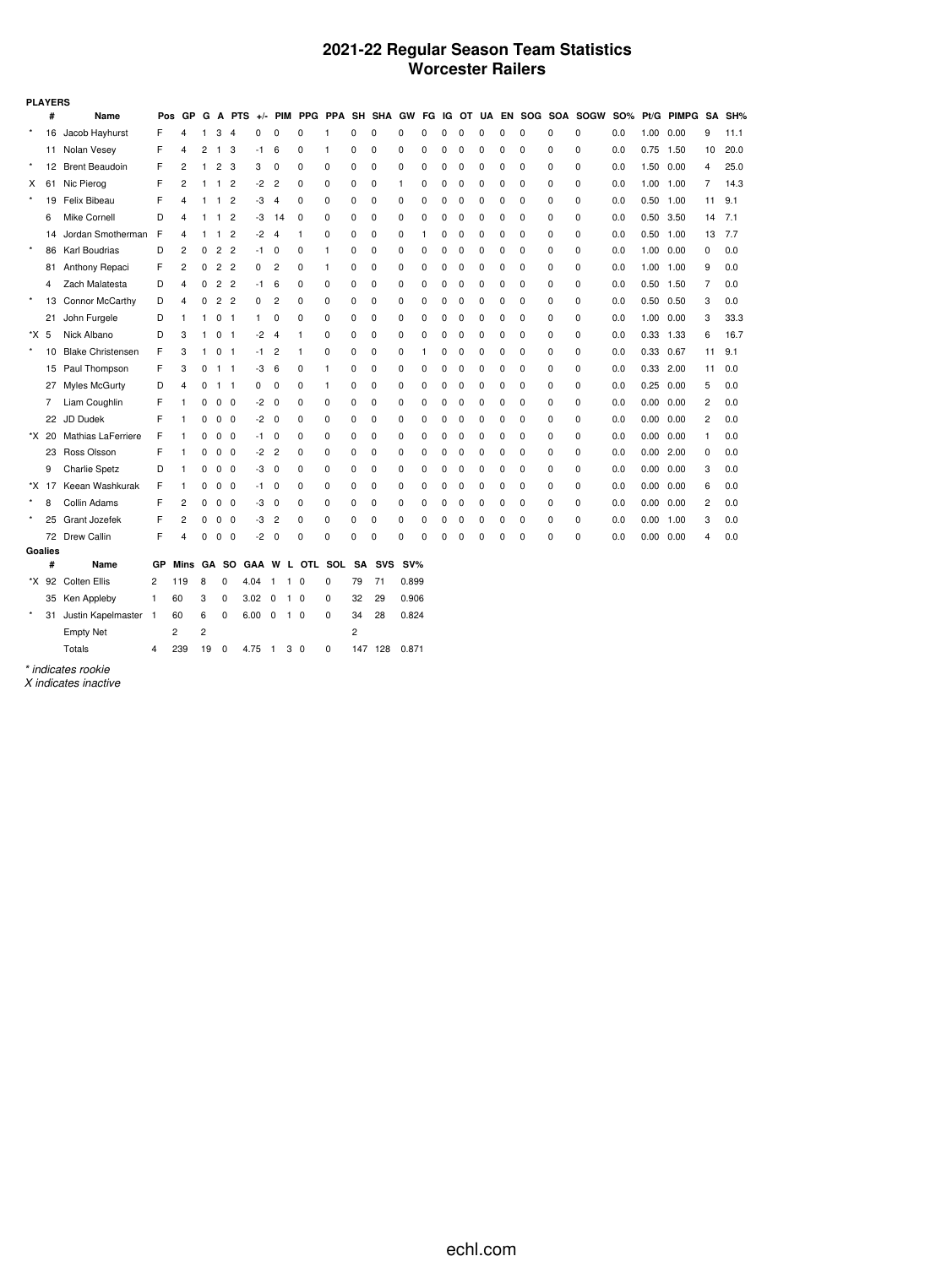### **2021-22 Regular Season Team Statistics Worcester Railers**

|         | <b>PLAYERS</b> |                           |     |      |    |                |                |            |                |              |              |           |            |        |   |   |          |   |          |             |          |                  |     |           |            |                |        |
|---------|----------------|---------------------------|-----|------|----|----------------|----------------|------------|----------------|--------------|--------------|-----------|------------|--------|---|---|----------|---|----------|-------------|----------|------------------|-----|-----------|------------|----------------|--------|
|         | #              | Name                      | Pos | GP   | G  | A              | <b>PTS</b>     | $+/-$      | <b>PIM</b>     | PPG PPA      |              |           | SH SHA     | GW     |   |   | FG IG OT |   | UA EN    |             |          | SOG SOA SOGW SO% |     |           | Pt/G PIMPG |                | SA SH% |
| $\star$ | 16             | Jacob Hayhurst            | F   | 4    |    | 3              | 4              | 0          | $\Omega$       | $\Omega$     |              | 0         | 0          | 0      | 0 | U | $\Omega$ | C | O        | 0           | 0        | 0                | 0.0 | 1.00      | 0.00       | 9              | 11.1   |
|         |                | 11 Nolan Vesey            | F   | 4    | 2  | 1              | 3              | -1         | 6              | $\Omega$     | 1            | 0         | 0          | 0      | 0 | 0 | 0        | 0 | 0        | 0           | $\Omega$ | $\Omega$         | 0.0 | 0.75      | 1.50       | 10             | 20.0   |
| $\star$ | 12             | <b>Brent Beaudoin</b>     | F   | 2    |    | 2              | 3              | 3          | 0              | 0            | 0            | 0         | 0          | 0      | 0 | 0 | 0        | 0 | 0        | 0           | 0        | 0                | 0.0 | 1.50      | 0.00       | 4              | 25.0   |
| X       | 61             | Nic Pierog                | F   | 2    |    | 1              | 2              | -2         | $\overline{2}$ | 0            | 0            | 0         | 0          |        | 0 | O | 0        | C | $\Omega$ | 0           | 0        | 0                | 0.0 | 1.00      | 1.00       | 7              | 14.3   |
| $\star$ | 19             | Felix Bibeau              | F   | 4    |    | 1              | 2              | -3         | 4              | 0            | 0            | 0         | 0          | 0      | 0 |   | O        | 0 | $\Omega$ | 0           | 0        | 0                | 0.0 | 0.50      | 1.00       | 11             | 9.1    |
|         | 6              | Mike Cornell              | D   | 4    |    | 1              | 2              | -3         | 14             | 0            | 0            | 0         | 0          | 0      | 0 | U | 0        | 0 | $\Omega$ | 0           | 0        | 0                | 0.0 | 0.50      | 3.50       | 14             | 7.1    |
|         | 14             | Jordan Smotherman         | F   | 4    |    | 1              | $\overline{2}$ | -2         | $\overline{4}$ | 1            | 0            | 0         | 0          | 0      | 1 | 0 | 0        | 0 | 0        | $\mathbf 0$ | 0        | 0                | 0.0 | 0.50      | 1.00       | 13             | 7.7    |
| $\star$ | 86             | Karl Boudrias             | D   | 2    | 0  | $\overline{c}$ | $\overline{2}$ | -1         | $\mathbf 0$    | 0            | $\mathbf{1}$ | 0         | 0          | 0      | 0 | 0 | 0        | 0 | $\Omega$ | 0           | 0        | 0                | 0.0 | 1.00      | 0.00       | $\mathbf 0$    | 0.0    |
|         | 81             | Anthony Repaci            | F   | 2    | 0  | $\overline{c}$ | $\overline{2}$ | 0          | $\overline{2}$ | 0            | $\mathbf{1}$ | 0         | 0          | 0      | 0 | O | 0        | 0 | 0        | 0           | 0        | 0                | 0.0 | 1.00      | 1.00       | 9              | 0.0    |
|         | 4              | Zach Malatesta            | D   | 4    | 0  | $\overline{c}$ | $\overline{c}$ | -1         | 6              | 0            | 0            | 0         | 0          | 0      | 0 | O | O        | 0 | $\Omega$ | 0           | 0        | 0                | 0.0 | 0.50      | 1.50       | 7              | 0.0    |
| $\star$ | 13             | Connor McCarthy           | D   | 4    | 0  | $\overline{c}$ | 2              | 0          | 2              | 0            | $\mathbf 0$  | 0         | 0          | 0      | 0 | U | 0        | C | $\Omega$ | 0           | 0        | 0                | 0.0 | 0.50      | 0.50       | 3              | 0.0    |
|         | 21             | John Furgele              | D   | 1    |    | 0              | -1             | 1          | 0              | 0            | $\mathbf 0$  | 0         | 0          | 0      | 0 |   | $\Omega$ | 0 | $\Omega$ | 0           | 0        | 0                | 0.0 | 1.00      | 0.00       | 3              | 33.3   |
| *X 5    |                | Nick Albano               | D   | 3    |    | 0              | -1             | -2         | 4              | 1            | 0            | 0         | 0          | 0      | 0 | U | 0        | 0 | $\Omega$ | $\mathbf 0$ | 0        | $\Omega$         | 0.0 | 0.33      | 1.33       | 6              | 16.7   |
| $\star$ | 10             | <b>Blake Christensen</b>  | F   | 3    |    | 0              | -1             | -1         | $\overline{2}$ | $\mathbf{1}$ | 0            | 0         | 0          | 0      | 1 |   | 0        | 0 | $\Omega$ | $\mathbf 0$ | 0        | 0                | 0.0 | 0.33 0.67 |            | 11             | 9.1    |
|         | 15             | Paul Thompson             | F   | 3    | 0  | 1              | -1             | -3         | 6              | 0            | 1            | 0         | 0          | 0      | 0 | O | 0        | 0 | $\Omega$ | 0           | 0        | 0                | 0.0 | 0.33      | 2.00       | 11             | 0.0    |
|         | 27             | Myles McGurty             | D   | 4    | 0  | $\mathbf{1}$   | $\mathbf{1}$   | 0          | 0              | 0            | $\mathbf{1}$ | 0         | 0          | 0      | 0 |   | 0        | 0 | 0        | 0           | 0        | 0                | 0.0 | 0.25      | 0.00       | 5              | 0.0    |
|         | 7              | Liam Coughlin             | F   | 1    | 0  | 0              | 0              | -2         | 0              | 0            | 0            | 0         | 0          | 0      | 0 | ŋ | 0        | 0 | $\Omega$ | 0           | 0        | 0                | 0.0 | 0.00      | 0.00       | 2              | 0.0    |
|         | 22             | JD Dudek                  | F   | 1    | 0  | 0              | 0              | -2         | 0              | 0            | 0            | 0         | 0          | 0      | 0 | 0 | 0        | 0 | 0        | $\mathbf 0$ | 0        | 0                | 0.0 | 0.00      | 0.00       | $\overline{2}$ | 0.0    |
|         | *X 20          | <b>Mathias LaFerriere</b> | F   | 1    | 0  | 0              | $\Omega$       | -1         | 0              | 0            | $\mathbf 0$  | 0         | 0          | 0      | 0 | n | $\Omega$ | 0 | $\Omega$ | 0           | 0        | 0                | 0.0 | 0.00      | 0.00       | $\mathbf{1}$   | 0.0    |
|         | 23             | Ross Olsson               | F   | 1    | 0  | 0              | 0              | -2         | 2              | 0            | 0            | 0         | 0          | 0      | 0 | n | 0        | 0 | $\Omega$ | 0           | 0        | $\Omega$         | 0.0 | 0.00      | 2.00       | 0              | 0.0    |
|         | 9              | <b>Charlie Spetz</b>      | D   | 1    | 0  | 0              | 0              | -3         | 0              | 0            | 0            | 0         | 0          | 0      | 0 | n | 0        | 0 | 0        | 0           | 0        | 0                | 0.0 | 0.00      | 0.00       | 3              | 0.0    |
|         | *X 17          | Keean Washkurak           | F   | 1    | 0  | 0              | 0              | -1         | 0              | 0            | $\mathbf 0$  | 0         | 0          | 0      | 0 | O | 0        | 0 | $\Omega$ | 0           | 0        | 0                | 0.0 | 0.00      | 0.00       | 6              | 0.0    |
| $\star$ | 8              | Collin Adams              | F   | 2    | 0  | 0              | 0              | -3         | 0              | 0            | $\mathbf 0$  | 0         | 0          | 0      | 0 |   | 0        | C | $\Omega$ | 0           | 0        | 0                | 0.0 | 0.00      | 0.00       | $\overline{c}$ | 0.0    |
|         | 25             | Grant Jozefek             | F   | 2    | 0  | 0              | 0              | -3         | $\overline{c}$ | 0            | $\mathbf 0$  | 0         | 0          | 0      | 0 | n | 0        | C | $\Omega$ | 0           | 0        | 0                | 0.0 | 0.00      | 1.00       | 3              | 0.0    |
|         |                | 72 Drew Callin            | F   | 4    | 0  | 0              | 0              | -2         | 0              | 0            | 0            | 0         | 0          | 0      | 0 | 0 | $\Omega$ | C | C        | 0           | 0        | 0                | 0.0 | 0.00      | 0.00       | 4              | 0.0    |
|         | Goalies        |                           |     |      |    |                |                |            |                |              |              |           |            |        |   |   |          |   |          |             |          |                  |     |           |            |                |        |
|         | #              | Name                      | GР  | Mins | GА |                | so             | <b>GAA</b> | W<br>L         |              | OTL SOL      | <b>SA</b> | <b>SVS</b> | $SV\%$ |   |   |          |   |          |             |          |                  |     |           |            |                |        |
|         |                | *X 92 Colten Ellis        | 2   | 119  | 8  | 0              |                | 4.04       | 1<br>-1.       | 0            | 0            | 79        | 71         | 0.899  |   |   |          |   |          |             |          |                  |     |           |            |                |        |

|         | 35 Ken Appleby          | 1 | 60                |     | 3 0 3.02 0 1 0 |  | 0 | 32 29 | 0.906         |
|---------|-------------------------|---|-------------------|-----|----------------|--|---|-------|---------------|
| $\star$ | 31 Justin Kapelmaster 1 |   | 60 6 0 6.00 0 1 0 |     |                |  | 0 | 34 28 | 0.824         |
|         | <b>Empty Net</b>        |   | 2                 |     |                |  |   |       |               |
|         | Totals                  |   | 239               | 190 | 4.75 1 3 0     |  | 0 |       | 147 128 0.871 |

*\* indicates rookie*

*X indicates inactive*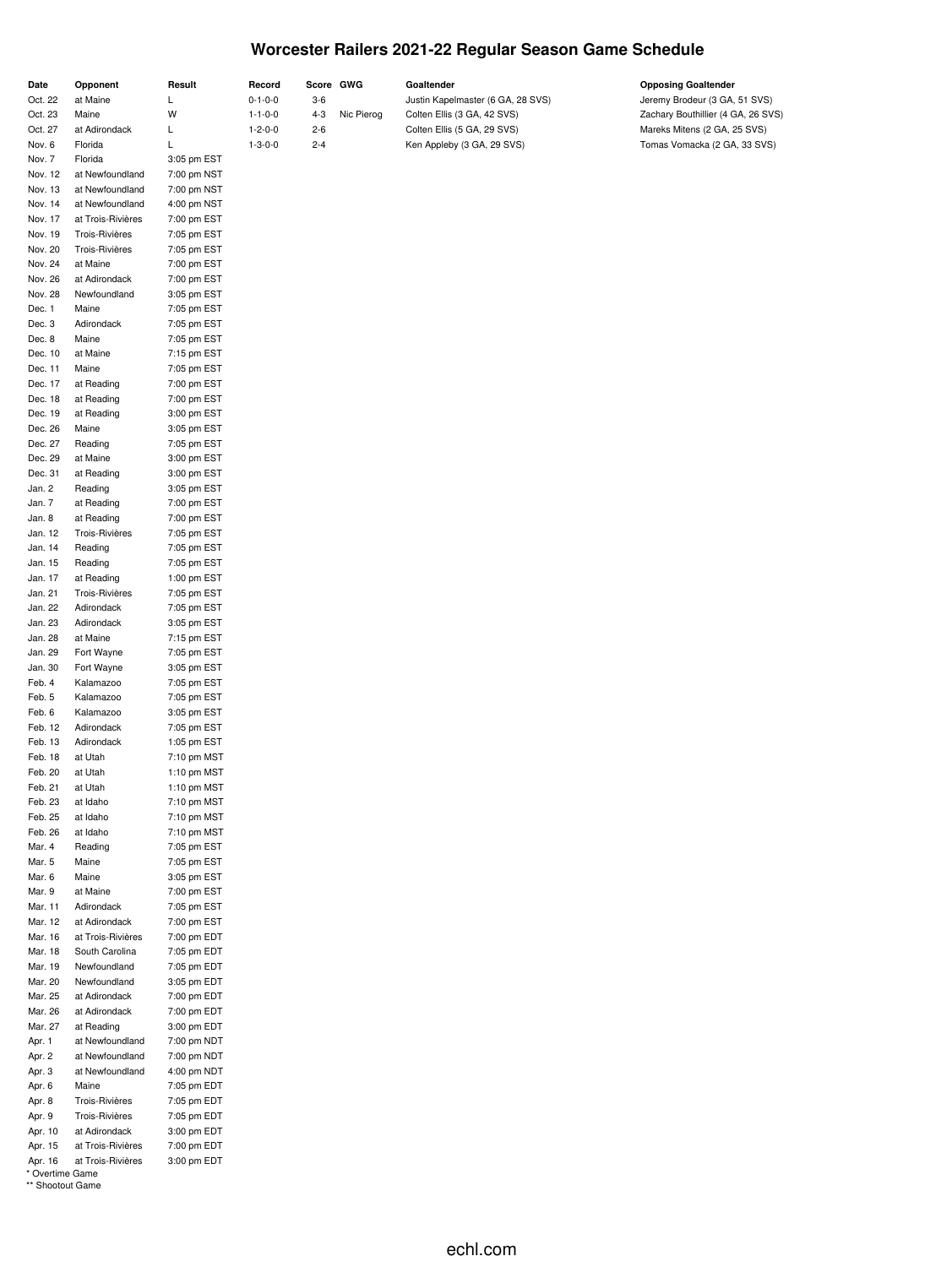## **Worcester Railers 2021-22 Regular Season Game Schedule**

| Date               | Opponent                     | Result                     | Record          | Score   | GWG        | Goaltender                        | <b>Opposing Goaltender</b>         |
|--------------------|------------------------------|----------------------------|-----------------|---------|------------|-----------------------------------|------------------------------------|
| Oct. 22            | at Maine                     | L                          | $0 - 1 - 0 - 0$ | $3 - 6$ |            | Justin Kapelmaster (6 GA, 28 SVS) | Jeremy Brodeur (3 GA, 51 SVS)      |
| Oct. 23            | Maine                        | W                          | $1 - 1 - 0 - 0$ | $4 - 3$ | Nic Pierog | Colten Ellis (3 GA, 42 SVS)       | Zachary Bouthillier (4 GA, 26 SVS) |
| Oct. 27            | at Adirondack                | L                          | $1 - 2 - 0 - 0$ | $2 - 6$ |            | Colten Ellis (5 GA, 29 SVS)       | Mareks Mitens (2 GA, 25 SVS)       |
| Nov. 6             | Florida                      | L                          | $1 - 3 - 0 - 0$ | $2 - 4$ |            | Ken Appleby (3 GA, 29 SVS)        | Tomas Vomacka (2 GA, 33 SVS)       |
| Nov. 7             | Florida                      | 3:05 pm EST                |                 |         |            |                                   |                                    |
| Nov. 12            | at Newfoundland              | 7:00 pm NST                |                 |         |            |                                   |                                    |
| Nov. 13            | at Newfoundland              | 7:00 pm NST                |                 |         |            |                                   |                                    |
| Nov. 14            | at Newfoundland              | 4:00 pm NST                |                 |         |            |                                   |                                    |
| Nov. 17            | at Trois-Rivières            | 7:00 pm EST                |                 |         |            |                                   |                                    |
| Nov. 19            | Trois-Rivières               | 7:05 pm EST                |                 |         |            |                                   |                                    |
| Nov. 20            | Trois-Rivières               | 7:05 pm EST                |                 |         |            |                                   |                                    |
| Nov. 24            | at Maine                     | 7:00 pm EST                |                 |         |            |                                   |                                    |
| Nov. 26            | at Adirondack                | 7:00 pm EST                |                 |         |            |                                   |                                    |
| Nov. 28            | Newfoundland                 | 3:05 pm EST                |                 |         |            |                                   |                                    |
| Dec. 1             | Maine<br>Adirondack          | 7:05 pm EST                |                 |         |            |                                   |                                    |
| Dec. 3<br>Dec. 8   | Maine                        | 7:05 pm EST<br>7:05 pm EST |                 |         |            |                                   |                                    |
| Dec. 10            | at Maine                     | 7:15 pm EST                |                 |         |            |                                   |                                    |
| Dec. 11            | Maine                        | 7:05 pm EST                |                 |         |            |                                   |                                    |
| Dec. 17            | at Reading                   | 7:00 pm EST                |                 |         |            |                                   |                                    |
| Dec. 18            | at Reading                   | 7:00 pm EST                |                 |         |            |                                   |                                    |
| Dec. 19            | at Reading                   | 3:00 pm EST                |                 |         |            |                                   |                                    |
| Dec. 26            | Maine                        | 3:05 pm EST                |                 |         |            |                                   |                                    |
| Dec. 27            | Reading                      | 7:05 pm EST                |                 |         |            |                                   |                                    |
| Dec. 29            | at Maine                     | 3:00 pm EST                |                 |         |            |                                   |                                    |
| Dec. 31            | at Reading                   | 3:00 pm EST                |                 |         |            |                                   |                                    |
| Jan. 2             | Reading                      | 3:05 pm EST                |                 |         |            |                                   |                                    |
| Jan. 7             | at Reading                   | 7:00 pm EST                |                 |         |            |                                   |                                    |
| Jan. 8             | at Reading                   | 7:00 pm EST                |                 |         |            |                                   |                                    |
| Jan. 12            | Trois-Rivières               | 7:05 pm EST                |                 |         |            |                                   |                                    |
| Jan. 14            | Reading                      | 7:05 pm EST                |                 |         |            |                                   |                                    |
| Jan. 15            | Reading                      | 7:05 pm EST                |                 |         |            |                                   |                                    |
| Jan. 17            | at Reading                   | 1:00 pm EST                |                 |         |            |                                   |                                    |
| Jan. 21            | Trois-Rivières               | 7:05 pm EST                |                 |         |            |                                   |                                    |
| Jan. 22            | Adirondack                   | 7:05 pm EST                |                 |         |            |                                   |                                    |
| Jan. 23            | Adirondack                   | 3:05 pm EST                |                 |         |            |                                   |                                    |
| Jan. 28            | at Maine                     | 7:15 pm EST                |                 |         |            |                                   |                                    |
| Jan. 29            | Fort Wayne                   | 7:05 pm EST                |                 |         |            |                                   |                                    |
| Jan. 30<br>Feb. 4  | Fort Wayne<br>Kalamazoo      | 3:05 pm EST<br>7:05 pm EST |                 |         |            |                                   |                                    |
| Feb. 5             | Kalamazoo                    | 7:05 pm EST                |                 |         |            |                                   |                                    |
| Feb. 6             | Kalamazoo                    | 3:05 pm EST                |                 |         |            |                                   |                                    |
| Feb. 12            | Adirondack                   | 7:05 pm EST                |                 |         |            |                                   |                                    |
| Feb. 13            | Adirondack                   | 1:05 pm EST                |                 |         |            |                                   |                                    |
| Feb. 18            | at Utah                      | 7:10 pm MST                |                 |         |            |                                   |                                    |
| Feb. 20            | at Utah                      | 1:10 pm MST                |                 |         |            |                                   |                                    |
| Feb. 21            | at Utah                      | 1:10 pm MST                |                 |         |            |                                   |                                    |
| Feb. 23            | at Idaho                     | 7:10 pm MST                |                 |         |            |                                   |                                    |
| Feb. 25            | at Idaho                     | 7:10 pm MST                |                 |         |            |                                   |                                    |
| Feb. 26            | at Idaho                     | 7:10 pm MST                |                 |         |            |                                   |                                    |
| Mar. 4             | Reading                      | 7:05 pm EST                |                 |         |            |                                   |                                    |
| Mar. 5             | Maine                        | 7:05 pm EST                |                 |         |            |                                   |                                    |
| Mar. 6             | Maine                        | 3:05 pm EST                |                 |         |            |                                   |                                    |
| Mar. 9             | at Maine                     | 7:00 pm EST                |                 |         |            |                                   |                                    |
| Mar. 11            | Adirondack                   | 7:05 pm EST                |                 |         |            |                                   |                                    |
| Mar. 12            | at Adirondack                | 7:00 pm EST                |                 |         |            |                                   |                                    |
| Mar. 16            | at Trois-Rivières            | 7:00 pm EDT                |                 |         |            |                                   |                                    |
| Mar. 18            | South Carolina               | 7:05 pm EDT                |                 |         |            |                                   |                                    |
| Mar. 19<br>Mar. 20 | Newfoundland<br>Newfoundland | 7:05 pm EDT<br>3:05 pm EDT |                 |         |            |                                   |                                    |
| Mar. 25            | at Adirondack                | 7:00 pm EDT                |                 |         |            |                                   |                                    |
| Mar. 26            | at Adirondack                | 7:00 pm EDT                |                 |         |            |                                   |                                    |
| Mar. 27            | at Reading                   | 3:00 pm EDT                |                 |         |            |                                   |                                    |
| Apr. 1             | at Newfoundland              | 7:00 pm NDT                |                 |         |            |                                   |                                    |
| Apr. 2             | at Newfoundland              | 7:00 pm NDT                |                 |         |            |                                   |                                    |
| Apr. 3             | at Newfoundland              | 4:00 pm NDT                |                 |         |            |                                   |                                    |
| Apr. 6             | Maine                        | 7:05 pm EDT                |                 |         |            |                                   |                                    |
| Apr. 8             | Trois-Rivières               | 7:05 pm EDT                |                 |         |            |                                   |                                    |
| Apr. 9             | Trois-Rivières               | 7:05 pm EDT                |                 |         |            |                                   |                                    |
| Apr. 10            | at Adirondack                | 3:00 pm EDT                |                 |         |            |                                   |                                    |
| Apr. 15            | at Trois-Rivières            | 7:00 pm EDT                |                 |         |            |                                   |                                    |

\* Overtime Game \*\* Shootout Game

Apr. 16 at Trois-Rivières 3:00 pm EDT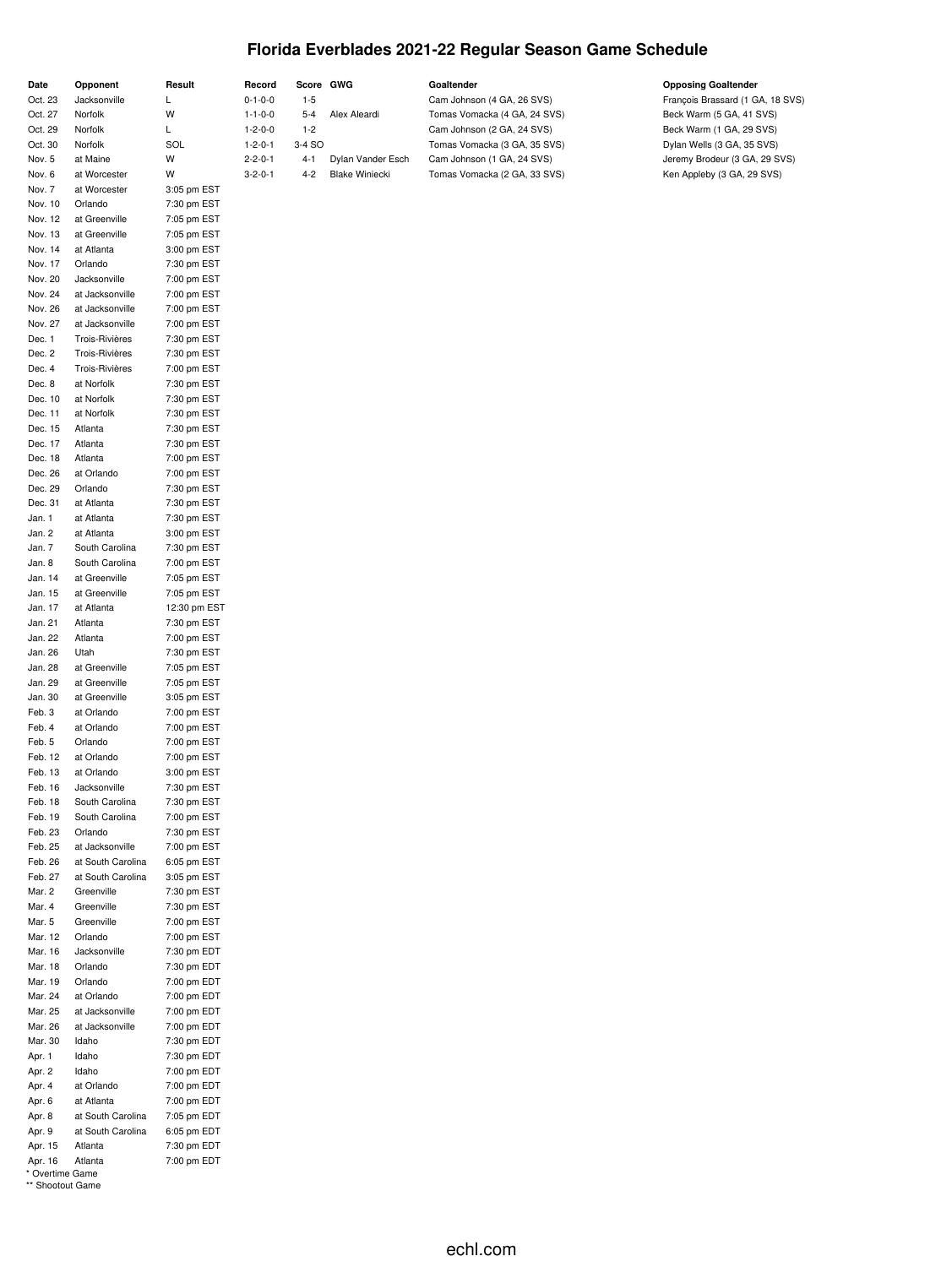## **Florida Everblades 2021-22 Regular Season Game Schedule**

| Date               | Opponent                           | Result                      | Record                             | Score GWG          |                       | Goaltender                                                 | <b>Opposing Goaltender</b>                                   |
|--------------------|------------------------------------|-----------------------------|------------------------------------|--------------------|-----------------------|------------------------------------------------------------|--------------------------------------------------------------|
| Oct. 23<br>Oct. 27 | Jacksonville<br>Norfolk            | L<br>W                      | $0 - 1 - 0 - 0$<br>$1 - 1 - 0 - 0$ | $1 - 5$<br>$5 - 4$ | Alex Aleardi          | Cam Johnson (4 GA, 26 SVS)<br>Tomas Vomacka (4 GA, 24 SVS) | François Brassard (1 GA, 18 SVS)<br>Beck Warm (5 GA, 41 SVS) |
| Oct. 29            | Norfolk                            | L                           | $1 - 2 - 0 - 0$                    | $1 - 2$            |                       | Cam Johnson (2 GA, 24 SVS)                                 | Beck Warm (1 GA, 29 SVS)                                     |
| Oct. 30            | Norfolk                            | SOL                         | $1 - 2 - 0 - 1$                    | 3-4 SO             |                       | Tomas Vomacka (3 GA, 35 SVS)                               | Dylan Wells (3 GA, 35 SVS)                                   |
| Nov. 5             | at Maine                           | W                           | $2 - 2 - 0 - 1$                    | $4 - 1$            | Dylan Vander Esch     | Cam Johnson (1 GA, 24 SVS)                                 | Jeremy Brodeur (3 GA, 29 SVS)                                |
| Nov. 6             | at Worcester                       | W                           | $3 - 2 - 0 - 1$                    | $4 - 2$            | <b>Blake Winiecki</b> | Tomas Vomacka (2 GA, 33 SVS)                               | Ken Appleby (3 GA, 29 SVS)                                   |
| Nov. 7             | at Worcester<br>Orlando            | 3:05 pm EST                 |                                    |                    |                       |                                                            |                                                              |
| Nov. 10<br>Nov. 12 | at Greenville                      | 7:30 pm EST<br>7:05 pm EST  |                                    |                    |                       |                                                            |                                                              |
| Nov. 13            | at Greenville                      | 7:05 pm EST                 |                                    |                    |                       |                                                            |                                                              |
| Nov. 14            | at Atlanta                         | 3:00 pm EST                 |                                    |                    |                       |                                                            |                                                              |
| Nov. 17            | Orlando                            | 7:30 pm EST                 |                                    |                    |                       |                                                            |                                                              |
| Nov. 20            | Jacksonville                       | 7:00 pm EST                 |                                    |                    |                       |                                                            |                                                              |
| Nov. 24<br>Nov. 26 | at Jacksonville<br>at Jacksonville | 7:00 pm EST<br>7:00 pm EST  |                                    |                    |                       |                                                            |                                                              |
| Nov. 27            | at Jacksonville                    | 7:00 pm EST                 |                                    |                    |                       |                                                            |                                                              |
| Dec. 1             | Trois-Rivières                     | 7:30 pm EST                 |                                    |                    |                       |                                                            |                                                              |
| Dec. 2             | Trois-Rivières                     | 7:30 pm EST                 |                                    |                    |                       |                                                            |                                                              |
| Dec. 4             | Trois-Rivières                     | 7:00 pm EST                 |                                    |                    |                       |                                                            |                                                              |
| Dec. 8             | at Norfolk                         | 7:30 pm EST                 |                                    |                    |                       |                                                            |                                                              |
| Dec. 10<br>Dec. 11 | at Norfolk<br>at Norfolk           | 7:30 pm EST<br>7:30 pm EST  |                                    |                    |                       |                                                            |                                                              |
| Dec. 15            | Atlanta                            | 7:30 pm EST                 |                                    |                    |                       |                                                            |                                                              |
| Dec. 17            | Atlanta                            | 7:30 pm EST                 |                                    |                    |                       |                                                            |                                                              |
| Dec. 18            | Atlanta                            | 7:00 pm EST                 |                                    |                    |                       |                                                            |                                                              |
| Dec. 26            | at Orlando                         | 7:00 pm EST                 |                                    |                    |                       |                                                            |                                                              |
| Dec. 29            | Orlando                            | 7:30 pm EST                 |                                    |                    |                       |                                                            |                                                              |
| Dec. 31<br>Jan. 1  | at Atlanta<br>at Atlanta           | 7:30 pm EST<br>7:30 pm EST  |                                    |                    |                       |                                                            |                                                              |
| Jan. 2             | at Atlanta                         | 3:00 pm EST                 |                                    |                    |                       |                                                            |                                                              |
| Jan. 7             | South Carolina                     | 7:30 pm EST                 |                                    |                    |                       |                                                            |                                                              |
| Jan. 8             | South Carolina                     | 7:00 pm EST                 |                                    |                    |                       |                                                            |                                                              |
| Jan. 14            | at Greenville                      | 7:05 pm EST                 |                                    |                    |                       |                                                            |                                                              |
| Jan. 15            | at Greenville<br>at Atlanta        | 7:05 pm EST<br>12:30 pm EST |                                    |                    |                       |                                                            |                                                              |
| Jan. 17<br>Jan. 21 | Atlanta                            | 7:30 pm EST                 |                                    |                    |                       |                                                            |                                                              |
| Jan. 22            | Atlanta                            | 7:00 pm EST                 |                                    |                    |                       |                                                            |                                                              |
| Jan. 26            | Utah                               | 7:30 pm EST                 |                                    |                    |                       |                                                            |                                                              |
| Jan. 28            | at Greenville                      | 7:05 pm EST                 |                                    |                    |                       |                                                            |                                                              |
| Jan. 29            | at Greenville                      | 7:05 pm EST                 |                                    |                    |                       |                                                            |                                                              |
| Jan. 30<br>Feb. 3  | at Greenville<br>at Orlando        | 3:05 pm EST<br>7:00 pm EST  |                                    |                    |                       |                                                            |                                                              |
| Feb. 4             | at Orlando                         | 7:00 pm EST                 |                                    |                    |                       |                                                            |                                                              |
| Feb. 5             | Orlando                            | 7:00 pm EST                 |                                    |                    |                       |                                                            |                                                              |
| Feb. 12            | at Orlando                         | 7:00 pm EST                 |                                    |                    |                       |                                                            |                                                              |
| Feb. 13            | at Orlando                         | 3:00 pm EST                 |                                    |                    |                       |                                                            |                                                              |
| Feb. 16            | Jacksonville                       | 7:30 pm EST<br>7:30 pm EST  |                                    |                    |                       |                                                            |                                                              |
| Feb. 18<br>Feb. 19 | South Carolina<br>South Carolina   | 7:00 pm EST                 |                                    |                    |                       |                                                            |                                                              |
| Feb. 23            | Orlando                            | 7:30 pm EST                 |                                    |                    |                       |                                                            |                                                              |
| Feb. 25            | at Jacksonville                    | 7:00 pm EST                 |                                    |                    |                       |                                                            |                                                              |
| Feb. 26            | at South Carolina                  | 6:05 pm EST                 |                                    |                    |                       |                                                            |                                                              |
| Feb. 27            | at South Carolina                  | 3:05 pm EST                 |                                    |                    |                       |                                                            |                                                              |
| Mar. 2<br>Mar. 4   | Greenville<br>Greenville           | 7:30 pm EST<br>7:30 pm EST  |                                    |                    |                       |                                                            |                                                              |
| Mar. 5             | Greenville                         | 7:00 pm EST                 |                                    |                    |                       |                                                            |                                                              |
| Mar. 12            | Orlando                            | 7:00 pm EST                 |                                    |                    |                       |                                                            |                                                              |
| Mar. 16            | Jacksonville                       | 7:30 pm EDT                 |                                    |                    |                       |                                                            |                                                              |
| Mar. 18            | Orlando                            | 7:30 pm EDT                 |                                    |                    |                       |                                                            |                                                              |
| Mar. 19<br>Mar. 24 | Orlando<br>at Orlando              | 7:00 pm EDT<br>7:00 pm EDT  |                                    |                    |                       |                                                            |                                                              |
| Mar. 25            | at Jacksonville                    | 7:00 pm EDT                 |                                    |                    |                       |                                                            |                                                              |
| Mar. 26            | at Jacksonville                    | 7:00 pm EDT                 |                                    |                    |                       |                                                            |                                                              |
| Mar. 30            | Idaho                              | 7:30 pm EDT                 |                                    |                    |                       |                                                            |                                                              |
| Apr. 1             | Idaho                              | 7:30 pm EDT                 |                                    |                    |                       |                                                            |                                                              |
| Apr. 2             | Idaho                              | 7:00 pm EDT                 |                                    |                    |                       |                                                            |                                                              |
| Apr. 4<br>Apr. 6   | at Orlando<br>at Atlanta           | 7:00 pm EDT<br>7:00 pm EDT  |                                    |                    |                       |                                                            |                                                              |
| Apr. 8             | at South Carolina                  | 7:05 pm EDT                 |                                    |                    |                       |                                                            |                                                              |
| Apr. 9             | at South Carolina                  | 6:05 pm EDT                 |                                    |                    |                       |                                                            |                                                              |

<sup>\*</sup> Overtime Game \*\* Shootout Game

Apr. 15 Atlanta 7:30 pm EDT Apr. 16 Atlanta 7:00 pm EDT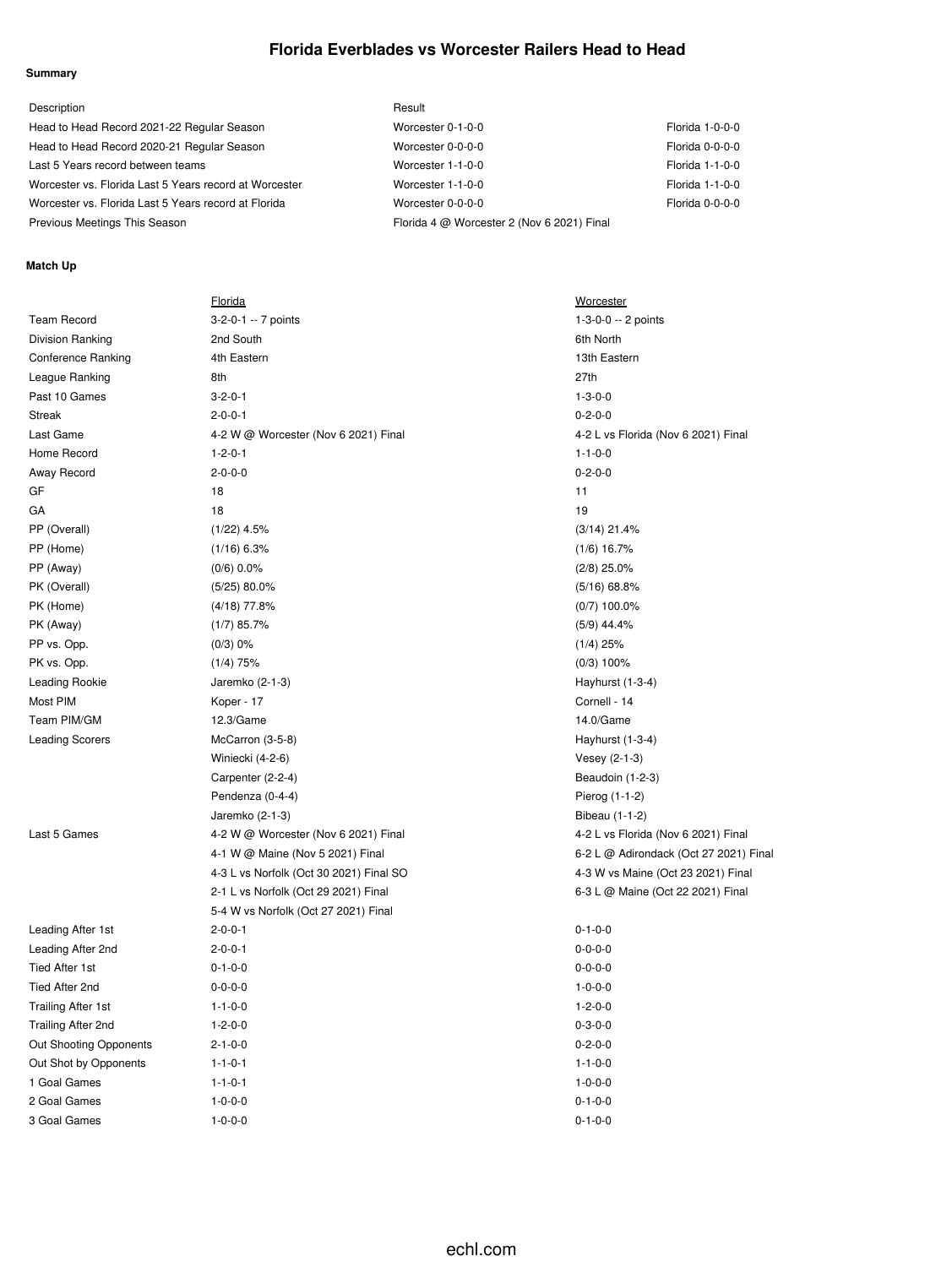## **Florida Everblades vs Worcester Railers Head to Head**

#### **Summary**

| Description                                            | Result                                     |                     |
|--------------------------------------------------------|--------------------------------------------|---------------------|
| Head to Head Record 2021-22 Regular Season             | Worcester 0-1-0-0                          | Florida 1-0-0-0     |
| Head to Head Record 2020-21 Regular Season             | Worcester 0-0-0-0                          | Florida 0-0-0-0     |
| Last 5 Years record between teams                      | Worcester 1-1-0-0                          | Florida 1-1-0-0     |
| Worcester vs. Florida Last 5 Years record at Worcester | Worcester 1-1-0-0                          | Florida 1-1-0-0     |
| Worcester vs. Florida Last 5 Years record at Florida   | Worcester 0-0-0-0                          | $Florida$ $0-0-0-0$ |
| Previous Meetings This Season                          | Florida 4 @ Worcester 2 (Nov 6 2021) Final |                     |

#### **Match Up**

|                           | <u>Florida</u>                          | <b>Worcester</b>                       |
|---------------------------|-----------------------------------------|----------------------------------------|
| <b>Team Record</b>        | 3-2-0-1 -- 7 points                     | 1-3-0-0 -- 2 points                    |
| <b>Division Ranking</b>   | 2nd South                               | 6th North                              |
| Conference Ranking        | 4th Eastern                             | 13th Eastern                           |
| League Ranking            | 8th                                     | 27th                                   |
| Past 10 Games             | $3 - 2 - 0 - 1$                         | $1 - 3 - 0 - 0$                        |
| <b>Streak</b>             | $2 - 0 - 0 - 1$                         | $0 - 2 - 0 - 0$                        |
| Last Game                 | 4-2 W @ Worcester (Nov 6 2021) Final    | 4-2 L vs Florida (Nov 6 2021) Final    |
| Home Record               | $1 - 2 - 0 - 1$                         | $1 - 1 - 0 - 0$                        |
| Away Record               | $2 - 0 - 0 - 0$                         | $0 - 2 - 0 - 0$                        |
| GF                        | 18                                      | 11                                     |
| GА                        | 18                                      | 19                                     |
| PP (Overall)              | $(1/22)$ 4.5%                           | $(3/14)$ 21.4%                         |
| PP (Home)                 | $(1/16)$ 6.3%                           | $(1/6)$ 16.7%                          |
| PP (Away)                 | $(0/6)$ 0.0%                            | $(2/8)$ 25.0%                          |
| PK (Overall)              | $(5/25)$ 80.0%                          | $(5/16)$ 68.8%                         |
| PK (Home)                 | $(4/18)$ 77.8%                          | $(0/7)$ 100.0%                         |
| PK (Away)                 | $(1/7)$ 85.7%                           | $(5/9)$ 44.4%                          |
| PP vs. Opp.               | $(0/3)$ 0%                              | $(1/4)$ 25%                            |
| PK vs. Opp.               | $(1/4)$ 75%                             | $(0/3)$ 100%                           |
| Leading Rookie            | Jaremko (2-1-3)                         | Hayhurst (1-3-4)                       |
| Most PIM                  | Koper - 17                              | Cornell - 14                           |
| Team PIM/GM               | 12.3/Game                               | 14.0/Game                              |
| <b>Leading Scorers</b>    | McCarron (3-5-8)                        | Hayhurst (1-3-4)                       |
|                           | Winiecki (4-2-6)                        | Vesey (2-1-3)                          |
|                           | Carpenter (2-2-4)                       | Beaudoin (1-2-3)                       |
|                           | Pendenza (0-4-4)                        | Pierog (1-1-2)                         |
|                           | Jaremko (2-1-3)                         | Bibeau (1-1-2)                         |
| Last 5 Games              | 4-2 W @ Worcester (Nov 6 2021) Final    | 4-2 L vs Florida (Nov 6 2021) Final    |
|                           | 4-1 W @ Maine (Nov 5 2021) Final        | 6-2 L @ Adirondack (Oct 27 2021) Final |
|                           | 4-3 L vs Norfolk (Oct 30 2021) Final SO | 4-3 W vs Maine (Oct 23 2021) Final     |
|                           | 2-1 L vs Norfolk (Oct 29 2021) Final    | 6-3 L @ Maine (Oct 22 2021) Final      |
|                           | 5-4 W vs Norfolk (Oct 27 2021) Final    |                                        |
| Leading After 1st         | $2 - 0 - 0 - 1$                         | $0 - 1 - 0 - 0$                        |
| Leading After 2nd         | $2 - 0 - 0 - 1$                         | $0 - 0 - 0 - 0$                        |
| <b>Tied After 1st</b>     | $0 - 1 - 0 - 0$                         | $0 - 0 - 0 - 0$                        |
| Tied After 2nd            | $0 - 0 - 0 - 0$                         | $1 - 0 - 0 - 0$                        |
| <b>Trailing After 1st</b> | $1 - 1 - 0 - 0$                         | $1 - 2 - 0 - 0$                        |
| Trailing After 2nd        | $1 - 2 - 0 - 0$                         | $0 - 3 - 0 - 0$                        |
| Out Shooting Opponents    | $2 - 1 - 0 - 0$                         | $0 - 2 - 0 - 0$                        |
| Out Shot by Opponents     | $1 - 1 - 0 - 1$                         | $1 - 1 - 0 - 0$                        |
| 1 Goal Games              | $1 - 1 - 0 - 1$                         | $1 - 0 - 0 - 0$                        |
| 2 Goal Games              | $1 - 0 - 0 - 0$                         | $0 - 1 - 0 - 0$                        |
| 3 Goal Games              | $1 - 0 - 0 - 0$                         | $0 - 1 - 0 - 0$                        |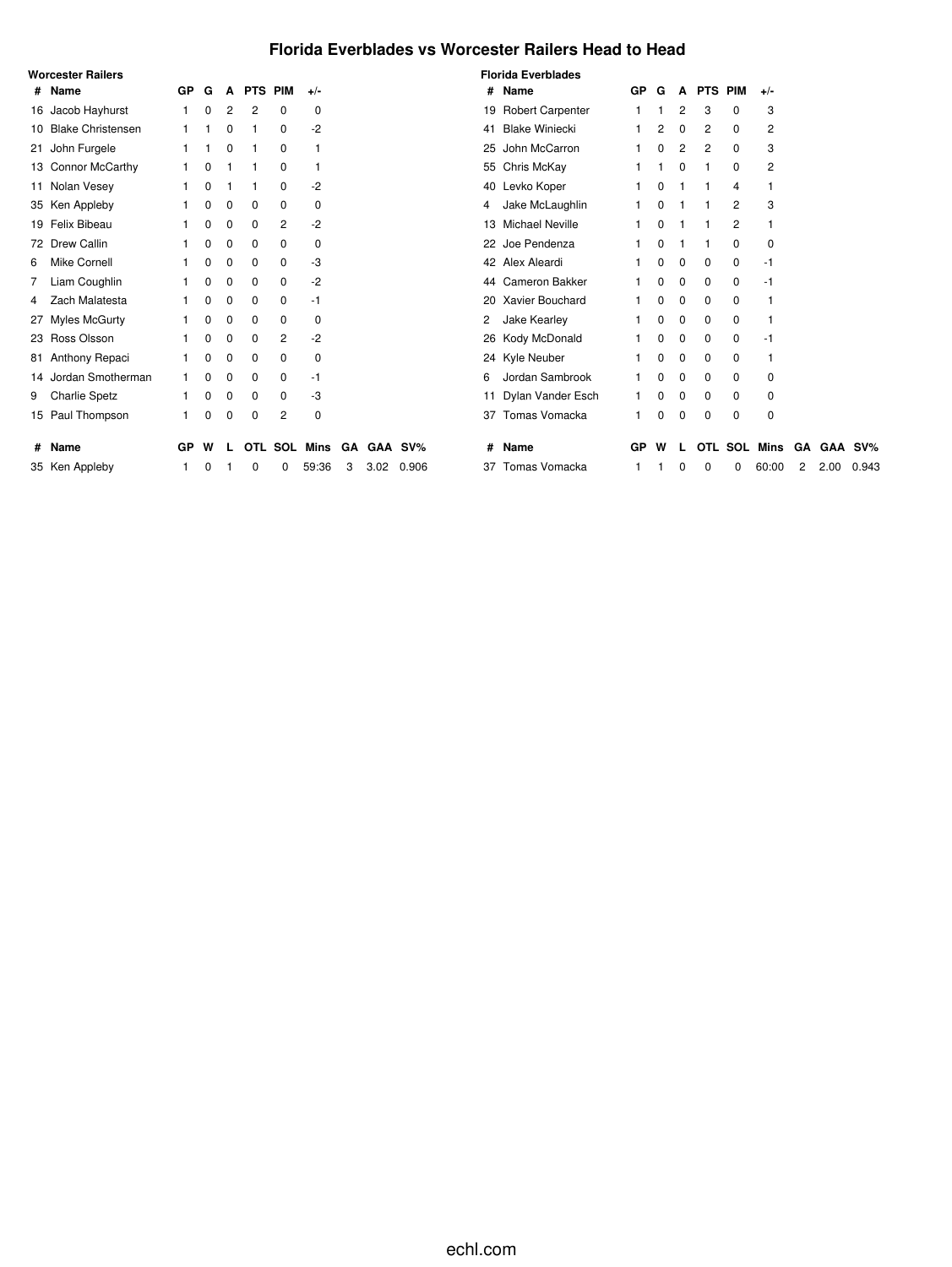## **Florida Everblades vs Worcester Railers Head to Head**

|   | <b>Worcester Railers</b> |           |          |          |                |                |          |    |      |         |    | <b>Florida Everblades</b> |    |   |          |            |             |                 |    |      |         |
|---|--------------------------|-----------|----------|----------|----------------|----------------|----------|----|------|---------|----|---------------------------|----|---|----------|------------|-------------|-----------------|----|------|---------|
|   | # Name                   | GP        | G        | A        | <b>PTS PIM</b> |                | $+/-$    |    |      |         |    | # Name                    | GP | G |          | A PTS PIM  |             | $+/-$           |    |      |         |
|   | 16 Jacob Hayhurst        |           | 0        | 2        | 2              | 0              | 0        |    |      |         |    | 19 Robert Carpenter       |    |   | 2        | 3          | 0           | 3               |    |      |         |
|   | 10 Blake Christensen     |           |          | 0        |                | 0              | -2       |    |      |         | 41 | <b>Blake Winiecki</b>     |    | 2 | 0        | 2          | $\mathbf 0$ | 2               |    |      |         |
|   | 21 John Furgele          |           |          | 0        |                | 0              |          |    |      |         |    | 25 John McCarron          |    | 0 | 2        | 2          | 0           | 3               |    |      |         |
|   | 13 Connor McCarthy       |           | 0        |          |                | 0              |          |    |      |         |    | 55 Chris McKay            |    |   | 0        |            | 0           | 2               |    |      |         |
|   | 11 Nolan Vesey           |           | 0        |          |                | 0              | $-2$     |    |      |         |    | 40 Levko Koper            |    | 0 |          |            | 4           |                 |    |      |         |
|   | 35 Ken Appleby           |           | 0        | 0        | 0              | 0              | 0        |    |      |         | 4  | Jake McLaughlin           |    | 0 |          |            | 2           | 3               |    |      |         |
|   | 19 Felix Bibeau          |           | 0        | 0        | 0              | $\overline{c}$ | $-2$     |    |      |         |    | 13 Michael Neville        |    | 0 |          |            | 2           |                 |    |      |         |
|   | 72 Drew Callin           |           | 0        | 0        | 0              | 0              | 0        |    |      |         |    | 22 Joe Pendenza           |    | 0 |          |            | 0           | 0               |    |      |         |
| 6 | Mike Cornell             |           | 0        | $\Omega$ | 0              | 0              | -3       |    |      |         |    | 42 Alex Aleardi           |    | 0 | 0        | 0          | 0           | -1              |    |      |         |
|   | 7 Liam Coughlin          |           | 0        | 0        | 0              | 0              | $-2$     |    |      |         |    | 44 Cameron Bakker         |    | 0 | 0        | 0          | 0           | -1              |    |      |         |
|   | 4 Zach Malatesta         |           | $\Omega$ | 0        | 0              | 0              | -1       |    |      |         |    | 20 Xavier Bouchard        |    | 0 | 0        | 0          | 0           |                 |    |      |         |
|   | 27 Myles McGurty         |           | 0        | 0        | $\Omega$       | 0              | 0        |    |      |         | 2  | Jake Kearley              |    | 0 | 0        | 0          | 0           |                 |    |      |         |
|   | 23 Ross Olsson           |           | 0        | 0        | $\Omega$       | 2              | $-2$     |    |      |         |    | 26 Kody McDonald          |    | 0 | 0        | 0          | 0           | -1              |    |      |         |
|   | 81 Anthony Repaci        |           | 0        | $\Omega$ | $\Omega$       | 0              | $\Omega$ |    |      |         |    | 24 Kyle Neuber            |    | 0 | 0        | 0          | 0           |                 |    |      |         |
|   | 14 Jordan Smotherman     |           | 0        | $\Omega$ | 0              | 0              | -1       |    |      |         | 6  | Jordan Sambrook           |    | 0 | $\Omega$ | $\Omega$   | 0           | $\Omega$        |    |      |         |
|   | 9 Charlie Spetz          |           | 0        | 0        | 0              | 0              | -3       |    |      |         |    | 11 Dylan Vander Esch      |    | 0 | 0        | 0          | 0           | 0               |    |      |         |
|   | 15 Paul Thompson         |           | $\Omega$ | 0        | 0              | 2              | 0        |    |      |         |    | 37 Tomas Vomacka          |    | 0 | 0        | $\Omega$   | 0           | 0               |    |      |         |
|   | # Name                   | <b>GP</b> | w        |          | OTL            | SOL            | Mins     | GA |      | GAA SV% | #  | Name                      | GP | W |          | <b>OTL</b> |             | <b>SOL Mins</b> | GΑ |      | GAA SV% |
|   | 35 Ken Appleby           |           |          |          |                | 0              | 59:36    | 3  | 3.02 | 0.906   |    | 37 Tomas Vomacka          |    |   |          | $\Omega$   | 0           | 60:00           | 2  | 2.00 | 0.943   |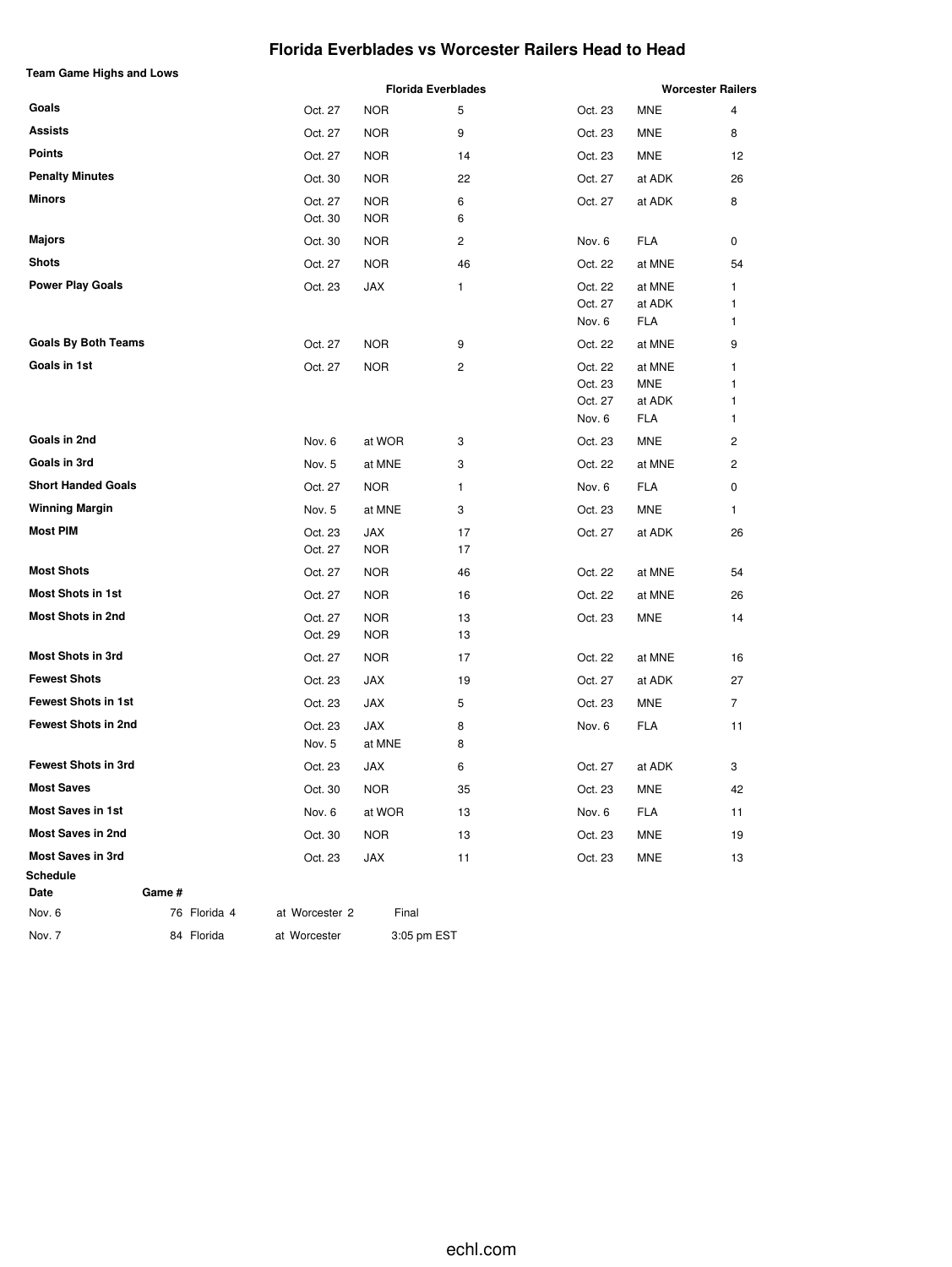### **Florida Everblades vs Worcester Railers Head to Head**

| <b>Team Game Highs and Lows</b> |              |                    |                   | <b>Florida Everblades</b> |                   |               | <b>Worcester Railers</b> |
|---------------------------------|--------------|--------------------|-------------------|---------------------------|-------------------|---------------|--------------------------|
| Goals                           |              | Oct. 27            | <b>NOR</b>        | 5                         | Oct. 23           | <b>MNE</b>    | 4                        |
| <b>Assists</b>                  |              | Oct. 27            | <b>NOR</b>        | 9                         | Oct. 23           | <b>MNE</b>    | 8                        |
| <b>Points</b>                   |              | Oct. 27            | <b>NOR</b>        | 14                        | Oct. 23           | MNE           | 12                       |
| <b>Penalty Minutes</b>          |              | Oct. 30            | <b>NOR</b>        | 22                        | Oct. 27           | at ADK        | 26                       |
| <b>Minors</b>                   |              | Oct. 27            | <b>NOR</b>        | 6                         | Oct. 27           | at ADK        | 8                        |
|                                 |              | Oct. 30            | <b>NOR</b>        | 6                         |                   |               |                          |
| <b>Majors</b>                   |              | Oct. 30            | <b>NOR</b>        | 2                         | Nov. 6            | FLA           | 0                        |
| <b>Shots</b>                    |              | Oct. 27            | <b>NOR</b>        | 46                        | Oct. 22           | at MNE        | 54                       |
| <b>Power Play Goals</b>         |              | Oct. 23            | JAX               | 1                         | Oct. 22           | at MNE        | 1                        |
|                                 |              |                    |                   |                           | Oct. 27<br>Nov. 6 | at ADK<br>FLA | 1<br>1                   |
| <b>Goals By Both Teams</b>      |              | Oct. 27            | <b>NOR</b>        | 9                         | Oct. 22           | at MNE        | 9                        |
| Goals in 1st                    |              | Oct. 27            | <b>NOR</b>        | $\overline{c}$            | Oct. 22           | at MNE        | 1                        |
|                                 |              |                    |                   |                           | Oct. 23           | <b>MNE</b>    | 1                        |
|                                 |              |                    |                   |                           | Oct. 27           | at ADK        | 1                        |
| Goals in 2nd                    |              |                    |                   |                           | Nov. 6            | <b>FLA</b>    | 1                        |
| Goals in 3rd                    |              | Nov. 6             | at WOR            | 3                         | Oct. 23           | MNE           | $\overline{c}$           |
| <b>Short Handed Goals</b>       |              | Nov. 5             | at MNE            | 3                         | Oct. 22           | at MNE        | 2                        |
| <b>Winning Margin</b>           |              | Oct. 27            | <b>NOR</b>        | 1                         | Nov. 6            | FLA           | 0                        |
| <b>Most PIM</b>                 |              | Nov. 5             | at MNE            | 3<br>17                   | Oct. 23           | <b>MNE</b>    | 1                        |
|                                 |              | Oct. 23<br>Oct. 27 | JAX<br><b>NOR</b> | 17                        | Oct. 27           | at ADK        | 26                       |
| <b>Most Shots</b>               |              | Oct. 27            | <b>NOR</b>        | 46                        | Oct. 22           | at MNE        | 54                       |
| <b>Most Shots in 1st</b>        |              | Oct. 27            | <b>NOR</b>        | 16                        | Oct. 22           | at MNE        | 26                       |
| <b>Most Shots in 2nd</b>        |              | Oct. 27            | <b>NOR</b>        | 13                        | Oct. 23           | MNE           | 14                       |
|                                 |              | Oct. 29            | <b>NOR</b>        | 13                        |                   |               |                          |
| <b>Most Shots in 3rd</b>        |              | Oct. 27            | <b>NOR</b>        | 17                        | Oct. 22           | at MNE        | 16                       |
| <b>Fewest Shots</b>             |              | Oct. 23            | JAX               | 19                        | Oct. 27           | at ADK        | 27                       |
| <b>Fewest Shots in 1st</b>      |              | Oct. 23            | JAX               | 5                         | Oct. 23           | <b>MNE</b>    | $\overline{7}$           |
| <b>Fewest Shots in 2nd</b>      |              | Oct. 23            | JAX               | 8                         | Nov. 6            | <b>FLA</b>    | 11                       |
|                                 |              | Nov. 5             | at MNE            | 8                         |                   |               |                          |
| <b>Fewest Shots in 3rd</b>      |              | Oct. 23            | JAX               | 6                         | Oct. 27           | at ADK        | 3                        |
| <b>Most Saves</b>               |              | Oct. 30            | <b>NOR</b>        | 35                        | Oct. 23           | <b>MNE</b>    | 42                       |
| <b>Most Saves in 1st</b>        |              | Nov. 6             | at WOR            | 13                        | Nov. 6            | <b>FLA</b>    | 11                       |
| <b>Most Saves in 2nd</b>        |              | Oct. 30            | <b>NOR</b>        | 13                        | Oct. 23           | MNE           | 19                       |
| <b>Most Saves in 3rd</b>        |              | Oct. 23            | JAX               | 11                        | Oct. 23           | <b>MNE</b>    | 13                       |
| Schedule<br>Date                | Game #       |                    |                   |                           |                   |               |                          |
| Nov. 6                          | 76 Florida 4 | at Worcester 2     | Final             |                           |                   |               |                          |
| Nov. 7                          | 84 Florida   | at Worcester       | 3:05 pm EST       |                           |                   |               |                          |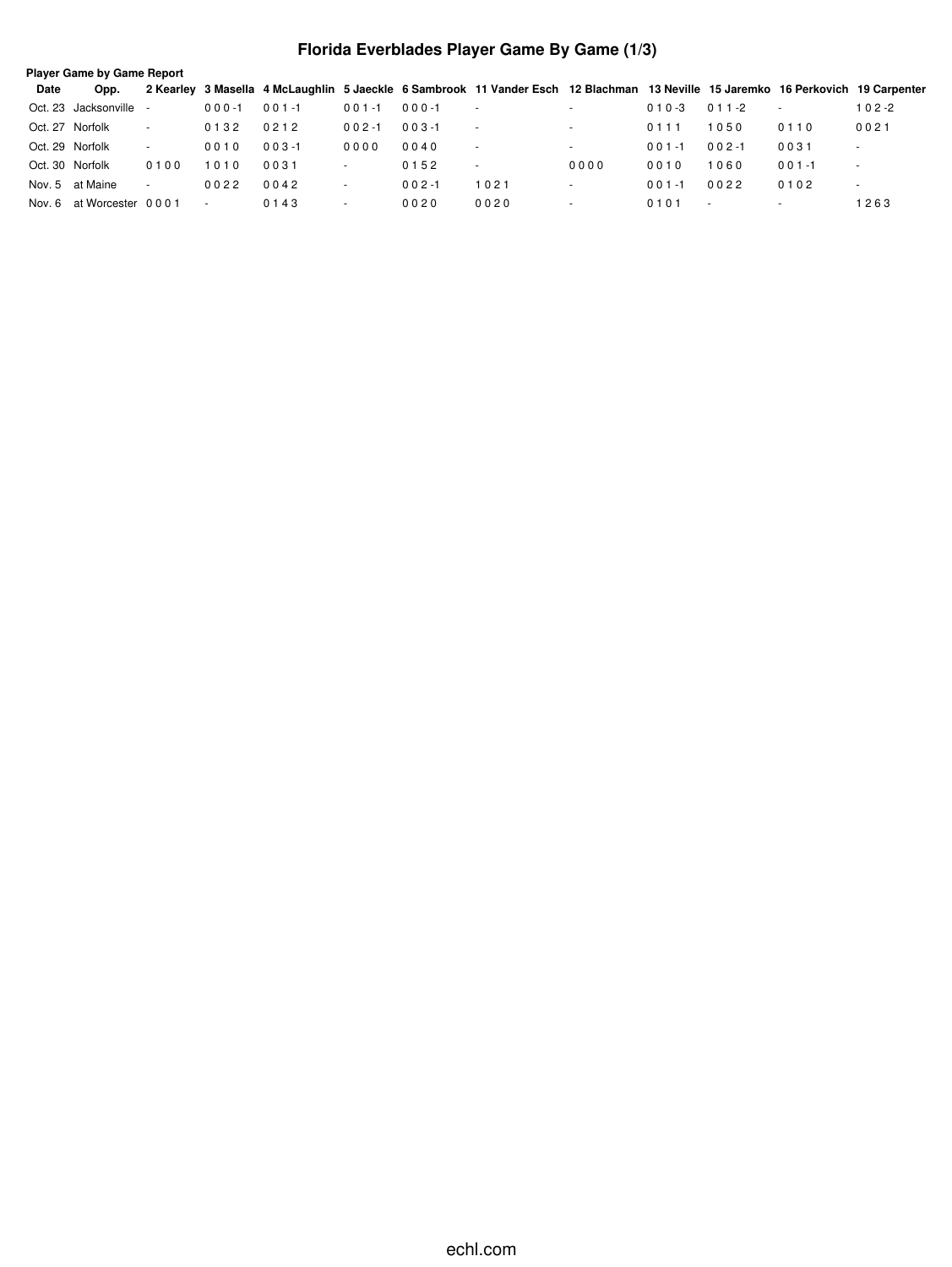## **Florida Everblades Player Game By Game (1/3)**

|                 | <b>Player Game by Game Report</b> |        |           |           |                          |            |                                                                                                                                  |                          |            |           |                          |                          |  |  |
|-----------------|-----------------------------------|--------|-----------|-----------|--------------------------|------------|----------------------------------------------------------------------------------------------------------------------------------|--------------------------|------------|-----------|--------------------------|--------------------------|--|--|
| Date            | Opp.                              |        |           |           |                          |            | 2 Kearley 3 Masella 4 McLaughlin 5 Jaeckle 6 Sambrook 11 Vander Esch 12 Blachman 13 Neville 15 Jaremko 16 Perkovich 19 Carpenter |                          |            |           |                          |                          |  |  |
|                 | Oct. 23 Jacksonville              |        | $000 - 1$ | $001 - 1$ | $001 - 1$                | $000 - 1$  | $\sim$                                                                                                                           | $\overline{\phantom{a}}$ | $010 - 3$  | $011 - 2$ | $\overline{a}$           | 102-2                    |  |  |
|                 | Oct. 27 Norfolk                   | $\sim$ | 0132      | 0212      | $002 - 1$                | $0.03 - 1$ | $\sim$                                                                                                                           | $\overline{\phantom{a}}$ | 0111       | 1050      | 0110                     | 0021                     |  |  |
|                 | Oct. 29 Norfolk                   | $\sim$ | 0010      | $003 - 1$ | 0000                     | 0040       | $\sim$                                                                                                                           | $\overline{\phantom{a}}$ | $0.01 - 1$ | $002 - 1$ | 0031                     |                          |  |  |
| Oct. 30 Norfolk |                                   | 0100   | 1010      | 0031      | $\overline{\phantom{a}}$ | 0152       | $\overline{\phantom{a}}$                                                                                                         | 0000                     | 0010       | 1060      | $001 - 1$                |                          |  |  |
|                 | Nov. 5 at Maine                   | $\sim$ | 0022      | 0042      | $\overline{\phantom{a}}$ | $0.02 - 1$ | 1021                                                                                                                             | $\overline{\phantom{a}}$ | $0.01 - 1$ | 0022      | 0102                     | $\overline{\phantom{a}}$ |  |  |
|                 | Nov. 6 at Worcester 0001          |        |           | 0143      |                          | 0020       | 0020                                                                                                                             |                          | 0101       | $\sim$    | $\overline{\phantom{a}}$ | 1263                     |  |  |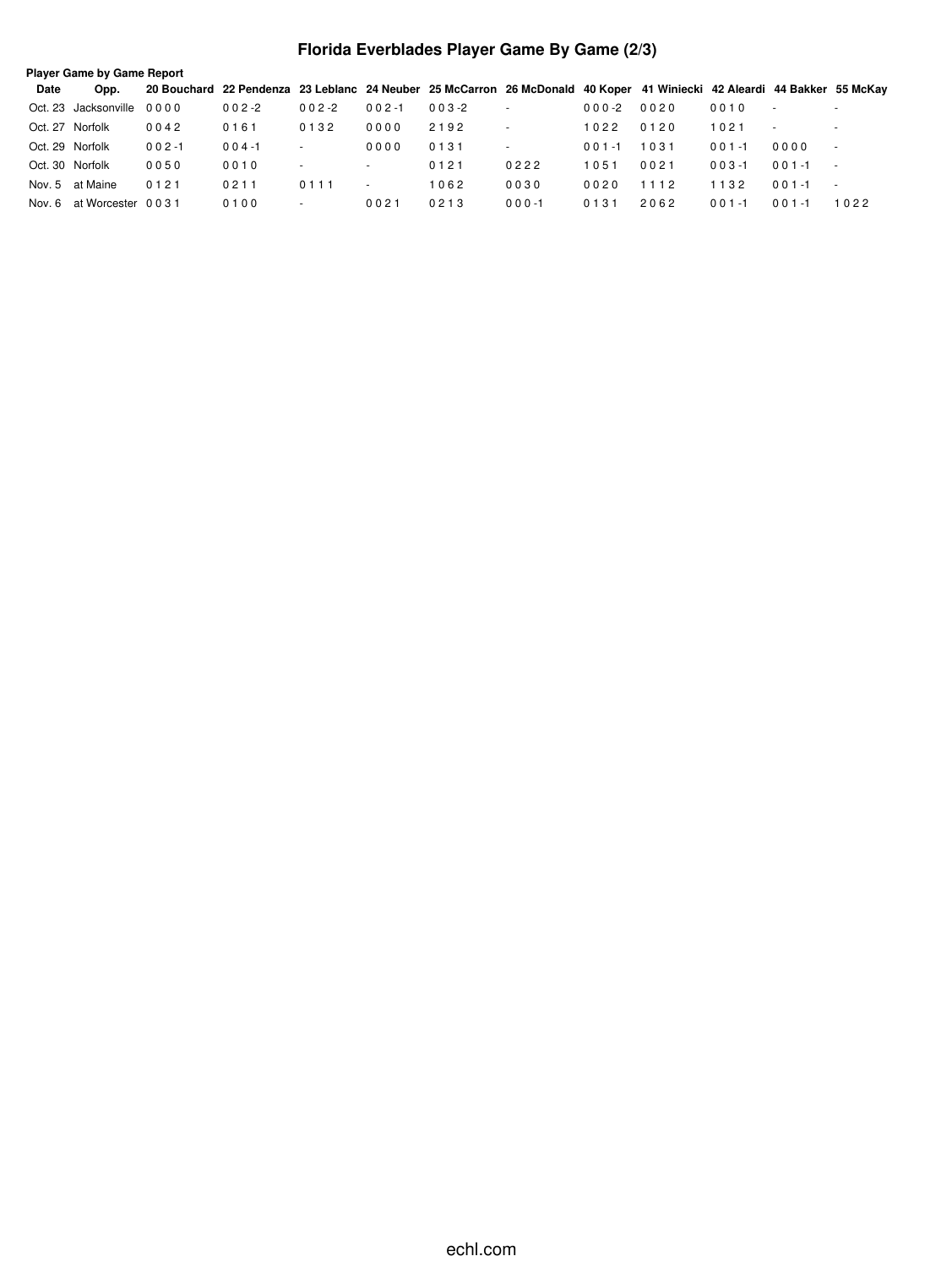## **Florida Everblades Player Game By Game (2/3)**

|                 | <b>Player Game by Game Report</b> |           |           |                          |           |           |                                                                                                                         |            |      |           |                          |                          |  |  |
|-----------------|-----------------------------------|-----------|-----------|--------------------------|-----------|-----------|-------------------------------------------------------------------------------------------------------------------------|------------|------|-----------|--------------------------|--------------------------|--|--|
| Date            | Opp.                              |           |           |                          |           |           | 20 Bouchard 22 Pendenza 23 Leblanc 24 Neuber 25 McCarron 26 McDonald 40 Koper 41 Winiecki 42 Aleardi 44 Bakker 55 McKay |            |      |           |                          |                          |  |  |
|                 | Oct. 23 Jacksonville 0000         |           | $002 - 2$ | $002 - 2$                | $002 - 1$ | $003 - 2$ | $\overline{\phantom{a}}$                                                                                                | $000-2$    | 0020 | 0010      | $\overline{\phantom{a}}$ | $\sim$                   |  |  |
| Oct. 27 Norfolk |                                   | 0042      | 0161      | 0132                     | 0000      | 2192      | $\overline{\phantom{a}}$                                                                                                | 1022       | 0120 | 1021      | $\overline{\phantom{a}}$ | $\sim$                   |  |  |
| Oct. 29 Norfolk |                                   | $002 - 1$ | $004 - 1$ |                          | 0000      | 0131      |                                                                                                                         | $0.01 - 1$ | 1031 | $001 - 1$ | 0000                     | $\blacksquare$           |  |  |
| Oct. 30 Norfolk |                                   | 0050      | 0010      | $\overline{a}$           | $\sim$    | 0121      | 0222                                                                                                                    | 1051       | 0021 | $003 - 1$ | $0.01 - 1$               | $\overline{\phantom{a}}$ |  |  |
|                 | Nov. 5 at Maine                   | 0121      | 0211      | 0111                     |           | 1062      | 0030                                                                                                                    | 0020       | 1112 | 1132      | $0.01 - 1$               | $\overline{\phantom{a}}$ |  |  |
| Nov. 6          | at Worcester 0031                 |           | 0100      | $\overline{\phantom{a}}$ | 0021      | 0213      | $000 - 1$                                                                                                               | 0131       | 2062 | $001 - 1$ | $001 - 1$                | 1022                     |  |  |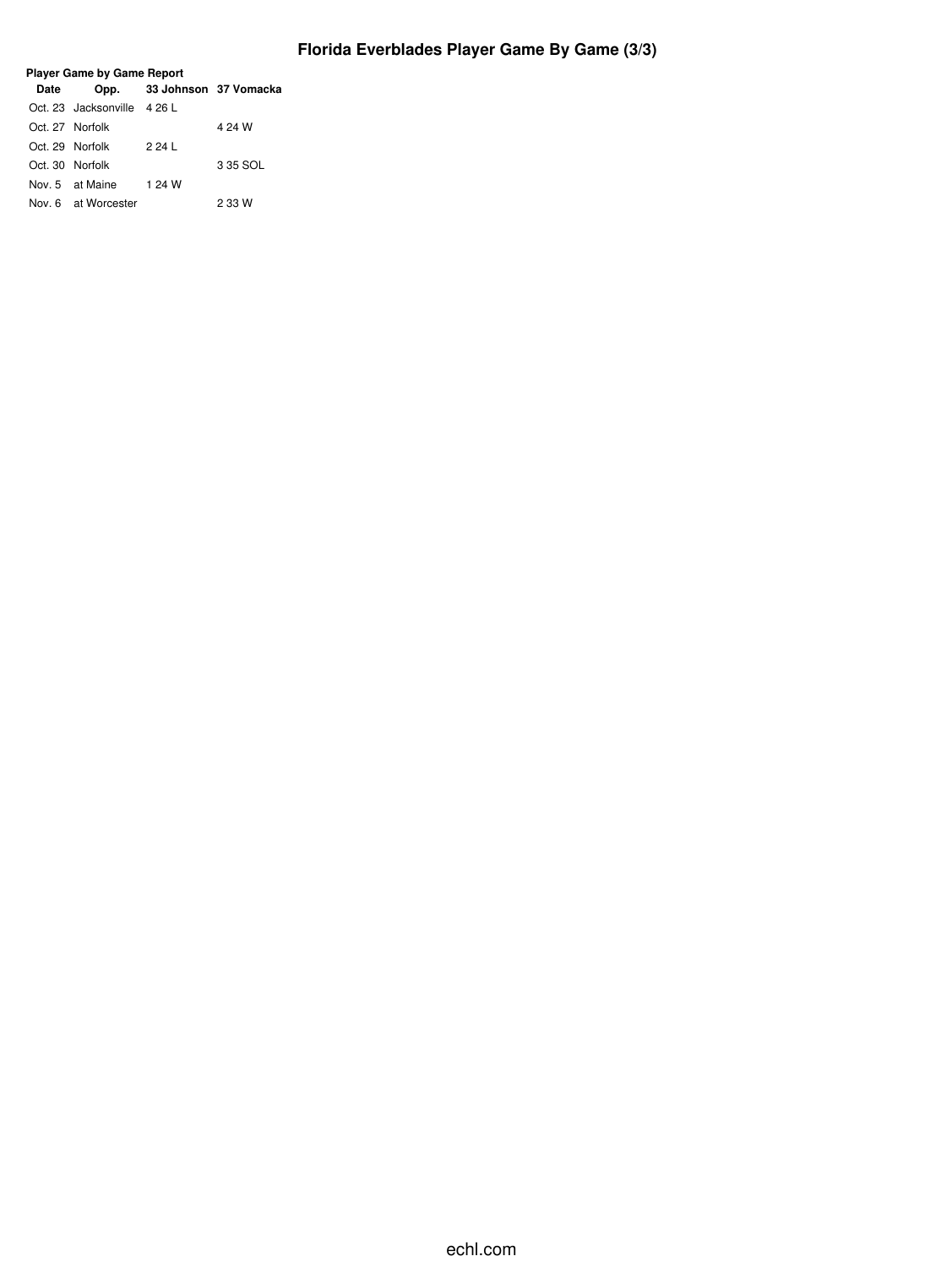## **Florida Everblades Player Game By Game (3/3)**

| <b>Date</b>     |                             | Opp. 33 Johnson 37 Vomacka |          |
|-----------------|-----------------------------|----------------------------|----------|
|                 | Oct. 23 Jacksonville 4 26 L |                            |          |
| Oct. 27 Norfolk |                             |                            | 4 24 W   |
|                 | Oct. 29 Norfolk             | 2 24 L                     |          |
| Oct. 30 Norfolk |                             |                            | 3 35 SOL |
|                 | Nov. 5 at Maine             | 1 24 W                     |          |
|                 | Nov. 6 at Worcester         |                            | 2 33 W   |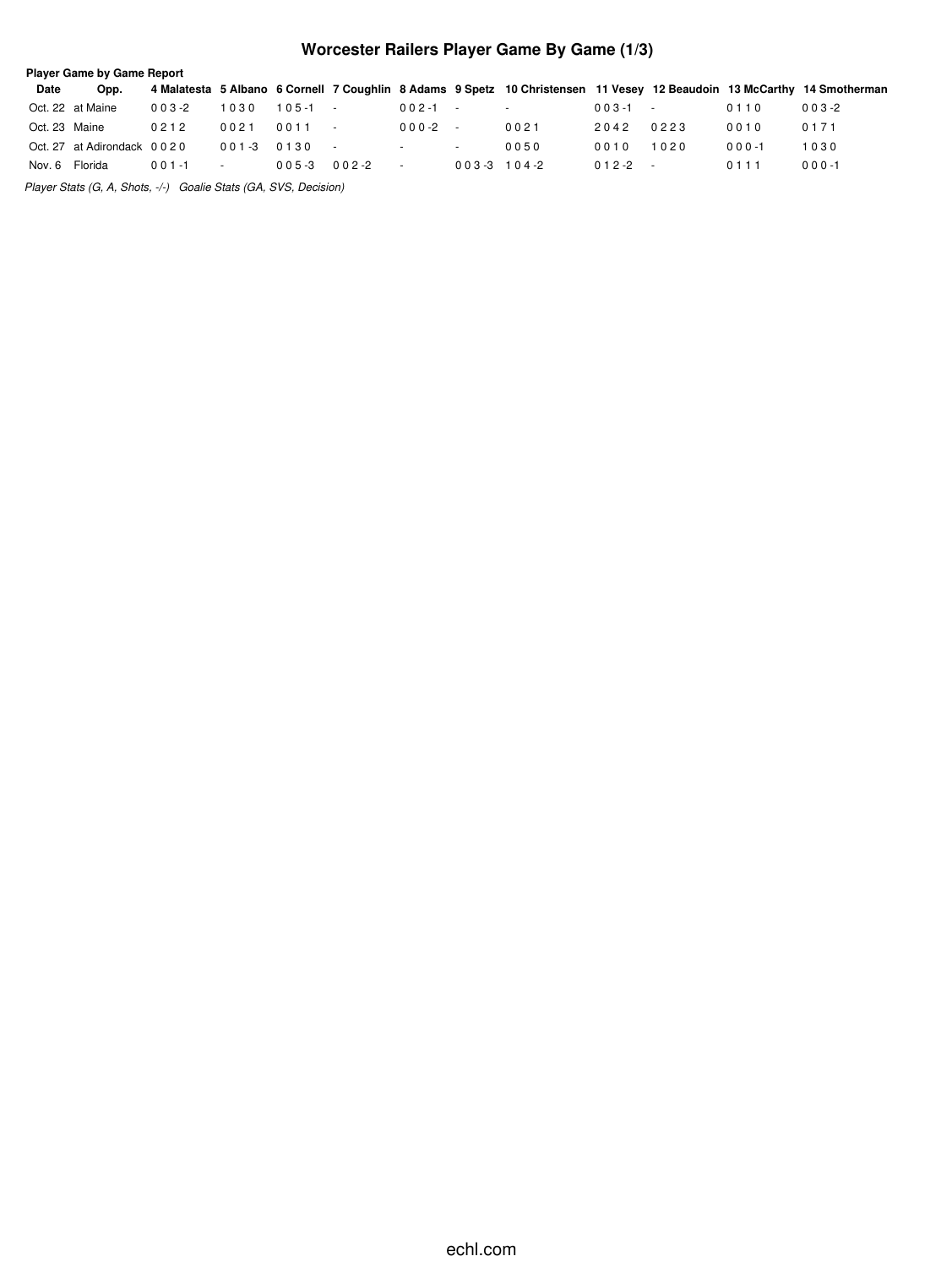## **Worcester Railers Player Game By Game (1/3)**

|                | <b>Player Game by Game Report</b> |            |            |             |           |           |               |                                                                                                                         |                |      |           |           |  |
|----------------|-----------------------------------|------------|------------|-------------|-----------|-----------|---------------|-------------------------------------------------------------------------------------------------------------------------|----------------|------|-----------|-----------|--|
| Date           | Opp.                              |            |            |             |           |           |               | 4 Malatesta 5 Albano 6 Cornell 7 Coughlin 8 Adams 9 Spetz 10 Christensen 11 Vesey 12 Beaudoin 13 McCarthy 14 Smotherman |                |      |           |           |  |
|                | Oct. 22 at Maine                  | $003 - 2$  | 1030       | $105 - 1 -$ |           | $002 - 1$ | $\sim$ $-$    | $\sim$ $-$                                                                                                              | $0.03 - 1 - 1$ |      | 0110      | $003 - 2$ |  |
| Oct. 23 Maine  |                                   | 0212       | 0021       | 0011        |           | 000-2     | $\sim$        | 0021                                                                                                                    | 2042           | 0223 | 0010      | 0171      |  |
|                | Oct. 27 at Adirondack 0020        |            | $0.01 - 3$ | 0130        |           | $\sim$    | $\sim$        | 0050                                                                                                                    | 0010           | 1020 | $000 - 1$ | 1030      |  |
| Nov. 6 Florida |                                   | $0.01 - 1$ | $\sim$     | $005 - 3$   | $002 - 2$ | $\sim$    | $003-3$ 104-2 |                                                                                                                         | $012 - 2 -$    |      | 0111      | $000 - 1$ |  |
|                |                                   |            |            |             |           |           |               |                                                                                                                         |                |      |           |           |  |

*Player Stats (G, A, Shots, -/-) Goalie Stats (GA, SVS, Decision)*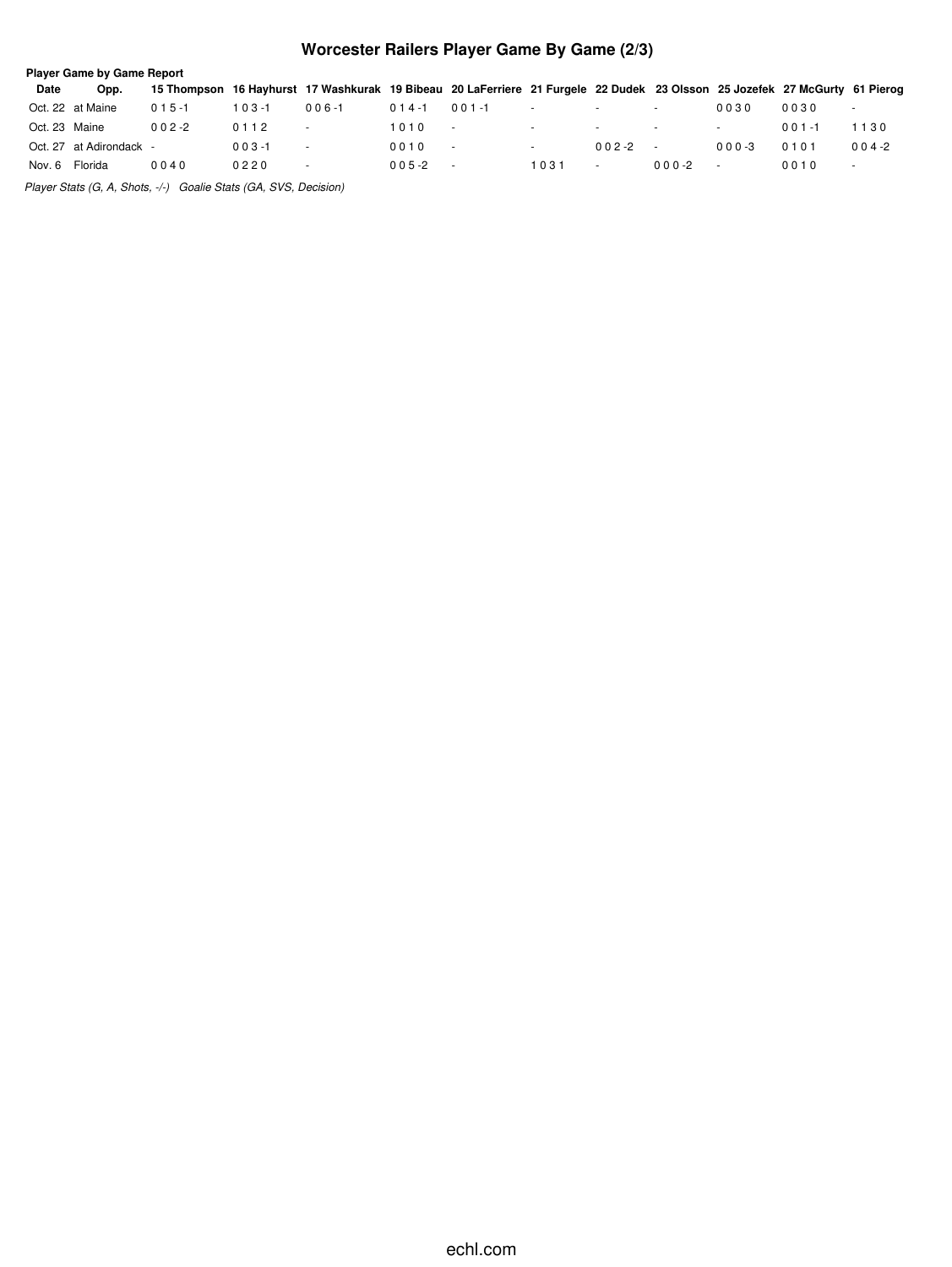## **Worcester Railers Player Game By Game (2/3)**

|               | <b>Player Game by Game Report</b> |           |            |                                                                                                                            |            |            |                          |                          |                          |            |           |                          |  |
|---------------|-----------------------------------|-----------|------------|----------------------------------------------------------------------------------------------------------------------------|------------|------------|--------------------------|--------------------------|--------------------------|------------|-----------|--------------------------|--|
| Date          | Opp.                              |           |            | 15 Thompson 16 Hayhurst 17 Washkurak 19 Bibeau 20 LaFerriere 21 Furgele 22 Dudek 23 Olsson 25 Jozefek 27 McGurty 61 Pierog |            |            |                          |                          |                          |            |           |                          |  |
|               | Oct. 22 at Maine                  | $015 - 1$ | ∣ 0 3 -1   | $006 - 1$                                                                                                                  | $014 - 1$  | $0.01 - 1$ | $\sim$                   | $\sim$                   |                          | 0030       | 0030      | $\sim$                   |  |
| Oct. 23 Maine |                                   | $002 - 2$ | 0112       |                                                                                                                            | 1010       | $\sim$     | $\sim$                   | $\overline{\phantom{a}}$ | $\overline{\phantom{a}}$ |            | $001 - 1$ | 1130                     |  |
|               | Oct. 27 at Adirondack -           |           | $0.03 - 1$ |                                                                                                                            | 0010       | $\sim$     | $\overline{\phantom{a}}$ | $0.02 - 2$               |                          | $0.00 - 3$ | 0101      | $004 - 2$                |  |
| Nov. 6        | Florida                           | 0040      | 0220       | $\overline{\phantom{a}}$                                                                                                   | $0.05 - 2$ | $\sim$     | 1031                     |                          | $0.00 -2$                |            | 0010      | $\overline{\phantom{a}}$ |  |
| $- \cdot$     |                                   |           |            |                                                                                                                            |            |            |                          |                          |                          |            |           |                          |  |

*Player Stats (G, A, Shots, -/-) Goalie Stats (GA, SVS, Decision)*